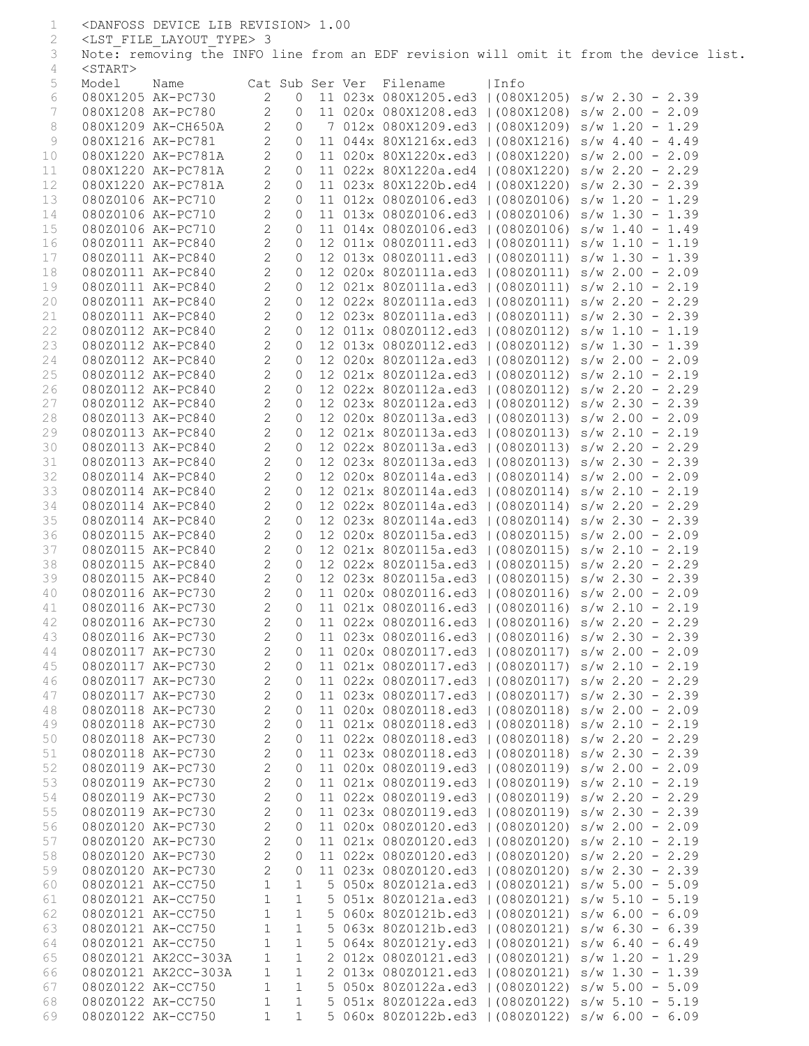| 1        |                   | <danfoss device="" lib="" revision=""> 1.00</danfoss> |                   |                    |  |                                                                                                        |      |  |
|----------|-------------------|-------------------------------------------------------|-------------------|--------------------|--|--------------------------------------------------------------------------------------------------------|------|--|
| 2        |                   | <lst file="" layout="" type=""> 3</lst>               |                   |                    |  |                                                                                                        |      |  |
| 3        |                   |                                                       |                   |                    |  | Note: removing the INFO line from an EDF revision will omit it from the device list.                   |      |  |
| 4        | $<$ START $>$     |                                                       |                   |                    |  |                                                                                                        |      |  |
| 5        | Model             | Name                                                  |                   |                    |  | Cat Sub Ser Ver Filename                                                                               | Info |  |
| 6        |                   | 080X1205 AK-PC730                                     | 2                 | $\circ$            |  | 11 023x 080X1205.ed3   (080X1205) s/w 2.30 - 2.39                                                      |      |  |
| 7        |                   | 080X1208 AK-PC780                                     | $\mathbf{2}$      | $\circ$            |  | 11 020x 080X1208.ed3   (080X1208) s/w 2.00 - 2.09                                                      |      |  |
| 8        |                   | 080X1209 AK-CH650A                                    | $\mathbf{2}$      | $\circ$            |  | 7 012x 080X1209.ed3   (080X1209) s/w 1.20 - 1.29                                                       |      |  |
| 9        |                   | 080X1216 AK-PC781                                     | $\overline{2}$    | $\circ$            |  | 11 044x 80X1216x.ed3   (080X1216) s/w 4.40 - 4.49                                                      |      |  |
| 10       |                   | 080X1220 AK-PC781A                                    | $\overline{2}$    | $\circ$            |  | 11 020x 80X1220x.ed3   (080X1220) s/w 2.00 - 2.09                                                      |      |  |
| 11       |                   | 080X1220 AK-PC781A                                    | $\overline{2}$    | $\circ$            |  | 11 022x 80X1220a.ed4   (080X1220) s/w 2.20 - 2.29                                                      |      |  |
| 12       |                   | 080X1220 AK-PC781A                                    | $\mathbf{2}$      | $\circ$            |  | 11 023x 80X1220b.ed4   (080X1220) s/w 2.30 - 2.39                                                      |      |  |
| 13       |                   | 080Z0106 AK-PC710                                     | $\mathbf{2}$      | $\circ$            |  | 11 012x 080Z0106.ed3   (080Z0106) s/w 1.20 - 1.29                                                      |      |  |
| 14       |                   | 080Z0106 AK-PC710                                     | $\mathbf{2}$      | $\circ$            |  | 11 013x 080Z0106.ed3   (080Z0106) s/w 1.30 - 1.39                                                      |      |  |
| 15       |                   | 080Z0106 AK-PC710                                     | $\mathbf{2}$      | $\circ$            |  | 11 014x 080Z0106.ed3   (080Z0106) s/w 1.40 - 1.49                                                      |      |  |
| 16       |                   | 080Z0111 AK-PC840                                     | $\sqrt{2}$        | $\circ$            |  | 12 011x 080Z0111.ed3   (080Z0111) s/w 1.10 - 1.19                                                      |      |  |
| 17       |                   | 080Z0111 AK-PC840                                     | $\mathbf{2}$      | $\circ$            |  | 12 013x 080Z0111.ed3   (080Z0111) s/w 1.30 - 1.39                                                      |      |  |
| 18       |                   | 080Z0111 AK-PC840                                     | $\mathbf{2}$      | $\circ$            |  | 12 020x 80Z0111a.ed3   (080Z0111) s/w 2.00 - 2.09                                                      |      |  |
| 19       |                   | 080Z0111 AK-PC840                                     | $\mathbf{2}$      | $\circ$            |  | 12 021x 80Z0111a.ed3   (080Z0111) s/w 2.10 - 2.19                                                      |      |  |
| 20       |                   | 080Z0111 AK-PC840                                     | $\overline{c}$    | $\circ$            |  | 12 022x 80Z0111a.ed3   (080Z0111) s/w 2.20 - 2.29                                                      |      |  |
| 21       |                   | 080Z0111 AK-PC840                                     | $\mathbf{2}$      | $\circ$            |  | 12 023x 80Z0111a.ed3   (080Z0111) s/w 2.30 - 2.39                                                      |      |  |
| 22       |                   | 080Z0112 AK-PC840                                     | $\overline{2}$    | $\circ$            |  | 12 011x 080Z0112.ed3   (080Z0112) s/w 1.10 - 1.19                                                      |      |  |
| 23       |                   | 080Z0112 AK-PC840                                     | $\mathbf{2}$      | $\circ$            |  | 12 013x 080Z0112.ed3   (080Z0112) s/w 1.30 - 1.39                                                      |      |  |
| 24       |                   | 080Z0112 AK-PC840                                     | $\mathbf{2}$      | $\circ$            |  | 12 020x 80Z0112a.ed3   (080Z0112) s/w 2.00 - 2.09                                                      |      |  |
| 25       |                   | 080Z0112 AK-PC840                                     | $\mathbf{2}$      | $\circ$            |  | 12 021x 80Z0112a.ed3   (080Z0112) s/w 2.10 - 2.19                                                      |      |  |
| 26       |                   | 080Z0112 AK-PC840                                     | $\mathbf{2}$      | $\circ$            |  | 12 022x 80Z0112a.ed3   (080Z0112) s/w 2.20 - 2.29                                                      |      |  |
| 27       |                   | 080Z0112 AK-PC840                                     | $\mathbf{2}$      | $\circ$            |  | 12 023x 80Z0112a.ed3   (080Z0112) s/w 2.30 - 2.39                                                      |      |  |
| 28       |                   | 080Z0113 AK-PC840                                     | $\mathbf{2}$      | $\circ$            |  | 12 020x 80Z0113a.ed3   (080Z0113) s/w 2.00 - 2.09                                                      |      |  |
| 29       |                   | 080Z0113 AK-PC840                                     | $\mathbf{2}$      | $\circ$            |  | 12 021x 80Z0113a.ed3   (080Z0113) s/w 2.10 - 2.19                                                      |      |  |
| 30       |                   | 080Z0113 AK-PC840                                     | $\mathbf{2}$      | $\circ$            |  | 12 022x 80Z0113a.ed3   (080Z0113) s/w 2.20 - 2.29                                                      |      |  |
| 31       |                   | 080Z0113 AK-PC840                                     | $\mathbf{2}$      | $\circ$            |  | 12 023x 80Z0113a.ed3   (080Z0113) s/w 2.30 - 2.39                                                      |      |  |
| 32       |                   | 080Z0114 AK-PC840                                     | $\overline{c}$    | $\circ$            |  | 12 020x 80Z0114a.ed3   (080Z0114) s/w 2.00 - 2.09                                                      |      |  |
| 33       |                   | 080Z0114 AK-PC840                                     | $\mathbf{2}$      | $\circ$            |  | 12 021x 80Z0114a.ed3   (080Z0114) s/w 2.10 - 2.19                                                      |      |  |
| 34       |                   | 080Z0114 AK-PC840                                     | $\mathbf{2}$      | $\circ$            |  | 12 022x 80Z0114a.ed3   (080Z0114) s/w 2.20 - 2.29                                                      |      |  |
| 35       |                   | 080Z0114 AK-PC840                                     | $\mathbf{2}$      | $\circ$            |  | 12 023x 80Z0114a.ed3   (080Z0114) s/w 2.30 - 2.39                                                      |      |  |
| 36       |                   | 080Z0115 AK-PC840                                     | $\mathbf{2}$      | $\circ$            |  | 12 020x 80Z0115a.ed3   (080Z0115) s/w 2.00 - 2.09                                                      |      |  |
| 37       |                   | 080Z0115 AK-PC840                                     | $\mathbf{2}$      | $\circ$            |  | 12 021x 80Z0115a.ed3   (080Z0115) s/w 2.10 - 2.19                                                      |      |  |
| 38       |                   | 080Z0115 AK-PC840                                     | $\overline{c}$    | $\circ$            |  | 12 022x 80Z0115a.ed3   (080Z0115) s/w 2.20 - 2.29                                                      |      |  |
| 39       |                   | 080Z0115 AK-PC840                                     | $\mathbf{2}$      |                    |  | 0 12 023x 80Z0115a.ed3   (080Z0115) s/w 2.30 - 2.39                                                    |      |  |
| 40       |                   | 080Z0116 AK-PC730                                     | $\mathbf{2}$      | $\overline{O}$     |  | 11 020x 080Z0116.ed3   (080Z0116) s/w 2.00 - 2.09                                                      |      |  |
| 41       |                   | 080Z0116 AK-PC730                                     |                   |                    |  | 2 0 11 021x 080Z0116.ed3   (080Z0116) s/w 2.10 - 2.19                                                  |      |  |
| 42       |                   | 080Z0116 AK-PC730                                     | 2                 | 0                  |  | 11 022x 080Z0116.ed3   (080Z0116) s/w 2.20 - 2.29<br>11 023x 080Z0116.ed3   (080Z0116) s/w 2.30 - 2.39 |      |  |
| 43       |                   | 080Z0116 AK-PC730<br>080Z0117 AK-PC730                | 2<br>$\mathbf{2}$ | $\circ$<br>$\circ$ |  | 11 020x 080Z0117.ed3   (080Z0117) s/w 2.00 - 2.09                                                      |      |  |
| 44<br>45 |                   | 080Z0117 AK-PC730                                     | $\mathbf{2}$      | $\circ$            |  | 11 021x 080Z0117.ed3   (080Z0117) s/w 2.10 - 2.19                                                      |      |  |
| 46       |                   | 080Z0117 AK-PC730                                     | $\mathbf{2}$      | $\circ$            |  | 11 022x 080Z0117.ed3   (080Z0117) s/w 2.20 - 2.29                                                      |      |  |
| 47       |                   | 080Z0117 AK-PC730                                     | $\sqrt{2}$        | $\circ$            |  | 11 023x 080Z0117.ed3   (080Z0117) s/w 2.30 - 2.39                                                      |      |  |
| 48       |                   | 080Z0118 AK-PC730                                     | $\mathbf{2}$      | $\circ$            |  | 11 020x 080Z0118.ed3   (080Z0118) s/w 2.00 - 2.09                                                      |      |  |
| 49       |                   | 080Z0118 AK-PC730                                     | $\mathbf{2}$      | $\circ$            |  | 11 021x 080Z0118.ed3   (080Z0118) s/w 2.10 - 2.19                                                      |      |  |
| 50       |                   | 080Z0118 AK-PC730                                     | $\mathbf{2}$      | $\circ$            |  | 11 022x 080Z0118.ed3   (080Z0118) s/w 2.20 - 2.29                                                      |      |  |
| 51       |                   | 080Z0118 AK-PC730                                     | $\mathbf{2}$      | $\circ$            |  | 11 023x 080Z0118.ed3   (080Z0118) s/w 2.30 - 2.39                                                      |      |  |
| 52       |                   | 080Z0119 AK-PC730                                     | $\mathbf{2}$      | $\circ$            |  | 11 020x 080Z0119.ed3   (080Z0119) s/w 2.00 - 2.09                                                      |      |  |
| 53       |                   | 080Z0119 AK-PC730                                     | $\mathbf{2}$      | $\circ$            |  | 11 021x 080Z0119.ed3   (080Z0119) s/w 2.10 - 2.19                                                      |      |  |
| 54       |                   | 080Z0119 AK-PC730                                     | $\mathbf{2}$      | $\circ$            |  | 11 022x 080Z0119.ed3   (080Z0119) s/w 2.20 - 2.29                                                      |      |  |
| 55       |                   | 080Z0119 AK-PC730                                     | $\mathbf{2}$      | $\circ$            |  | 11 023x 080Z0119.ed3   (080Z0119) s/w 2.30 - 2.39                                                      |      |  |
| 56       |                   | 080Z0120 AK-PC730                                     | $\mathbf{2}$      | $\circ$            |  | 11 020x 080Z0120.ed3   (080Z0120) s/w 2.00 - 2.09                                                      |      |  |
| 57       |                   | 080Z0120 AK-PC730                                     | $\mathbf{2}$      | $\circ$            |  | 11 021x 080Z0120.ed3   (080Z0120) s/w 2.10 - 2.19                                                      |      |  |
| 58       |                   | 080Z0120 AK-PC730                                     | $\mathbf{2}$      | $\circ$            |  | 11 022x 080Z0120.ed3   (080Z0120) s/w 2.20 - 2.29                                                      |      |  |
| 59       |                   | 080Z0120 AK-PC730                                     | $\mathbf{2}$      | $\circledcirc$     |  | 11 023x 080Z0120.ed3   (080Z0120) s/w 2.30 - 2.39                                                      |      |  |
| 60       |                   | 080Z0121 AK-CC750                                     | $\mathbf{1}$      | $\mathbf{1}$       |  | 5 050x 80Z0121a.ed3   (080Z0121) s/w 5.00 - 5.09                                                       |      |  |
| 61       |                   | 080Z0121 AK-CC750                                     | $\mathbf{1}$      | $\mathbf{1}$       |  | 5 051x 80Z0121a.ed3   (080Z0121) s/w 5.10 - 5.19                                                       |      |  |
| 62       |                   | 080Z0121 AK-CC750                                     | $\mathbf{1}$      | $\mathbf{1}$       |  | 5 060x 80Z0121b.ed3   (080Z0121) s/w 6.00 - 6.09                                                       |      |  |
| 63       |                   | 080Z0121 AK-CC750                                     | $\mathbf{1}$      | $\mathbf{1}$       |  | 5 063x 80Z0121b.ed3   (080Z0121) s/w 6.30 - 6.39                                                       |      |  |
| 64       | 080Z0121 AK-CC750 |                                                       | $\mathbf{1}$      | $\mathbf{1}$       |  | 5 064x 80Z0121y.ed3   (080Z0121) s/w 6.40 - 6.49                                                       |      |  |
| 65       |                   | 080Z0121 AK2CC-303A                                   | $1\,$             | $\mathbf{1}$       |  | 2 012x 080Z0121.ed3   (080Z0121) s/w 1.20 - 1.29                                                       |      |  |
| 66       |                   | 080Z0121 AK2CC-303A                                   | $\mathbf{1}$      | $\mathbf{1}$       |  | 2 013x 080Z0121.ed3   (080Z0121) s/w 1.30 - 1.39                                                       |      |  |
| 67       |                   | 080Z0122 AK-CC750                                     | $\mathbf{1}$      | $\mathbf{1}$       |  | 5 050x 80Z0122a.ed3   (080Z0122) s/w 5.00 - 5.09                                                       |      |  |
| 68       |                   | 080Z0122 AK-CC750                                     | $\mathbf{1}$      | $\mathbf{1}$       |  | 5 051x 80Z0122a.ed3   (080Z0122) s/w 5.10 - 5.19                                                       |      |  |
| 69       |                   | 080Z0122 AK-CC750                                     | $\mathbf{1}$      | $\mathbf{1}$       |  | 5 060x 80Z0122b.ed3   (080Z0122) s/w 6.00 - 6.09                                                       |      |  |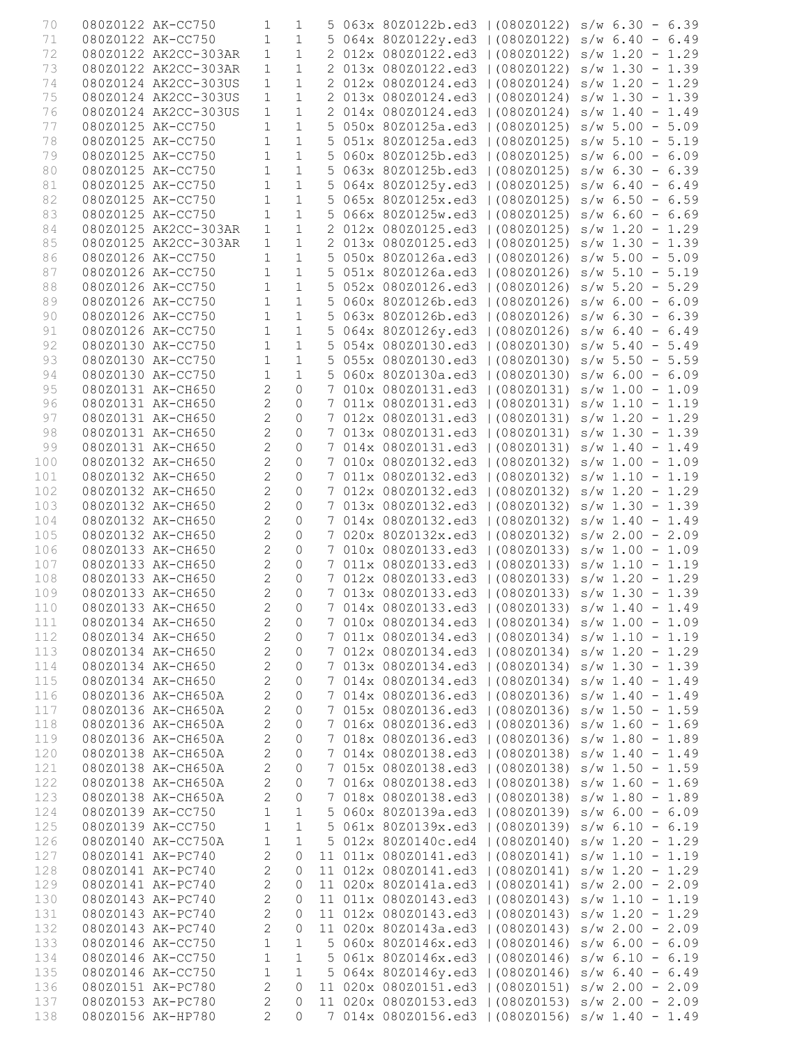| 70  | 080Z0122 AK-CC750 |                      | 1                          | 1            |  | 5 063x 80Z0122b.ed3   (080Z0122) s/w 6.30 - 6.39  |  |                   |
|-----|-------------------|----------------------|----------------------------|--------------|--|---------------------------------------------------|--|-------------------|
| 71  |                   | 080Z0122 AK-CC750    | $\mathbf{1}$               | $\mathbf{1}$ |  | 5 064x 80Z0122y.ed3   (080Z0122) s/w 6.40 - 6.49  |  |                   |
| 72  |                   | 080Z0122 AK2CC-303AR | $\mathbf{1}$               | $\mathbf{1}$ |  | 2 012x 080Z0122.ed3   (080Z0122) s/w 1.20 - 1.29  |  |                   |
| 73  |                   | 080Z0122 AK2CC-303AR | $\mathbf{1}$               | $\mathbf{1}$ |  | 2 013x 080Z0122.ed3   (080Z0122)                  |  |                   |
|     |                   |                      |                            |              |  |                                                   |  | $s/w$ 1.30 - 1.39 |
| 74  |                   | 080Z0124 AK2CC-303US | $\mathbf{1}$               | $\mathbf{1}$ |  | 2 012x 080Z0124.ed3   (080Z0124)                  |  | $s/w$ 1.20 - 1.29 |
| 75  |                   | 080Z0124 AK2CC-303US | $\mathbf{1}$               | $\mathbf 1$  |  | 2 013x 080Z0124.ed3   (080Z0124)                  |  | $s/w$ 1.30 - 1.39 |
| 76  |                   | 080Z0124 AK2CC-303US | $\mathbf{1}$               | $\mathbf{1}$ |  | 2 014x 080Z0124.ed3   (080Z0124)                  |  | $s/w$ 1.40 - 1.49 |
| 77  | 080Z0125 AK-CC750 |                      | $\mathbf{1}$               | $\mathbf{1}$ |  | 5 050x 80Z0125a.ed3   (080Z0125)                  |  | $s/w$ 5.00 - 5.09 |
| 78  | 080Z0125 AK-CC750 |                      | $\mathbf{1}$               | $1\,$        |  | 5 051x 80Z0125a.ed3   (080Z0125) s/w 5.10 - 5.19  |  |                   |
| 79  |                   | 080Z0125 AK-CC750    | $\mathbf{1}$               | $\mathbf{1}$ |  | 5 060x 80Z0125b.ed3   (080Z0125)                  |  | $s/w$ 6.00 - 6.09 |
| 80  |                   | 080Z0125 AK-CC750    | $\mathbf{1}$               | $\mathbf{1}$ |  | 5 063x 80Z0125b.ed3   (080Z0125)                  |  | $s/w$ 6.30 - 6.39 |
| 81  |                   | 080Z0125 AK-CC750    | $\mathbf{1}$               | $\mathbf{1}$ |  | 5 064x 80Z0125y.ed3   (080Z0125) s/w 6.40 - 6.49  |  |                   |
| 82  |                   | 080Z0125 AK-CC750    | $\mathbf{1}$               | $\mathbf{1}$ |  | 5 065x 80Z0125x.ed3   (080Z0125) s/w 6.50 - 6.59  |  |                   |
|     |                   |                      |                            |              |  |                                                   |  |                   |
| 83  | 080Z0125 AK-CC750 |                      | $\mathbf{1}$               | $\mathbf 1$  |  | 5 066x 80Z0125w.ed3   (080Z0125) s/w 6.60 - 6.69  |  |                   |
| 84  |                   | 080Z0125 AK2CC-303AR | $\mathbf{1}$               | $1\,$        |  | 2 012x 080Z0125.ed3   (080Z0125) s/w 1.20 - 1.29  |  |                   |
| 85  |                   | 080Z0125 AK2CC-303AR | $\mathbf{1}$               | $\mathbf{1}$ |  | 2 013x 080Z0125.ed3   (080Z0125) s/w 1.30 - 1.39  |  |                   |
| 86  | 080Z0126 AK-CC750 |                      | $\mathbf{1}$               | $\mathbf{1}$ |  | 5 050x 80Z0126a.ed3   (080Z0126)                  |  | $s/w$ 5.00 - 5.09 |
| 87  | 080Z0126 AK-CC750 |                      | $\mathbf{1}$               | $\mathbf{1}$ |  | 5 051x 80Z0126a.ed3   (080Z0126)                  |  | $s/w$ 5.10 - 5.19 |
| 88  | 080Z0126 AK-CC750 |                      | $\mathbf{1}$               | $\mathbf{1}$ |  | 5 052x 080Z0126.ed3   (080Z0126)                  |  | $s/w$ 5.20 - 5.29 |
| 89  |                   | 080Z0126 AK-CC750    | $\mathbf{1}$               | $1\,$        |  | 5 060x 80Z0126b.ed3   (080Z0126)                  |  | $s/w$ 6.00 - 6.09 |
| 90  |                   | 080Z0126 AK-CC750    | $\mathbf 1$                | $\mathbf{1}$ |  | 5 063x 80Z0126b.ed3   (080Z0126) s/w 6.30 - 6.39  |  |                   |
|     |                   |                      |                            |              |  |                                                   |  |                   |
| 91  |                   | 080Z0126 AK-CC750    | $\mathbf{1}$               | $\mathbf{1}$ |  | 5 064x 80Z0126y.ed3   (080Z0126) s/w 6.40 - 6.49  |  |                   |
| 92  |                   | 080Z0130 AK-CC750    | $\mathbf{1}$               | $\mathbf{1}$ |  | 5 054x 080Z0130.ed3   (080Z0130)                  |  | $s/w$ 5.40 - 5.49 |
| 93  |                   | 080Z0130 AK-CC750    | $\mathbf{1}$               | $\mathbf{1}$ |  | 5 055x 080Z0130.ed3   (080Z0130)                  |  | $s/w$ 5.50 - 5.59 |
| 94  | 080Z0130 AK-CC750 |                      | $\mathbf{1}$               | $\mathbf{1}$ |  | 5 060x 80Z0130a.ed3   (080Z0130)                  |  | $s/w$ 6.00 - 6.09 |
| 95  | 080Z0131 AK-CH650 |                      | $\overline{c}$             | 0            |  | 7 010x 080Z0131.ed3   (080Z0131)                  |  | $s/w$ 1.00 - 1.09 |
| 96  | 080Z0131 AK-CH650 |                      | $\overline{2}$             | $\mathbf 0$  |  | 7 011x 080Z0131.ed3   (080Z0131) s/w 1.10 - 1.19  |  |                   |
| 97  | 080Z0131 AK-CH650 |                      | $\overline{c}$             | 0            |  | 7 012x 080Z0131.ed3   (080Z0131) s/w 1.20 - 1.29  |  |                   |
| 98  | 080Z0131 AK-CH650 |                      | $\overline{c}$             | $\Omega$     |  | 7 013x 080Z0131.ed3   (080Z0131)                  |  | $s/w$ 1.30 - 1.39 |
| 99  | 080Z0131 AK-CH650 |                      | $\overline{2}$             | 0            |  | 7 014x 080Z0131.ed3   (080Z0131)                  |  | $s/w$ 1.40 - 1.49 |
| 100 | 080Z0132 AK-CH650 |                      | $\overline{c}$             | 0            |  | 7 010x 080Z0132.ed3   (080Z0132)                  |  | $s/w$ 1.00 - 1.09 |
|     |                   |                      |                            |              |  |                                                   |  |                   |
| 101 | 080Z0132 AK-CH650 |                      | $\overline{2}$             | 0            |  | 7 011x 080Z0132.ed3   (080Z0132)                  |  | $s/w$ 1.10 - 1.19 |
| 102 | 080Z0132 AK-CH650 |                      | $\overline{c}$             | $\mathsf O$  |  | 7 012x 080Z0132.ed3   (080Z0132)                  |  | $s/w$ 1.20 - 1.29 |
| 103 | 080Z0132 AK-CH650 |                      | $\overline{c}$             | 0            |  | 7 013x 080Z0132.ed3   (080Z0132) s/w 1.30 - 1.39  |  |                   |
| 104 |                   | 080Z0132 AK-CH650    | $\overline{c}$             | $\Omega$     |  | 7 014x 080Z0132.ed3   (080Z0132) s/w 1.40 - 1.49  |  |                   |
| 105 |                   | 080Z0132 AK-CH650    | $\overline{2}$             | 0            |  | 7 020x 80Z0132x.ed3   (080Z0132)                  |  | $s/w$ 2.00 - 2.09 |
| 106 | 080Z0133 AK-CH650 |                      | $\overline{c}$             | 0            |  | 7 010x 080Z0133.ed3   (080Z0133) s/w 1.00 - 1.09  |  |                   |
| 107 | 080Z0133 AK-CH650 |                      | $\overline{2}$             | 0            |  | 7 011x 080Z0133.ed3   (080Z0133) s/w 1.10 - 1.19  |  |                   |
| 108 | 080Z0133 AK-CH650 |                      | $\overline{2}$             | $\circ$      |  | 7 012x 080Z0133.ed3   (080Z0133) s/w 1.20 - 1.29  |  |                   |
| 109 |                   |                      | $\overline{c}$             | 0            |  | 7 013x 080Z0133.ed3   (080Z0133) s/w 1.30 - 1.39  |  |                   |
|     | 080Z0133 AK-CH650 |                      |                            |              |  |                                                   |  |                   |
| 110 |                   | 080Z0133 AK-CH650    | $\overline{\phantom{0}}$ 2 | $\mathbb O$  |  | 7 014x 080Z0133.ed3   (080Z0133) s/w 1.40 - 1.49  |  |                   |
| 111 | 080Z0134 AK-CH650 |                      | 2                          | 0            |  | 7 010x 080Z0134.ed3   (080Z0134) s/w 1.00 - 1.09  |  |                   |
| 112 | 080Z0134 AK-CH650 |                      | $\overline{2}$             | 0            |  | 7 011x 080Z0134.ed3   (080Z0134) s/w 1.10 - 1.19  |  |                   |
| 113 | 080Z0134 AK-CH650 |                      | $\mathbf{2}$               | 0            |  | 7 012x 080Z0134.ed3   (080Z0134) s/w 1.20 - 1.29  |  |                   |
| 114 | 080Z0134 AK-CH650 |                      | $\mathbf{2}$               | $\circ$      |  | 7 013x 080Z0134.ed3   (080Z0134) s/w 1.30 - 1.39  |  |                   |
| 115 | 080Z0134 AK-CH650 |                      | 2                          | 0            |  | 7 014x 080Z0134.ed3   (080Z0134) s/w 1.40 - 1.49  |  |                   |
| 116 |                   | 080Z0136 AK-CH650A   | 2                          | 0            |  | 7 014x 080Z0136.ed3   (080Z0136) s/w 1.40 - 1.49  |  |                   |
| 117 |                   | 080Z0136 AK-CH650A   | $\mathbf{2}$               | 0            |  | 7 015x 080Z0136.ed3   (080Z0136) s/w 1.50 - 1.59  |  |                   |
| 118 |                   | 080Z0136 AK-CH650A   | 2                          | 0            |  | 7 016x 080Z0136.ed3   (080Z0136) s/w 1.60 - 1.69  |  |                   |
|     |                   | 080Z0136 AK-CH650A   |                            |              |  | 7 018x 080Z0136.ed3   (080Z0136) s/w 1.80 - 1.89  |  |                   |
| 119 |                   |                      | $\mathbf{2}$               | 0            |  |                                                   |  |                   |
| 120 |                   | 080Z0138 AK-CH650A   | 2                          | 0            |  | 7 014x 080Z0138.ed3   (080Z0138) s/w 1.40 - 1.49  |  |                   |
| 121 |                   | 080Z0138 AK-CH650A   | 2                          | 0            |  | 7 015x 080Z0138.ed3   (080Z0138) s/w 1.50 - 1.59  |  |                   |
| 122 |                   | 080Z0138 AK-CH650A   | 2                          | 0            |  | 7 016x 080Z0138.ed3   (080Z0138) s/w 1.60 - 1.69  |  |                   |
| 123 |                   | 080Z0138 AK-CH650A   | $\mathbf{2}$               | 0            |  | 7 018x 080Z0138.ed3   (080Z0138) s/w 1.80 - 1.89  |  |                   |
| 124 | 080Z0139 AK-CC750 |                      | $\mathbf{1}$               | 1            |  | 5 060x 80Z0139a.ed3   (080Z0139) s/w 6.00 - 6.09  |  |                   |
| 125 | 080Z0139 AK-CC750 |                      | 1                          | 1            |  | 5 061x 80Z0139x.ed3   (080Z0139) s/w 6.10 - 6.19  |  |                   |
| 126 |                   | 080Z0140 AK-CC750A   | $\mathbf{1}$               | $\mathbf{1}$ |  | 5 012x 80Z0140c.ed4   (080Z0140) s/w 1.20 - 1.29  |  |                   |
|     | 080Z0141 AK-PC740 |                      | $\mathbf{2}$               | 0            |  | 11 011x 080Z0141.ed3   (080Z0141) s/w 1.10 - 1.19 |  |                   |
| 127 |                   |                      |                            |              |  |                                                   |  |                   |
| 128 | 080Z0141 AK-PC740 |                      | $\mathbf{2}$               | 0            |  | 11 012x 080Z0141.ed3   (080Z0141) s/w 1.20 - 1.29 |  |                   |
| 129 | 080Z0141 AK-PC740 |                      | $\mathbf{2}$               | 0            |  | 11 020x 80Z0141a.ed3   (080Z0141) s/w 2.00 - 2.09 |  |                   |
| 130 | 080Z0143 AK-PC740 |                      | 2                          | 0            |  | 11 011x 080Z0143.ed3   (080Z0143) s/w 1.10 - 1.19 |  |                   |
| 131 | 080Z0143 AK-PC740 |                      | $\mathbf{2}$               | 0            |  | 11 012x 080Z0143.ed3   (080Z0143) s/w 1.20 - 1.29 |  |                   |
| 132 | 080Z0143 AK-PC740 |                      | $\overline{c}$             | 0            |  | 11 020x 80Z0143a.ed3   (080Z0143) s/w 2.00 - 2.09 |  |                   |
| 133 | 080Z0146 AK-CC750 |                      | 1                          | $\mathbf{1}$ |  | 5 060x 80Z0146x.ed3   (080Z0146) s/w 6.00 - 6.09  |  |                   |
| 134 | 080Z0146 AK-CC750 |                      | $\mathbf{1}$               | $\,1\,$      |  | 5 061x 80Z0146x.ed3   (080Z0146) s/w 6.10 - 6.19  |  |                   |
| 135 | 080Z0146 AK-CC750 |                      | 1                          | $\mathbf{1}$ |  | 5 064x 80Z0146y.ed3   (080Z0146) s/w 6.40 - 6.49  |  |                   |
| 136 | 080Z0151 AK-PC780 |                      | 2                          | 0            |  | 11 020x 080Z0151.ed3   (080Z0151) s/w 2.00 - 2.09 |  |                   |
|     |                   |                      |                            |              |  |                                                   |  |                   |
| 137 | 080Z0153 AK-PC780 |                      | 2                          | 0            |  | 11 020x 080Z0153.ed3   (080Z0153) s/w 2.00 - 2.09 |  |                   |
| 138 | 080Z0156 AK-HP780 |                      | 2                          | $\Omega$     |  | 7 014x 080Z0156.ed3   (080Z0156) s/w 1.40 - 1.49  |  |                   |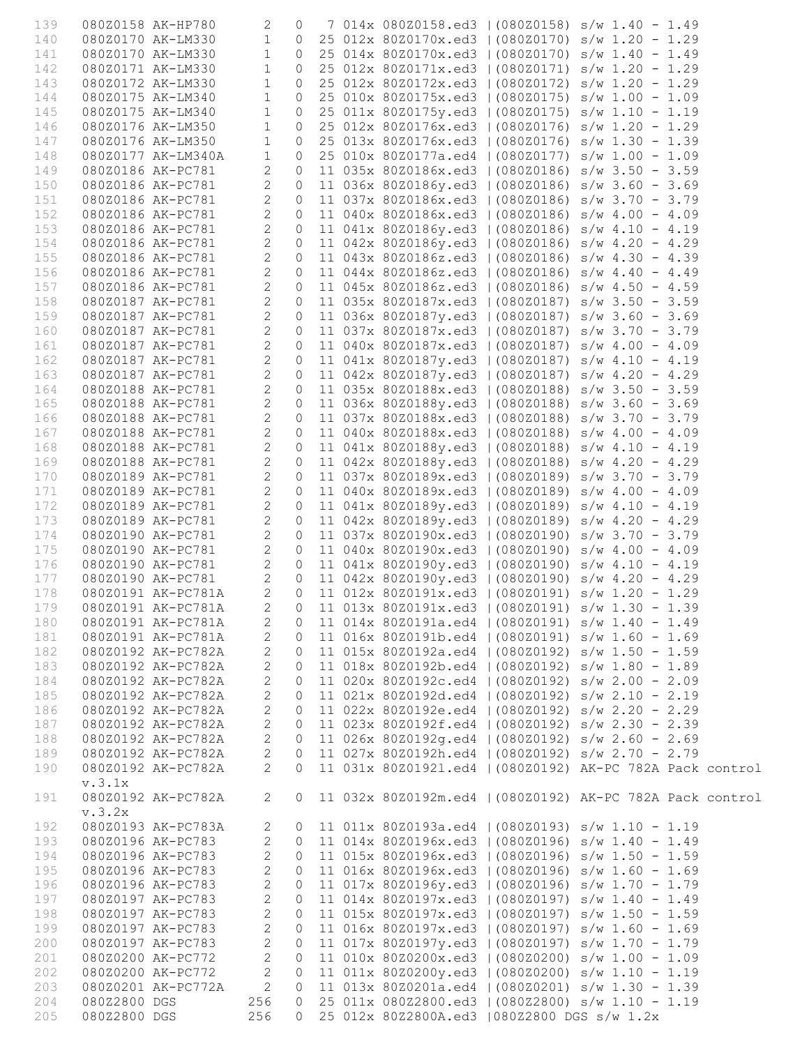| 139        | 080Z0158 AK-HP780 |                                        | 2                              | $\mathbf 0$               |  | 7 014x 080Z0158.ed3   (080Z0158) s/w 1.40 - 1.49                                                       |
|------------|-------------------|----------------------------------------|--------------------------------|---------------------------|--|--------------------------------------------------------------------------------------------------------|
| 140        |                   | 080Z0170 AK-LM330                      | $\mathbf{1}$                   |                           |  | 0 25 012x 80Z0170x.ed3   (080Z0170) s/w 1.20 - 1.29                                                    |
| 141        |                   | 080Z0170 AK-LM330                      | $\mathbf{1}$                   | $\circ$                   |  | 25 014x 80Z0170x.ed3   (080Z0170) s/w 1.40 - 1.49                                                      |
| 142        |                   | 080Z0171 AK-LM330                      | $\mathbf 1$                    | $\circ$                   |  | 25 012x 80Z0171x.ed3   (080Z0171) s/w 1.20 - 1.29                                                      |
| 143        |                   | 080Z0172 AK-LM330                      | $\mathbf 1$                    | $\circ$                   |  | 25 012x 80Z0172x.ed3   (080Z0172) s/w 1.20 - 1.29                                                      |
| 144        |                   | 080Z0175 AK-LM340                      | $\mathbf 1$                    | $\circ$                   |  | 25 010x 80Z0175x.ed3   (080Z0175) s/w 1.00 - 1.09                                                      |
| 145        |                   | 080Z0175 AK-LM340                      | $\mathbf 1$                    | $\circledcirc$            |  | 25 011x 80Z0175y.ed3   (080Z0175) s/w 1.10 - 1.19                                                      |
| 146        |                   | 080Z0176 AK-LM350                      | $\mathbf{1}$                   | $\circ$                   |  | 25 012x 80Z0176x.ed3   (080Z0176) s/w 1.20 - 1.29                                                      |
| 147        |                   | 080Z0176 AK-LM350                      | $\mathbf 1$                    | $\circ$                   |  | 25 013x 80Z0176x.ed3   (080Z0176) s/w 1.30 - 1.39                                                      |
| 148        |                   | 080Z0177 AK-LM340A                     | $\mathbf 1$                    | $\circledcirc$            |  | 25 010x 80Z0177a.ed4   (080Z0177) s/w 1.00 - 1.09                                                      |
| 149        | 080Z0186 AK-PC781 |                                        | $\overline{2}$                 | $\circ$                   |  | 11 035x 80Z0186x.ed3   (080Z0186) s/w 3.50 - 3.59                                                      |
| 150        |                   | 080Z0186 AK-PC781                      | $\overline{2}$                 | $\circ$<br>$\circ$        |  | 11 036x 80Z0186y.ed3   (080Z0186) s/w 3.60 - 3.69<br>11 037x 80Z0186x.ed3   (080Z0186) s/w 3.70 - 3.79 |
| 151        |                   | 080Z0186 AK-PC781                      | $\overline{c}$                 | $\circ$                   |  |                                                                                                        |
| 152<br>153 |                   | 080Z0186 AK-PC781<br>080Z0186 AK-PC781 | $\mathbf{2}$<br>$\overline{c}$ | $\circ$                   |  | 11 040x 80Z0186x.ed3   (080Z0186) s/w 4.00 - 4.09<br>11 041x 80Z0186y.ed3   (080Z0186) s/w 4.10 - 4.19 |
| 154        |                   | 080Z0186 AK-PC781                      | $\overline{c}$                 | $\circ$                   |  | 11 042x 80Z0186y.ed3   (080Z0186) s/w 4.20 - 4.29                                                      |
| 155        |                   | 080Z0186 AK-PC781                      | $\mathbf{2}$                   | $\circ$                   |  | 11 043x 80Z0186z.ed3   (080Z0186) s/w 4.30 - 4.39                                                      |
| 156        |                   | 080Z0186 AK-PC781                      | $\overline{2}$                 | $\circ$                   |  | 11 044x 80Z0186z.ed3   (080Z0186) s/w 4.40 - 4.49                                                      |
| 157        |                   | 080Z0186 AK-PC781                      | $\overline{c}$                 | $\circ$                   |  | 11 045x 80Z0186z.ed3   (080Z0186) s/w 4.50 - 4.59                                                      |
| 158        | 080Z0187 AK-PC781 |                                        | $\mathbf{2}$                   | $\circ$                   |  | 11 035x 80Z0187x.ed3   (080Z0187) s/w 3.50 - 3.59                                                      |
| 159        |                   | 080Z0187 AK-PC781                      | $\mathbf{2}$                   | $\circ$                   |  | 11 036x 80Z0187y.ed3   (080Z0187) s/w 3.60 - 3.69                                                      |
| 160        |                   | 080Z0187 AK-PC781                      | $\overline{c}$                 | $\circ$                   |  | 11 037x 80Z0187x.ed3   (080Z0187) s/w 3.70 - 3.79                                                      |
| 161        |                   | 080Z0187 AK-PC781                      | $\mathbf{2}$                   | $\circ$                   |  | 11 040x 80Z0187x.ed3   (080Z0187) s/w 4.00 - 4.09                                                      |
| 162        |                   | 080Z0187 AK-PC781                      | $\overline{2}$                 | $\circ$                   |  | 11 041x 80Z0187y.ed3   (080Z0187) s/w 4.10 - 4.19                                                      |
| 163        |                   | 080Z0187 AK-PC781                      | $\overline{c}$                 | $\circledcirc$            |  | 11 042x 80Z0187y.ed3   (080Z0187) s/w 4.20 - 4.29                                                      |
| 164        |                   | 080Z0188 AK-PC781                      | $\overline{2}$                 | $\circledcirc$            |  | 11 035x 80Z0188x.ed3   (080Z0188) s/w 3.50 - 3.59                                                      |
| 165        |                   | 080Z0188 AK-PC781                      | $\overline{2}$                 | $\circ$                   |  | 11 036x 80Z0188y.ed3   (080Z0188) s/w 3.60 - 3.69                                                      |
| 166        |                   | 080Z0188 AK-PC781                      | $\overline{c}$                 | $\circ$                   |  | 11 037x 80Z0188x.ed3   (080Z0188) s/w 3.70 - 3.79                                                      |
| 167        |                   | 080Z0188 AK-PC781                      | $\overline{c}$                 | $\circledcirc$            |  | 11 040x 80Z0188x.ed3   (080Z0188) s/w 4.00 - 4.09                                                      |
| 168        |                   | 080Z0188 AK-PC781                      | $\overline{c}$                 | $\circ$                   |  | 11 041x 80Z0188y.ed3   (080Z0188) s/w 4.10 - 4.19                                                      |
| 169        |                   | 080Z0188 AK-PC781                      | $\overline{c}$                 | $\circledcirc$            |  | 11 042x 80Z0188y.ed3   (080Z0188) s/w 4.20 - 4.29                                                      |
| 170        |                   | 080Z0189 AK-PC781                      | $\overline{c}$                 | $\circ$                   |  | 11 037x 80Z0189x.ed3   (080Z0189) s/w 3.70 - 3.79                                                      |
| 171        |                   | 080Z0189 AK-PC781                      | $\overline{c}$                 | $\circ$                   |  | 11 040x 80Z0189x.ed3   (080Z0189) s/w 4.00 - 4.09                                                      |
| 172        |                   | 080Z0189 AK-PC781                      | $\mathbf{2}$                   | $\circ$                   |  | 11 041x 80Z0189y.ed3   (080Z0189) s/w 4.10 - 4.19                                                      |
| 173        |                   | 080Z0189 AK-PC781                      | $\mathbf{2}$<br>$\mathbf{2}$   | $\circledcirc$<br>$\circ$ |  | 11 042x 80Z0189y.ed3   (080Z0189) s/w 4.20 - 4.29                                                      |
| 174<br>175 |                   | 080Z0190 AK-PC781<br>080Z0190 AK-PC781 | $\mathbf{2}$                   | $\circ$                   |  | 11 037x 80Z0190x.ed3   (080Z0190) s/w 3.70 - 3.79<br>11 040x 80Z0190x.ed3   (080Z0190) s/w 4.00 - 4.09 |
| 176        |                   | 080Z0190 AK-PC781                      | $\overline{c}$                 |                           |  | 0 11 041x 80Z0190y.ed3   (080Z0190) s/w 4.10 - 4.19                                                    |
| 177        |                   | 080Z0190 AK-PC781                      | $\overline{2}$                 |                           |  | 0 11 042x 80Z0190y.ed3   (080Z0190) s/w 4.20 - 4.29                                                    |
| 178        |                   | 080Z0191 AK-PC781A                     | $\overline{2}$                 |                           |  | 0 11 012x 80Z0191x.ed3   (080Z0191) s/w 1.20 - 1.29                                                    |
| 179        |                   |                                        |                                |                           |  | 080Z0191 AK-PC781A 2 0 11 013x 80Z0191x.ed3   (080Z0191) s/w 1.30 - 1.39                               |
| 180        |                   | 080Z0191 AK-PC781A                     | $\overline{c}$                 | $\circ$                   |  | 11 014x 80Z0191a.ed4   (080Z0191) s/w 1.40 - 1.49                                                      |
| 181        |                   | 080Z0191 AK-PC781A                     | $\overline{2}$                 | $\circ$                   |  | 11 016x 80Z0191b.ed4   (080Z0191) s/w 1.60 - 1.69                                                      |
| 182        |                   | 080Z0192 AK-PC782A                     | $\overline{2}$                 | $\circ$                   |  | 11 015x 80Z0192a.ed4   (080Z0192) s/w 1.50 - 1.59                                                      |
| 183        |                   | 080Z0192 AK-PC782A                     | $\overline{2}$                 | $\circ$                   |  | 11 018x 80Z0192b.ed4   (080Z0192) s/w 1.80 - 1.89                                                      |
| 184        |                   | 080Z0192 AK-PC782A                     | $\mathbf{2}$                   | $\circ$                   |  | 11 020x 80Z0192c.ed4   (080Z0192) s/w 2.00 - 2.09                                                      |
| 185        |                   | 080Z0192 AK-PC782A                     | $\mathbf{2}$                   | $\circ$                   |  | 11 021x 80Z0192d.ed4   (080Z0192) s/w 2.10 - 2.19                                                      |
| 186        |                   | 080Z0192 AK-PC782A                     | $\overline{2}$                 | $\circ$                   |  | 11 022x 80Z0192e.ed4   (080Z0192) s/w 2.20 - 2.29                                                      |
| 187        |                   | 080Z0192 AK-PC782A                     | $\mathbf{2}$                   | 0                         |  | 11 023x 80Z0192f.ed4   (080Z0192) s/w 2.30 - 2.39                                                      |
| 188        |                   | 080Z0192 AK-PC782A                     | $\overline{2}$                 | $\circ$                   |  | 11 026x 80Z0192g.ed4   (080Z0192) s/w 2.60 - 2.69                                                      |
| 189        |                   | 080Z0192 AK-PC782A                     | $\mathbf{2}$                   | $\circ$                   |  | 11 027x 80Z0192h.ed4   (080Z0192) s/w 2.70 - 2.79                                                      |
| 190        |                   | 080Z0192 AK-PC782A                     | $\overline{2}$                 | $\Omega$                  |  | 11 031x 80Z01921.ed4   (080Z0192) AK-PC 782A Pack control                                              |
|            | v.3.1x            |                                        |                                |                           |  |                                                                                                        |
| 191        | v.3.2x            | 080Z0192 AK-PC782A                     | 2                              | $\circ$                   |  | 11 032x 80Z0192m.ed4   (080Z0192) AK-PC 782A Pack control                                              |
| 192        |                   | 080Z0193 AK-PC783A                     | 2                              | $\circ$                   |  | 11 011x 80Z0193a.ed4   (080Z0193) s/w 1.10 - 1.19                                                      |
| 193        |                   | 080Z0196 AK-PC783                      | $\mathbf{2}$                   | $\circ$                   |  | 11 014x 80Z0196x.ed3   (080Z0196) s/w 1.40 - 1.49                                                      |
| 194        |                   | 080Z0196 AK-PC783                      | $\overline{2}$                 | $\circ$                   |  | 11 015x 80Z0196x.ed3   (080Z0196) s/w 1.50 - 1.59                                                      |
| 195        |                   | 080Z0196 AK-PC783                      | $\overline{c}$                 | $\circ$                   |  | 11 016x 80Z0196x.ed3   (080Z0196) s/w 1.60 - 1.69                                                      |
| 196        |                   | 080Z0196 AK-PC783                      | $\mathbf{2}$                   | $\circ$                   |  | 11 017x 80Z0196y.ed3   (080Z0196) s/w 1.70 - 1.79                                                      |
| 197        |                   | 080Z0197 AK-PC783                      | $\overline{c}$                 | $\circ$                   |  | 11 014x 80Z0197x.ed3   (080Z0197) s/w 1.40 - 1.49                                                      |
| 198        |                   | 080Z0197 AK-PC783                      | $\overline{c}$                 | $\circ$                   |  | 11 015x 80Z0197x.ed3   (080Z0197) s/w 1.50 - 1.59                                                      |
| 199        |                   | 080Z0197 AK-PC783                      | $\overline{c}$                 | $\circ$                   |  | 11 016x 80Z0197x.ed3   (080Z0197) s/w 1.60 - 1.69                                                      |
| 200        |                   | 080Z0197 AK-PC783                      | $\mathbf{2}$                   | $\circ$                   |  | 11 017x 80Z0197y.ed3   (080Z0197) s/w 1.70 - 1.79                                                      |
| 201        |                   | 080Z0200 AK-PC772                      | $\mathbf{2}$                   | $\circ$                   |  | 11 010x 80Z0200x.ed3   (080Z0200) s/w 1.00 - 1.09                                                      |
| 202        |                   | 080Z0200 AK-PC772                      | $\mathbf{2}$                   | $\circ$                   |  | 11 011x 80Z0200y.ed3   (080Z0200) s/w 1.10 - 1.19                                                      |
| 203        |                   | 080Z0201 AK-PC772A                     | 2                              | $\circ$                   |  | 11 013x 80Z0201a.ed4   (080Z0201) s/w 1.30 - 1.39                                                      |
| 204        | 080Z2800 DGS      |                                        | 256                            | $\circ$                   |  | 25 011x 080Z2800.ed3   (080Z2800) s/w 1.10 - 1.19                                                      |
| 205        | 080Z2800 DGS      |                                        | 256                            | $\Omega$                  |  | 25 012x 80Z2800A.ed3   080Z2800 DGS s/w 1.2x                                                           |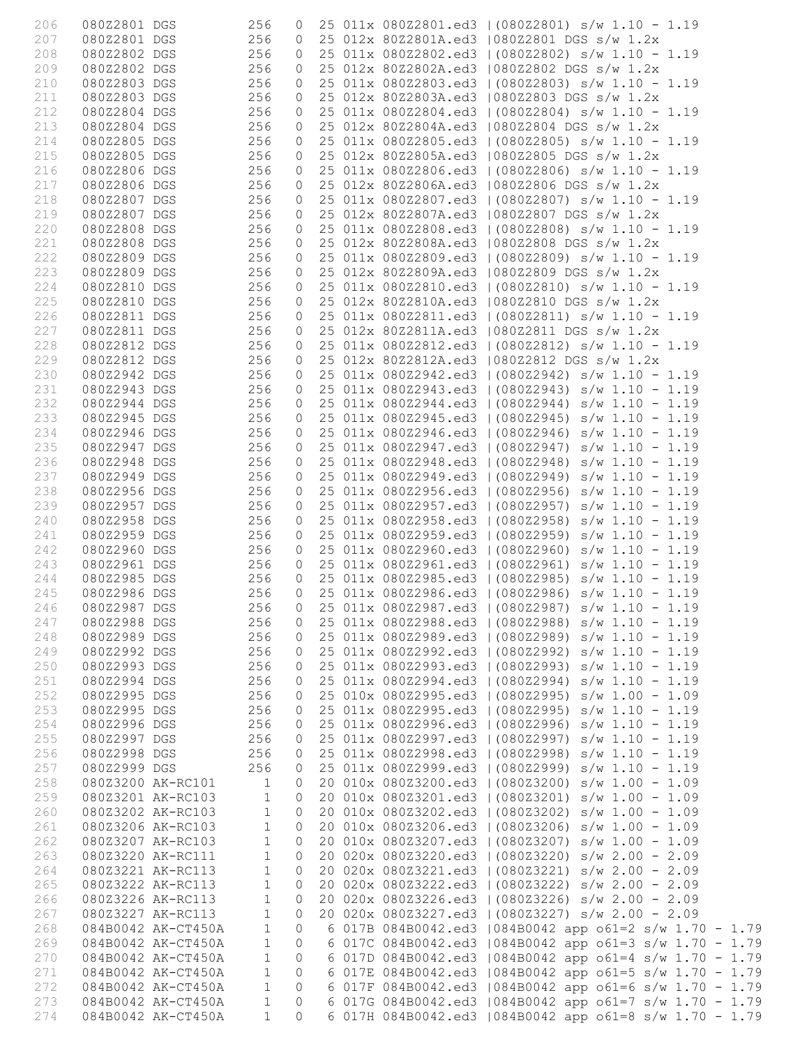| 206 | 080Z2801 DGS      |                    | 256          | 0              |  | 25 011x 080Z2801.ed3   (080Z2801) s/w 1.10 - 1.19        |
|-----|-------------------|--------------------|--------------|----------------|--|----------------------------------------------------------|
| 207 | 080Z2801 DGS      |                    | 256          | 0              |  | 25 012x 80Z2801A.ed3   080Z2801 DGS s/w 1.2x             |
| 208 | 080Z2802 DGS      |                    | 256          | 0              |  | 25 011x 080Z2802.ed3   (080Z2802) s/w 1.10 - 1.19        |
|     |                   |                    |              |                |  |                                                          |
| 209 | 080Z2802 DGS      |                    | 256          | 0              |  | 25 012x 80Z2802A.ed3   080Z2802 DGS s/w 1.2x             |
| 210 | 080Z2803 DGS      |                    | 256          | 0              |  | 25 011x 080Z2803.ed3   (080Z2803) s/w 1.10 - 1.19        |
| 211 | 080Z2803 DGS      |                    | 256          | 0              |  | 25 012x 80Z2803A.ed3   080Z2803 DGS s/w 1.2x             |
| 212 | 080Z2804 DGS      |                    | 256          | 0              |  | 25 011x 080Z2804.ed3   (080Z2804) s/w 1.10 - 1.19        |
|     |                   |                    |              |                |  |                                                          |
| 213 | 080Z2804 DGS      |                    | 256          | 0              |  | 25 012x 80Z2804A.ed3   080Z2804 DGS s/w 1.2x             |
| 214 | 080Z2805 DGS      |                    | 256          | 0              |  | 25 011x 080Z2805.ed3   (080Z2805) s/w 1.10 - 1.19        |
| 215 | 080Z2805 DGS      |                    | 256          | 0              |  | 25 012x 80Z2805A.ed3   080Z2805 DGS s/w 1.2x             |
|     |                   |                    |              |                |  |                                                          |
| 216 | 080Z2806 DGS      |                    | 256          | 0              |  | 25 011x 080Z2806.ed3   (080Z2806) s/w 1.10 - 1.19        |
| 217 | 080Z2806 DGS      |                    | 256          | 0              |  | 25 012x 80Z2806A.ed3   080Z2806 DGS s/w 1.2x             |
| 218 | 080Z2807 DGS      |                    | 256          | 0              |  | 25 011x 080Z2807.ed3   (080Z2807) s/w 1.10 - 1.19        |
| 219 | 080Z2807 DGS      |                    | 256          | 0              |  | 25 012x 80Z2807A.ed3   080Z2807 DGS s/w 1.2x             |
|     |                   |                    |              |                |  |                                                          |
| 220 | 080Z2808 DGS      |                    | 256          | 0              |  | 25 011x 080Z2808.ed3   (080Z2808) s/w 1.10 - 1.19        |
| 221 | 080Z2808 DGS      |                    | 256          | 0              |  | 25 012x 80Z2808A.ed3   080Z2808 DGS s/w 1.2x             |
| 222 | 080Z2809 DGS      |                    | 256          | 0              |  | 25 011x 080Z2809.ed3   (080Z2809) s/w 1.10 - 1.19        |
|     |                   |                    | 256          |                |  | 25 012x 80Z2809A.ed3   080Z2809 DGS s/w 1.2x             |
| 223 | 080Z2809 DGS      |                    |              | 0              |  |                                                          |
| 224 | 080Z2810 DGS      |                    | 256          | 0              |  | 25 011x 080Z2810.ed3   (080Z2810) s/w 1.10 - 1.19        |
| 225 | 080Z2810 DGS      |                    | 256          | 0              |  | 25 012x 80Z2810A.ed3   080Z2810 DGS s/w 1.2x             |
| 226 | 080Z2811 DGS      |                    | 256          | 0              |  | 25 011x 080Z2811.ed3   (080Z2811) s/w 1.10 - 1.19        |
|     |                   |                    |              |                |  |                                                          |
| 227 | 080Z2811 DGS      |                    | 256          | 0              |  | 25 012x 80Z2811A.ed3   080Z2811 DGS s/w 1.2x             |
| 228 | 080Z2812 DGS      |                    | 256          | 0              |  | 25 011x 080Z2812.ed3   (080Z2812) s/w 1.10 - 1.19        |
| 229 | 080Z2812 DGS      |                    | 256          | $\circ$        |  | 25 012x 80Z2812A.ed3   080Z2812 DGS s/w 1.2x             |
| 230 | 080Z2942 DGS      |                    | 256          | 0              |  | 25 011x 080Z2942.ed3   (080Z2942) s/w 1.10 - 1.19        |
|     |                   |                    |              |                |  |                                                          |
| 231 | 080Z2943 DGS      |                    | 256          | 0              |  | 25 011x 080Z2943.ed3   (080Z2943) s/w 1.10 - 1.19        |
| 232 | 080Z2944 DGS      |                    | 256          | 0              |  | 25 011x 080Z2944.ed3   (080Z2944) s/w 1.10 - 1.19        |
| 233 | 080Z2945 DGS      |                    | 256          | 0              |  | 25 011x 080Z2945.ed3   (080Z2945) s/w 1.10 - 1.19        |
|     |                   |                    |              |                |  |                                                          |
| 234 | 080Z2946 DGS      |                    | 256          | 0              |  | 25 011x 080Z2946.ed3   (080Z2946) s/w 1.10 - 1.19        |
| 235 | 080Z2947 DGS      |                    | 256          | 0              |  | 25 011x 080Z2947.ed3   (080Z2947) s/w 1.10 - 1.19        |
| 236 | 080Z2948 DGS      |                    | 256          | 0              |  | 25 011x 080Z2948.ed3   (080Z2948) s/w 1.10 - 1.19        |
| 237 | 080Z2949 DGS      |                    | 256          | 0              |  | 25 011x 080Z2949.ed3   (080Z2949) s/w 1.10 - 1.19        |
|     |                   |                    |              |                |  |                                                          |
| 238 | 080Z2956 DGS      |                    | 256          | 0              |  | 25 011x 080Z2956.ed3   (080Z2956) s/w 1.10 - 1.19        |
| 239 | 080Z2957 DGS      |                    | 256          | 0              |  | 25 011x 080Z2957.ed3   (080Z2957) s/w 1.10 - 1.19        |
| 240 | 080Z2958 DGS      |                    | 256          | 0              |  | 25 011x 080Z2958.ed3   (080Z2958) s/w 1.10 - 1.19        |
|     | 080Z2959 DGS      |                    | 256          | 0              |  | 25 011x 080Z2959.ed3   (080Z2959) s/w 1.10 - 1.19        |
| 241 |                   |                    |              |                |  |                                                          |
| 242 | 080Z2960 DGS      |                    | 256          | $\circ$        |  | 25 011x 080Z2960.ed3   (080Z2960) s/w 1.10 - 1.19        |
| 243 |                   | 080Z2961 DGS       | 256          | $\circ$        |  | 25 011x 080Z2961.ed3   (080Z2961) s/w 1.10 - 1.19        |
| 244 |                   | 080Z2985 DGS 256   |              | $\circ$        |  | 25 011x 080Z2985.ed3   (080Z2985) s/w 1.10 - 1.19        |
|     |                   |                    |              |                |  |                                                          |
| 245 | 080Z2986 DGS      | 256                |              | $\overline{O}$ |  | 25 011x 080Z2986.ed3   (080Z2986) s/w 1.10 - 1.19        |
|     | 246 080Z2987 DGS  |                    |              |                |  | 256 0 25 011x 080Z2987.ed3   (080Z2987) s/w 1.10 - 1.19  |
| 247 | 080Z2988 DGS      |                    | 256          | $\circ$        |  | 25 011x 080Z2988.ed3   (080Z2988) s/w 1.10 - 1.19        |
| 248 | 080Z2989 DGS      |                    | 256          | 0              |  | 25 011x 080Z2989.ed3   (080Z2989) s/w 1.10 - 1.19        |
|     |                   |                    |              |                |  |                                                          |
| 249 | 080Z2992 DGS      |                    | 256          | 0              |  | 25 011x 080Z2992.ed3   (080Z2992) s/w 1.10 - 1.19        |
| 250 | 080Z2993 DGS      |                    | 256          | 0              |  | 25 011x 080Z2993.ed3   (080Z2993) s/w 1.10 - 1.19        |
| 251 | 080Z2994 DGS      |                    | 256          | 0              |  | 25 011x 080Z2994.ed3   (080Z2994) s/w 1.10 - 1.19        |
| 252 | 080Z2995 DGS      |                    | 256          | 0              |  | 25 010x 080Z2995.ed3   (080Z2995) s/w 1.00 - 1.09        |
|     |                   |                    |              |                |  |                                                          |
| 253 | 080Z2995 DGS      |                    | 256          | 0              |  | 25 011x 080Z2995.ed3   (080Z2995) s/w 1.10 - 1.19        |
| 254 | 080Z2996 DGS      |                    | 256          | 0              |  | 25 011x 080Z2996.ed3   (080Z2996) s/w 1.10 - 1.19        |
| 255 | 080Z2997 DGS      |                    | 256          | 0              |  | 25 011x 080Z2997.ed3   (080Z2997) s/w 1.10 - 1.19        |
| 256 | 080Z2998 DGS      |                    | 256          | 0              |  | 25 011x 080Z2998.ed3   (080Z2998) s/w 1.10 - 1.19        |
|     |                   |                    |              |                |  |                                                          |
| 257 | 080Z2999 DGS      |                    | 256          | 0              |  | 25 011x 080Z2999.ed3   (080Z2999) s/w 1.10 - 1.19        |
| 258 | 080Z3200 AK-RC101 |                    | 1            | 0              |  | 20 010x 080Z3200.ed3   (080Z3200) s/w 1.00 - 1.09        |
| 259 |                   | 080Z3201 AK-RC103  | $\mathbf 1$  | $\circ$        |  | 20 010x 080Z3201.ed3   (080Z3201) s/w 1.00 - 1.09        |
| 260 |                   | 080Z3202 AK-RC103  | $\mathbf 1$  | 0              |  | 20 010x 080Z3202.ed3   (080Z3202) s/w 1.00 - 1.09        |
|     |                   |                    |              |                |  |                                                          |
| 261 |                   | 080Z3206 AK-RC103  | $\mathbf{1}$ | $\circ$        |  | 20 010x 080Z3206.ed3   (080Z3206) s/w 1.00 - 1.09        |
| 262 |                   | 080Z3207 AK-RC103  | $\mathbf 1$  | $\circ$        |  | 20 010x 080Z3207.ed3   (080Z3207) s/w 1.00 - 1.09        |
| 263 |                   | 080Z3220 AK-RC111  | $\mathbf 1$  | $\circ$        |  | 20 020x 080Z3220.ed3   (080Z3220) s/w 2.00 - 2.09        |
| 264 |                   | 080Z3221 AK-RC113  | $\mathbf 1$  | 0              |  | 20 020x 080Z3221.ed3   (080Z3221) s/w 2.00 - 2.09        |
|     |                   |                    |              |                |  |                                                          |
| 265 |                   | 080Z3222 AK-RC113  | $\mathbf 1$  | 0              |  | 20 020x 080Z3222.ed3   (080Z3222) s/w 2.00 - 2.09        |
| 266 |                   | 080Z3226 AK-RC113  | $\mathbf 1$  | $\circ$        |  | 20 020x 080Z3226.ed3   (080Z3226) s/w 2.00 - 2.09        |
| 267 |                   | 080Z3227 AK-RC113  | $\mathbf 1$  | $\mathbf{0}$   |  | 20 020x 080Z3227.ed3   (080Z3227) s/w 2.00 - 2.09        |
|     |                   |                    |              |                |  |                                                          |
| 268 |                   | 084B0042 AK-CT450A | $\mathbf{1}$ | $\circ$        |  | 6 017B 084B0042.ed3   084B0042 app o61=2 s/w 1.70 - 1.79 |
| 269 |                   | 084B0042 AK-CT450A | $\mathbf{1}$ | $\circ$        |  | 6 017C 084B0042.ed3   084B0042 app o61=3 s/w 1.70 - 1.79 |
| 270 |                   | 084B0042 AK-CT450A | $\mathbf{1}$ | $\circ$        |  | 6 017D 084B0042.ed3   084B0042 app o61=4 s/w 1.70 - 1.79 |
| 271 |                   | 084B0042 AK-CT450A | $\mathbf{1}$ | $\circ$        |  | 6 017E 084B0042.ed3   084B0042 app o61=5 s/w 1.70 - 1.79 |
|     |                   |                    |              |                |  |                                                          |
| 272 |                   | 084B0042 AK-CT450A | $\mathbf{1}$ | $\circ$        |  | 6 017F 084B0042.ed3   084B0042 app o61=6 s/w 1.70 - 1.79 |
| 273 |                   | 084B0042 AK-CT450A | $\mathbf{1}$ | $\Omega$       |  | 6 017G 084B0042.ed3   084B0042 app o61=7 s/w 1.70 - 1.79 |
| 274 |                   | 084B0042 AK-CT450A | $\mathbf{1}$ | $\Omega$       |  | 6 017H 084B0042.ed3   084B0042 app o61=8 s/w 1.70 - 1.79 |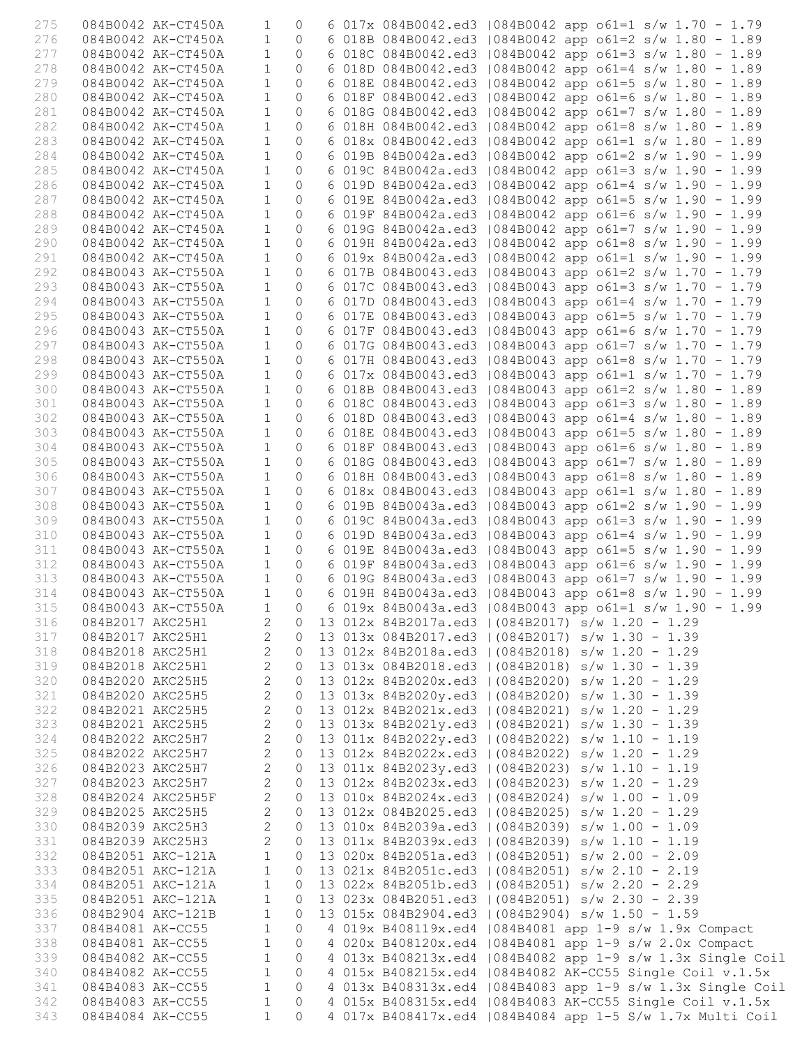| 275 |                  | 084B0042 AK-CT450A  | $\mathbf{1}$               | $\circ$        |  | 6 017x 084B0042.ed3   084B0042 app o61=1 s/w 1.70 - 1.79      |
|-----|------------------|---------------------|----------------------------|----------------|--|---------------------------------------------------------------|
|     |                  |                     |                            |                |  |                                                               |
| 276 |                  | 084B0042 AK-CT450A  | $\mathbf{1}$               | $\Omega$       |  | 6 018B 084B0042.ed3   084B0042 app o61=2 s/w 1.80 - 1.89      |
| 277 |                  | 084B0042 AK-CT450A  | $\mathbf{1}$               | $\circ$        |  | 6 018C 084B0042.ed3   084B0042 app o61=3 s/w 1.80 - 1.89      |
| 278 |                  | 084B0042 AK-CT450A  | $\mathbf{1}$               | $\circ$        |  | 6 018D 084B0042.ed3   084B0042 app o61=4 s/w 1.80 - 1.89      |
| 279 |                  | 084B0042 AK-CT450A  | $\mathbf{1}$               | $\Omega$       |  | 6 018E 084B0042.ed3   084B0042 app o61=5 s/w 1.80 - 1.89      |
| 280 |                  | 084B0042 AK-CT450A  | $\mathbf{1}$               | $\circ$        |  | 6 018F 084B0042.ed3   084B0042 app o61=6 s/w 1.80 - 1.89      |
| 281 |                  | 084B0042 AK-CT450A  | $\mathbf{1}$               | $\circ$        |  | 6 018G 084B0042.ed3   084B0042 app o61=7 s/w 1.80 - 1.89      |
| 282 |                  | 084B0042 AK-CT450A  | $\mathbf{1}$               | $\circ$        |  |                                                               |
|     |                  |                     |                            |                |  | 6 018H 084B0042.ed3   084B0042 app o61=8 s/w 1.80 - 1.89      |
| 283 |                  | 084B0042 AK-CT450A  | $\mathbf{1}$               | $\circ$        |  | 6 018x 084B0042.ed3   084B0042 app o61=1 s/w 1.80 - 1.89      |
| 284 |                  | 084B0042 AK-CT450A  | $\mathbf{1}$               | $\circ$        |  | 6 019B 84B0042a.ed3   084B0042 app o61=2 s/w 1.90 - 1.99      |
| 285 |                  | 084B0042 AK-CT450A  | $\mathbf{1}$               | $\circ$        |  | 6 019C 84B0042a.ed3   084B0042 app o61=3 s/w 1.90 - 1.99      |
| 286 |                  | 084B0042 AK-CT450A  | $\mathbf{1}$               | $\Omega$       |  | 6 019D 84B0042a.ed3   084B0042 app o61=4 s/w 1.90 - 1.99      |
| 287 |                  | 084B0042 AK-CT450A  | $\mathbf{1}$               | $\Omega$       |  | 6 019E 84B0042a.ed3   084B0042 app o61=5 s/w 1.90 - 1.99      |
| 288 |                  | 084B0042 AK-CT450A  | $\mathbf{1}$               | $\Omega$       |  | 6 019F 84B0042a.ed3   084B0042 app o61=6 s/w 1.90 - 1.99      |
| 289 |                  | 084B0042 AK-CT450A  | $\mathbf{1}$               | $\circ$        |  | 6 019G 84B0042a.ed3   084B0042 app o61=7 s/w 1.90 - 1.99      |
|     |                  |                     |                            |                |  |                                                               |
| 290 |                  | 084B0042 AK-CT450A  | $\mathbf{1}$               | $\circ$        |  | 6 019H 84B0042a.ed3   084B0042 app o61=8 s/w 1.90 - 1.99      |
| 291 |                  | 084B0042 AK-CT450A  | $\mathbf{1}$               | $\circ$        |  | 6 019x 84B0042a.ed3   084B0042 app o61=1 s/w 1.90 - 1.99      |
| 292 |                  | 084B0043 AK-CT550A  | $\mathbf{1}$               | $\Omega$       |  | 6 017B 084B0043.ed3   084B0043 app o61=2 s/w 1.70 - 1.79      |
| 293 |                  | 084B0043 AK-CT550A  | $\mathbf{1}$               | $\circ$        |  | 6 017C 084B0043.ed3   084B0043 app o61=3 s/w 1.70 - 1.79      |
| 294 |                  | 084B0043 AK-CT550A  | $\mathbf{1}$               | $\circ$        |  | 6 017D 084B0043.ed3   084B0043 app o61=4 s/w 1.70 - 1.79      |
| 295 |                  | 084B0043 AK-CT550A  | $\mathbf{1}$               | $\circ$        |  | 6 017E 084B0043.ed3   084B0043 app o61=5 s/w 1.70 - 1.79      |
| 296 |                  | 084B0043 AK-CT550A  | $\mathbf{1}$               | $\circ$        |  | 6 017F 084B0043.ed3   084B0043 app o61=6 s/w 1.70 - 1.79      |
| 297 |                  | 084B0043 AK-CT550A  | $\mathbf{1}$               | $\circ$        |  | 6 017G 084B0043.ed3   084B0043 app o61=7 s/w 1.70 - 1.79      |
| 298 |                  | 084B0043 AK-CT550A  | $\mathbf{1}$               | $\Omega$       |  | 6 017H 084B0043.ed3   084B0043 app o61=8 s/w 1.70 - 1.79      |
| 299 |                  | 084B0043 AK-CT550A  | $\mathbf{1}$               | $\Omega$       |  | 6 017x 084B0043.ed3   084B0043 app o61=1 s/w 1.70 - 1.79      |
|     |                  |                     |                            |                |  |                                                               |
| 300 |                  | 084B0043 AK-CT550A  | $\mathbf{1}$               | $\Omega$       |  | 6 018B 084B0043.ed3   084B0043 app o61=2 s/w 1.80 - 1.89      |
| 301 |                  | 084B0043 AK-CT550A  | $\mathbf{1}$               | $\Omega$       |  | 6 018C 084B0043.ed3   084B0043 app o61=3 s/w 1.80 - 1.89      |
| 302 |                  | 084B0043 AK-CT550A  | $\mathbf{1}$               | $\circ$        |  | 6 018D 084B0043.ed3   084B0043 app o61=4 s/w 1.80 - 1.89      |
| 303 |                  | 084B0043 AK-CT550A  | $\mathbf{1}$               | $\circ$        |  | 6 018E 084B0043.ed3   084B0043 app o61=5 s/w 1.80 - 1.89      |
| 304 |                  | 084B0043 AK-CT550A  | $\mathbf{1}$               | $\circ$        |  | 6 018F 084B0043.ed3   084B0043 app o61=6 s/w 1.80 - 1.89      |
| 305 |                  | 084B0043 AK-CT550A  | $\mathbf{1}$               | $\circ$        |  | 6 018G 084B0043.ed3   084B0043 app o61=7 s/w 1.80 - 1.89      |
| 306 |                  | 084B0043 AK-CT550A  | $\mathbf{1}$               | $\circ$        |  | 6 018H 084B0043.ed3   084B0043 app o61=8 s/w 1.80 - 1.89      |
| 307 |                  | 084B0043 AK-CT550A  | $\mathbf{1}$               | $\circ$        |  | 6 018x 084B0043.ed3   084B0043 app o61=1 s/w 1.80 - 1.89      |
| 308 |                  | 084B0043 AK-CT550A  | $\mathbf{1}$               | $\circ$        |  | 6 019B 84B0043a.ed3   084B0043 app o61=2 s/w 1.90 - 1.99      |
| 309 |                  | 084B0043 AK-CT550A  | $\mathbf{1}$               | $\circ$        |  | 6 019C 84B0043a.ed3   084B0043 app o61=3 s/w 1.90 - 1.99      |
|     |                  |                     | $\mathbf{1}$               | $\circ$        |  |                                                               |
| 310 |                  | 084B0043 AK-CT550A  |                            |                |  | 6 019D 84B0043a.ed3   084B0043 app o61=4 s/w 1.90 - 1.99      |
| 311 |                  | 084B0043 AK-CT550A  | $\mathbf{1}$               | $\Omega$       |  | 6 019E 84B0043a.ed3   084B0043 app o61=5 s/w 1.90 - 1.99      |
| 312 |                  | 084B0043 AK-CT550A  | $\mathbf{1}$               | $\Omega$       |  | 6 019F 84B0043a.ed3   084B0043 app o61=6 s/w 1.90 - 1.99      |
| 313 |                  | 084B0043 AK-CT550A  | $\mathbf{1}$               | $\Omega$       |  | 6 019G 84B0043a.ed3   084B0043 app o61=7 s/w 1.90 - 1.99      |
| 314 |                  | 084B0043 AK-CT550A  | $\mathbf{1}$               | $\Omega$       |  | 6 019H 84B0043a.ed3   084B0043 app o61=8 s/w 1.90 - 1.99      |
| 315 |                  | 084B0043 AK-CT550A  |                            |                |  | 1 0 6 019x 84B0043a.ed3   084B0043 app o61=1 s/w 1.90 - 1.99  |
| 316 | 084B2017 AKC25H1 |                     | $\mathbf{2}$               | $\circ$        |  | 13 012x 84B2017a.ed3   (084B2017) s/w 1.20 - 1.29             |
| 317 | 084B2017 AKC25H1 |                     | 2                          | $\circ$        |  | 13 013x 084B2017.ed3   (084B2017) s/w 1.30 - 1.39             |
| 318 |                  | 084B2018 AKC25H1    | $\overline{2}$             | $\circ$        |  | 13 012x 84B2018a.ed3   (084B2018) s/w 1.20 - 1.29             |
| 319 | 084B2018 AKC25H1 |                     | $\overline{2}$             | $\circ$        |  | 13 013x 084B2018.ed3   (084B2018) s/w 1.30 - 1.39             |
| 320 | 084B2020 AKC25H5 |                     | $\mathbf{2}$               | $\circ$        |  | 13 012x 84B2020x.ed3   (084B2020) s/w 1.20 - 1.29             |
|     |                  |                     | $\mathbf{2}$               |                |  |                                                               |
| 321 | 084B2020 AKC25H5 |                     |                            | $\circ$        |  | 13 013x 84B2020y.ed3   (084B2020) s/w 1.30 - 1.39             |
| 322 | 084B2021 AKC25H5 |                     | $\overline{2}$             | $\circ$        |  | 13 012x 84B2021x.ed3   (084B2021) s/w 1.20 - 1.29             |
| 323 | 084B2021 AKC25H5 |                     | 2                          | $\circ$        |  | 13 013x 84B2021y.ed3   (084B2021) s/w 1.30 - 1.39             |
| 324 | 084B2022 AKC25H7 |                     | $\overline{c}$             | $\circ$        |  | 13 011x 84B2022y.ed3   (084B2022) s/w 1.10 - 1.19             |
| 325 | 084B2022 AKC25H7 |                     | $\overline{2}$             | $\circ$        |  | 13 012x 84B2022x.ed3   (084B2022) s/w 1.20 - 1.29             |
| 326 | 084B2023 AKC25H7 |                     | $\overline{2}$             | $\circ$        |  | 13 011x 84B2023y.ed3   (084B2023) s/w 1.10 - 1.19             |
| 327 | 084B2023 AKC25H7 |                     | $\overline{2}$             | $\circ$        |  | 13 012x 84B2023x.ed3   (084B2023) s/w 1.20 - 1.29             |
| 328 |                  | 084B2024 AKC25H5F   | $\overline{2}$             | $\circ$        |  | 13 010x 84B2024x.ed3   (084B2024) s/w 1.00 - 1.09             |
| 329 | 084B2025 AKC25H5 |                     | 2                          | $\circ$        |  | 13 012x 084B2025.ed3   (084B2025) s/w 1.20 - 1.29             |
| 330 |                  | 084B2039 AKC25H3    | $\overline{\phantom{0}}$ 2 | $\circ$        |  | 13 010x 84B2039a.ed3   (084B2039) s/w 1.00 - 1.09             |
| 331 |                  | 084B2039 AKC25H3    | $\overline{2}$             | $\circ$        |  | 13 011x 84B2039x.ed3   (084B2039) s/w 1.10 - 1.19             |
| 332 |                  | 084B2051 AKC-121A 1 |                            | $\circ$        |  | 13 020x 84B2051a.ed3   (084B2051) s/w 2.00 - 2.09             |
|     |                  |                     |                            |                |  |                                                               |
| 333 |                  | 084B2051 AKC-121A   | $\mathbf{1}$               | $\circ$        |  | 13 021x 84B2051c.ed3   (084B2051) s/w 2.10 - 2.19             |
| 334 |                  | 084B2051 AKC-121A   | $\mathbf{1}$               | $\circ$        |  | 13 022x 84B2051b.ed3   (084B2051) s/w 2.20 - 2.29             |
| 335 |                  | 084B2051 AKC-121A   | $\mathbf{1}$               | $\circ$        |  | 13 023x 084B2051.ed3   (084B2051) s/w 2.30 - 2.39             |
| 336 |                  | 084B2904 AKC-121B   | $\mathbf{1}$               | $\circ$        |  | 13 015x 084B2904.ed3   (084B2904) s/w 1.50 - 1.59             |
| 337 |                  | 084B4081 AK-CC55    | $\overline{1}$             | $\circ$        |  | 4 019x B408119x.ed4   084B4081 app 1-9 s/w 1.9x Compact       |
| 338 |                  | 084B4081 AK-CC55    | $\mathbf{1}$               | $\circ$        |  | 4 020x B408120x.ed4   084B4081 app 1-9 s/w 2.0x Compact       |
| 339 | 084B4082 AK-CC55 |                     | $\mathbf{1}$               |                |  | 0 4 013x B408213x.ed4   084B4082 app 1-9 s/w 1.3x Single Coil |
| 340 | 084B4082 AK-CC55 |                     | $\mathbf{1}$               | $\overline{0}$ |  | 4 015x B408215x.ed4   084B4082 AK-CC55 Single Coil v.1.5x     |
| 341 |                  | 084B4083 AK-CC55    | $\overline{1}$             | $\circ$        |  | 4 013x B408313x.ed4   084B4083 app 1-9 s/w 1.3x Single Coil   |
| 342 |                  |                     | $\mathbf{1}$               | $\circ$        |  | 4 015x B408315x.ed4   084B4083 AK-CC55 Single Coil v.1.5x     |
|     | 084B4083 AK-CC55 |                     |                            |                |  |                                                               |
| 343 | 084B4084 AK-CC55 |                     | $\mathbf{1}$               | $\circ$        |  | 4 017x B408417x.ed4   084B4084 app 1-5 S/w 1.7x Multi Coil    |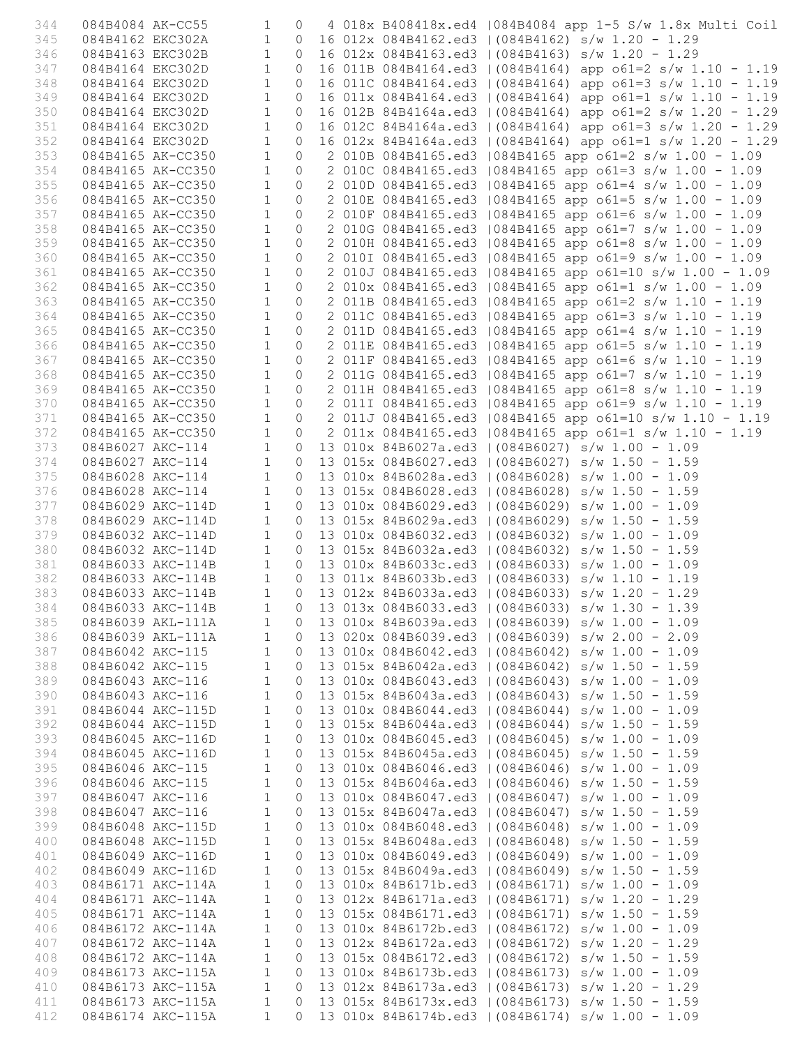| 344        |                  | 084B4084 AK-CC55                                                                     | 1                            |                           |  | 0 4 018x B408418x.ed4   084B4084 app 1-5 S/w 1.8x Multi Coil                                                         |
|------------|------------------|--------------------------------------------------------------------------------------|------------------------------|---------------------------|--|----------------------------------------------------------------------------------------------------------------------|
| 345        |                  | 084B4162 EKC302A                                                                     | 1                            |                           |  | 0 16 012x 084B4162.ed3   (084B4162) s/w 1.20 - 1.29                                                                  |
| 346        |                  | 084B4163 EKC302B 1                                                                   |                              |                           |  | 0 16 012x 084B4163.ed3   (084B4163) s/w 1.20 - 1.29                                                                  |
| 347        |                  | 084B4164 EKC302D 1                                                                   |                              |                           |  | 0 16 011B 084B4164.ed3   (084B4164) app o61=2 s/w 1.10 - 1.19                                                        |
| 348        | 084B4164 EKC302D |                                                                                      | $\mathbf{1}$                 |                           |  | 0 16 011C 084B4164.ed3   (084B4164) app o61=3 s/w 1.10 - 1.19                                                        |
| 349        |                  | 084B4164 EKC302D 1<br>084B4164 EKC302D 1                                             | $\mathbf{1}$                 |                           |  | 0 16 011x 084B4164.ed3   (084B4164) app o61=1 s/w 1.10 - 1.19                                                        |
| 350        |                  |                                                                                      |                              | $\circ$                   |  | 16 012B 84B4164a.ed3   (084B4164) app o61=2 s/w 1.20 - 1.29                                                          |
| 351        |                  | 084B4164 EKC302D                                                                     | $\mathbf{1}$                 | $\circ$                   |  | 16 012C 84B4164a.ed3   (084B4164) app o61=3 s/w 1.20 - 1.29                                                          |
| 352        |                  | 084B4164 EKC302D                                                                     | $\mathbf{1}$                 | $\circ$                   |  | 16 012x 84B4164a.ed3   (084B4164) app o61=1 s/w 1.20 - 1.29                                                          |
| 353        |                  | 084B4165 AK-CC350                                                                    | 1                            |                           |  | 0 2 010B 084B4165.ed3   084B4165 app o61=2 s/w 1.00 - 1.09                                                           |
| 354        |                  | 084B4165 AK-CC350                                                                    | $\mathbf{1}$                 |                           |  | 0 2 010C 084B4165.ed3   084B4165 app o61=3 s/w 1.00 - 1.09                                                           |
| 355        |                  | 084B4165 AK-CC350                                                                    | $\mathbf{1}$                 | $\overline{0}$            |  | 2 010D 084B4165.ed3   084B4165 app o61=4 s/w 1.00 - 1.09                                                             |
| 356        |                  | 084B4165 AK-CC350                                                                    | $\mathbf{1}$<br>$\mathbf{1}$ | $\circledcirc$            |  | 2 010E 084B4165.ed3   084B4165 app o61=5 s/w 1.00 - 1.09                                                             |
| 357<br>358 |                  | 084B4165 AK-CC350<br>084B4165 AK-CC350                                               | $\mathbf{1}$                 | $\circ$<br>$\overline{0}$ |  | 2 010F 084B4165.ed3   084B4165 app o61=6 s/w 1.00 - 1.09<br>2 010G 084B4165.ed3   084B4165 app o61=7 s/w 1.00 - 1.09 |
| 359        |                  | 084B4165 AK-CC350                                                                    | $\mathbf{1}$                 |                           |  | 0 2 010H 084B4165.ed3   084B4165 app o61=8 s/w 1.00 - 1.09                                                           |
| 360        |                  | 084B4165 AK-CC350                                                                    | $\mathbf{1}$                 |                           |  | 0 2 010I 084B4165.ed3   084B4165 app o61=9 s/w 1.00 - 1.09                                                           |
| 361        |                  | 084B4165 AK-CC350                                                                    | $\mathbf{1}$                 | $\circ$                   |  | 2 010J 084B4165.ed3   084B4165 app o61=10 s/w 1.00 - 1.09                                                            |
| 362        |                  | 084B4165 AK-CC350                                                                    | $\mathbf{1}$                 | $\circ$                   |  | 2 010x 084B4165.ed3   084B4165 app o61=1 s/w 1.00 - 1.09                                                             |
| 363        |                  | 084B4165 AK-CC350                                                                    | $\mathbf{1}$                 | $\circ$                   |  | 2 011B 084B4165.ed3   084B4165 app o61=2 s/w 1.10 - 1.19                                                             |
| 364        |                  | 084B4165 AK-CC350                                                                    | $\mathbf{1}$                 | $\circ$                   |  | 2 011C 084B4165.ed3   084B4165 app o61=3 s/w 1.10 - 1.19                                                             |
| 365        |                  | 084B4165 AK-CC350                                                                    | $\mathbf{1}$                 |                           |  | 0 2 011D 084B4165.ed3   084B4165 app o61=4 s/w 1.10 - 1.19                                                           |
| 366        |                  | 084B4165 AK-CC350                                                                    | $\mathbf{1}$                 |                           |  | 0 2 011E 084B4165.ed3   084B4165 app o61=5 s/w 1.10 - 1.19                                                           |
| 367        |                  | 084B4165 AK-CC350                                                                    | $\mathbf{1}$                 | $\circ$                   |  | 2 011F 084B4165.ed3   084B4165 app o61=6 s/w 1.10 - 1.19                                                             |
| 368        |                  | 084B4165 AK-CC350                                                                    | $\mathbf{1}$                 | $\circ$                   |  | 2 011G 084B4165.ed3   084B4165 app o61=7 s/w 1.10 - 1.19                                                             |
| 369        |                  | 084B4165 AK-CC350                                                                    | $\mathbf{1}$                 |                           |  | 0 2 011H 084B4165.ed3   084B4165 app o61=8 s/w 1.10 - 1.19                                                           |
| 370        |                  | 084B4165 AK-CC350                                                                    | $\mathbf{1}$                 |                           |  | 0 2 011I 084B4165.ed3   084B4165 app o61=9 s/w 1.10 - 1.19                                                           |
| 371        |                  | 084B4165 AK-CC350                                                                    | $\mathbf{1}$                 |                           |  | 0 2 011J 084B4165.ed3   084B4165 app o61=10 s/w 1.10 - 1.19                                                          |
| 372        |                  | 084B4165 AK-CC350                                                                    | $\mathbf{1}$                 |                           |  | 0 2 011x 084B4165.ed3   084B4165 app o61=1 s/w 1.10 - 1.19                                                           |
| 373        |                  | 084B6027 AKC-114 1<br>084B6027 AKC-114 1<br>084B6028 AKC-114 1<br>084B6028 AKC-114 1 |                              |                           |  | 0 13 010x 84B6027a.ed3   (084B6027) s/w 1.00 - 1.09                                                                  |
| 374        |                  |                                                                                      |                              |                           |  | 0 13 015x 084B6027.ed3   (084B6027) s/w 1.50 - 1.59                                                                  |
| 375        |                  |                                                                                      |                              |                           |  | 0 13 010x 84B6028a.ed3   (084B6028) s/w 1.00 - 1.09                                                                  |
| 376        |                  |                                                                                      |                              |                           |  | 0 13 015x 084B6028.ed3   (084B6028) s/w 1.50 - 1.59                                                                  |
| 377        |                  | 084B6029 AKC-114D                                                                    | $\mathbf{1}$                 |                           |  | 0 13 010x 084B6029.ed3   (084B6029) s/w 1.00 - 1.09                                                                  |
| 378        |                  | 084B6029 AKC-114D                                                                    | 1                            |                           |  | 0 13 015x 84B6029a.ed3   (084B6029) s/w 1.50 - 1.59                                                                  |
| 379        |                  | 084B6032 AKC-114D                                                                    | $\mathbf{1}$                 |                           |  | 0 13 010x 084B6032.ed3   (084B6032) s/w 1.00 - 1.09                                                                  |
| 380        |                  |                                                                                      |                              |                           |  | 0 13 015x 84B6032a.ed3   (084B6032) s/w 1.50 - 1.59                                                                  |
| 381        |                  | 084B6032 AKC-114D 1<br>084B6033 AKC-114B 1<br>084B6033 AKC-114B 1                    |                              |                           |  | 0 13 010x 84B6033c.ed3   (084B6033) $s/w 1.00 - 1.09$                                                                |
| 382        |                  |                                                                                      |                              |                           |  | 0 13 011x 84B6033b.ed3   (084B6033) s/w 1.10 - 1.19                                                                  |
| 383        |                  | 084B6033 AKC-114B 1                                                                  |                              |                           |  | 0 13 012x 84B6033a.ed3   (084B6033) $s/w$ 1.20 - 1.29                                                                |
| 384        |                  |                                                                                      |                              |                           |  | 084B6033 AKC-114B 1 0 13 013x 084B6033.ed3   (084B6033) s/w 1.30 - 1.39                                              |
| 385        |                  | 084B6039 AKL-111A                                                                    | $\mathbf{1}$                 | 0                         |  | 13 010x 84B6039a.ed3   (084B6039) s/w 1.00 - 1.09                                                                    |
| 386        |                  | 084B6039 AKL-111A                                                                    | $\mathbf{1}$                 | $\circ$                   |  | 13 020x 084B6039.ed3   (084B6039) s/w 2.00 - 2.09                                                                    |
| 387<br>388 | 084B6042 AKC-115 | 084B6042 AKC-115                                                                     | $\mathbf{1}$<br>$\mathbf{1}$ | $\circ$<br>$\circ$        |  | 13 010x 084B6042.ed3   (084B6042) s/w 1.00 - 1.09<br>13 015x 84B6042a.ed3   (084B6042) s/w 1.50 - 1.59               |
| 389        | 084B6043 AKC-116 |                                                                                      | $\mathbf{1}$                 | $\circ$                   |  | 13 010x 084B6043.ed3   (084B6043) s/w 1.00 - 1.09                                                                    |
| 390        |                  | 084B6043 AKC-116                                                                     | $\mathbf{1}$                 | $\circ$                   |  | 13 015x 84B6043a.ed3   (084B6043) s/w 1.50 - 1.59                                                                    |
| 391        |                  | 084B6044 AKC-115D                                                                    | $\mathbf{1}$                 | $\circ$                   |  | 13 010x 084B6044.ed3   (084B6044) s/w 1.00 - 1.09                                                                    |
| 392        |                  | 084B6044 AKC-115D                                                                    | $\mathbf{1}$                 | $\circ$                   |  | 13 015x 84B6044a.ed3   (084B6044) s/w 1.50 - 1.59                                                                    |
| 393        |                  | 084B6045 AKC-116D                                                                    | $\mathbf{1}$                 | $\circ$                   |  | 13 010x 084B6045.ed3   (084B6045) s/w 1.00 - 1.09                                                                    |
| 394        |                  | 084B6045 AKC-116D                                                                    | $\mathbf{1}$                 | $\circ$                   |  | 13 015x 84B6045a.ed3   (084B6045) s/w 1.50 - 1.59                                                                    |
| 395        | 084B6046 AKC-115 |                                                                                      | $\mathbf{1}$                 | $\circ$                   |  | 13 010x 084B6046.ed3   (084B6046) s/w 1.00 - 1.09                                                                    |
| 396        | 084B6046 AKC-115 |                                                                                      | $\mathbf{1}$                 |                           |  | 0 13 015x 84B6046a.ed3   (084B6046) s/w 1.50 - 1.59                                                                  |
| 397        | 084B6047 AKC-116 |                                                                                      | $\mathbf{1}$                 |                           |  | 0 13 010x 084B6047.ed3   (084B6047) s/w 1.00 - 1.09                                                                  |
| 398        | 084B6047 AKC-116 |                                                                                      | $\mathbf{1}$                 | $\circ$                   |  | 13 015x 84B6047a.ed3   (084B6047) s/w 1.50 - 1.59                                                                    |
| 399        |                  | 084B6048 AKC-115D                                                                    | $\mathbf{1}$                 | $\circ$                   |  | 13 010x 084B6048.ed3   (084B6048) s/w 1.00 - 1.09                                                                    |
| 400        |                  | 084B6048 AKC-115D                                                                    | $\mathbf{1}$                 | $\circledcirc$            |  | 13 015x 84B6048a.ed3   (084B6048) s/w 1.50 - 1.59                                                                    |
| 401        |                  | 084B6049 AKC-116D                                                                    | $\mathbf{1}$                 | $\circ$                   |  | 13 010x 084B6049.ed3   (084B6049) s/w 1.00 - 1.09                                                                    |
| 402        |                  | 084B6049 AKC-116D                                                                    | $\mathbf{1}$                 | $\circ$                   |  | 13 015x 84B6049a.ed3   (084B6049) s/w 1.50 - 1.59                                                                    |
| 403        |                  | 084B6171 AKC-114A                                                                    | $\mathbf{1}$                 | $\circ$                   |  | 13 010x 84B6171b.ed3   (084B6171) s/w 1.00 - 1.09                                                                    |
| 404        |                  | 084B6171 AKC-114A                                                                    | $\mathbf{1}$                 | $\circ$                   |  | 13 012x 84B6171a.ed3   (084B6171) s/w 1.20 - 1.29                                                                    |
| 405        |                  | 084B6171 AKC-114A                                                                    | $\mathbf{1}$                 | $\circ$                   |  | 13 015x 084B6171.ed3   (084B6171) s/w 1.50 - 1.59                                                                    |
| 406        |                  | 084B6172 AKC-114A                                                                    | $\mathbf{1}$                 | $\circ$                   |  | 13 010x 84B6172b.ed3   (084B6172) s/w 1.00 - 1.09                                                                    |
| 407        |                  | 084B6172 AKC-114A                                                                    | $\mathbf{1}$                 | $\circ$                   |  | 13 012x 84B6172a.ed3   (084B6172) s/w 1.20 - 1.29                                                                    |
| 408        |                  | 084B6172 AKC-114A                                                                    | $\mathbf{1}$                 | $\circ$                   |  | 13 015x 084B6172.ed3   (084B6172) s/w 1.50 - 1.59                                                                    |
| 409        |                  | 084B6173 AKC-115A                                                                    | $\mathbf{1}$                 |                           |  | 0 13 010x 84B6173b.ed3   (084B6173) s/w 1.00 - 1.09                                                                  |
| 410        |                  | 084B6173 AKC-115A                                                                    | $\mathbf{1}$                 | $\circ$                   |  | 13 012x 84B6173a.ed3   (084B6173) s/w 1.20 - 1.29                                                                    |
| 411        |                  | 084B6173 AKC-115A                                                                    | $\mathbf{1}$                 | $\circ$                   |  | 13 015x 84B6173x.ed3   (084B6173) s/w 1.50 - 1.59                                                                    |
| 412        |                  | 084B6174 AKC-115A                                                                    | $\mathbf{1}$                 | $\Omega$                  |  | 13 010x 84B6174b.ed3   (084B6174) s/w 1.00 - 1.09                                                                    |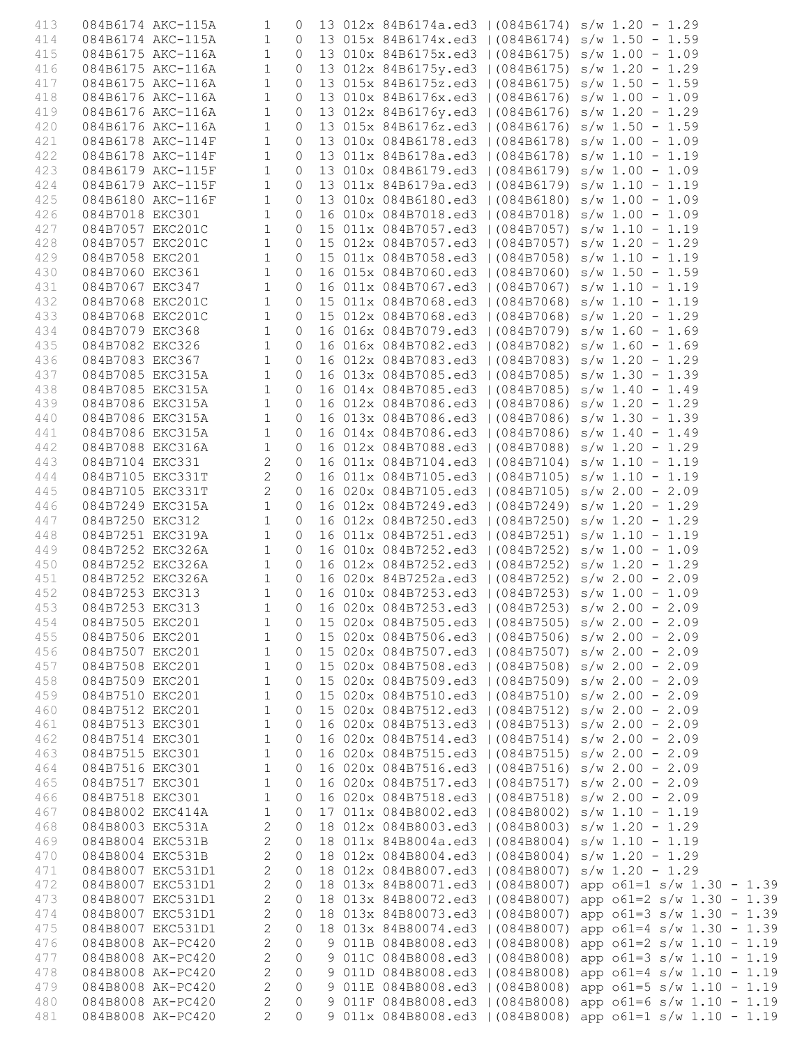| 413 |                   |                                                                                                                                                            |                |         |  | 084B6174 AKC-115A 1 0 13 012x 84B6174a.ed3   (084B6174) s/w 1.20 - 1.29                                                                                                                                                                 |  |                                                                           |
|-----|-------------------|------------------------------------------------------------------------------------------------------------------------------------------------------------|----------------|---------|--|-----------------------------------------------------------------------------------------------------------------------------------------------------------------------------------------------------------------------------------------|--|---------------------------------------------------------------------------|
| 414 |                   |                                                                                                                                                            |                |         |  | 084B6174 AKC-115A 1 0 13 015x 84B6174x.ed3   (084B6174) s/w 1.50 - 1.59                                                                                                                                                                 |  |                                                                           |
| 415 |                   |                                                                                                                                                            |                |         |  | 0 13 010x 84B6175x.ed3   (084B6175) s/w 1.00 - 1.09                                                                                                                                                                                     |  |                                                                           |
|     |                   | 084B6175 AKC-116A 1                                                                                                                                        |                |         |  |                                                                                                                                                                                                                                         |  |                                                                           |
| 416 |                   | 084B6175 AKC-116A 1<br>084B6175 AKC-116A 1                                                                                                                 |                |         |  | 0 13 012x 84B6175y.ed3   (084B6175) $s/w$ 1.20 - 1.29                                                                                                                                                                                   |  |                                                                           |
| 417 |                   |                                                                                                                                                            |                |         |  | 0 13 015x 84B6175z.ed3   (084B6175) s/w 1.50 - 1.59                                                                                                                                                                                     |  |                                                                           |
| 418 |                   | 084B6176 AKC-116A 1                                                                                                                                        |                | $\circ$ |  | 13 010x 84B6176x.ed3   (084B6176) s/w 1.00 - 1.09                                                                                                                                                                                       |  |                                                                           |
| 419 |                   | 084B6176 AKC-116A 1                                                                                                                                        |                |         |  | 0 13 012x 84B6176y.ed3   (084B6176) s/w 1.20 - 1.29                                                                                                                                                                                     |  |                                                                           |
| 420 |                   | 084B6176 AKC-116A                                                                                                                                          | $\overline{1}$ |         |  | 0 13 015x 84B6176z.ed3   (084B6176) s/w 1.50 - 1.59                                                                                                                                                                                     |  |                                                                           |
| 421 |                   | 084B6178 AKC-114F 1                                                                                                                                        |                | $\circ$ |  | 13 010x 084B6178.ed3   (084B6178) s/w 1.00 - 1.09                                                                                                                                                                                       |  |                                                                           |
| 422 |                   |                                                                                                                                                            |                |         |  | 0 13 011x 84B6178a.ed3   (084B6178) s/w 1.10 - 1.19                                                                                                                                                                                     |  |                                                                           |
| 423 |                   |                                                                                                                                                            |                |         |  | 0 13 010x 084B6179.ed3   (084B6179) s/w 1.00 - 1.09                                                                                                                                                                                     |  |                                                                           |
| 424 |                   | 084B6178 AKC-114F<br>084B6179 AKC-115F 1<br>084B6179 AKC-115F 1                                                                                            |                |         |  | 0 13 011x 84B6179a.ed3   (084B6179) s/w 1.10 - 1.19                                                                                                                                                                                     |  |                                                                           |
| 425 |                   | 084B6180 AKC-116F 1                                                                                                                                        |                |         |  | 0 13 010x 084B6180.ed3   (084B6180) s/w 1.00 - 1.09                                                                                                                                                                                     |  |                                                                           |
| 426 |                   |                                                                                                                                                            |                |         |  | 0 16 010x 084B7018.ed3   (084B7018) s/w 1.00 - 1.09                                                                                                                                                                                     |  |                                                                           |
|     |                   | 084B7018 EKC301 1                                                                                                                                          |                |         |  |                                                                                                                                                                                                                                         |  |                                                                           |
| 427 |                   | 084B7057 EKC201C 1                                                                                                                                         |                |         |  | 0 15 011x 084B7057.ed3   (084B7057) s/w 1.10 - 1.19                                                                                                                                                                                     |  |                                                                           |
| 428 |                   | 084B7057 EKC201C 1<br>084B7058 EKC201 1<br>084B7060 EKC361 1<br>084B7067 EKC347 1                                                                          |                |         |  | 0 15 012x 084B7057.ed3   (084B7057) s/w 1.20 - 1.29                                                                                                                                                                                     |  |                                                                           |
| 429 |                   |                                                                                                                                                            |                |         |  | 0 15 011x 084B7058.ed3   (084B7058) s/w 1.10 - 1.19                                                                                                                                                                                     |  |                                                                           |
| 430 |                   |                                                                                                                                                            |                |         |  | 0 16 015x 084B7060.ed3   (084B7060) s/w 1.50 - 1.59                                                                                                                                                                                     |  |                                                                           |
| 431 |                   |                                                                                                                                                            |                |         |  | 0 16 011x 084B7067.ed3   (084B7067) s/w 1.10 - 1.19                                                                                                                                                                                     |  |                                                                           |
| 432 |                   | 084B7068 EKC201C 1                                                                                                                                         |                |         |  | 0 15 011x 084B7068.ed3   (084B7068) s/w 1.10 - 1.19                                                                                                                                                                                     |  |                                                                           |
| 433 |                   |                                                                                                                                                            |                |         |  | 0 15 012x 084B7068.ed3   (084B7068) s/w 1.20 - 1.29                                                                                                                                                                                     |  |                                                                           |
| 434 |                   |                                                                                                                                                            |                |         |  | 0 16 016x 084B7079.ed3   (084B7079) s/w 1.60 - 1.69                                                                                                                                                                                     |  |                                                                           |
| 435 |                   |                                                                                                                                                            |                |         |  | 0 16 016x 084B7082.ed3   (084B7082) s/w 1.60 - 1.69                                                                                                                                                                                     |  |                                                                           |
| 436 |                   | 084B7068 EKC201C<br>084B7068 EKC201C<br>084B7079 EKC368<br>084B7082 EKC326<br>1084B7083 EKC367<br>084B7085 EKC315A<br>084B7085 EKC315A<br>084B7085 EKC315A |                |         |  | 0 16 012x 084B7083.ed3   (084B7083) s/w 1.20 - 1.29                                                                                                                                                                                     |  |                                                                           |
|     |                   |                                                                                                                                                            |                |         |  |                                                                                                                                                                                                                                         |  |                                                                           |
| 437 |                   |                                                                                                                                                            |                |         |  | 0 16 013x 084B7085.ed3   (084B7085) s/w 1.30 - 1.39                                                                                                                                                                                     |  |                                                                           |
| 438 |                   | 084B7085 EKC315A 1                                                                                                                                         |                |         |  | 0 16 014x 084B7085.ed3   (084B7085) s/w 1.40 - 1.49                                                                                                                                                                                     |  |                                                                           |
| 439 |                   | 084B7086 EKC315A 1                                                                                                                                         |                |         |  | 0 16 012x 084B7086.ed3   (084B7086) s/w 1.20 - 1.29                                                                                                                                                                                     |  |                                                                           |
| 440 |                   | 084B7086 EKC315A<br>084B7086 EKC315A<br>084B7088 EKC315A<br>084B7088 EKC316A<br>084B7104 EKC331 2                                                          |                |         |  | 0 16 013x 084B7086.ed3   (084B7086) $s/w$ 1.30 - 1.39                                                                                                                                                                                   |  |                                                                           |
| 441 |                   |                                                                                                                                                            |                |         |  | 0 16 014x 084B7086.ed3   (084B7086) s/w 1.40 - 1.49                                                                                                                                                                                     |  |                                                                           |
| 442 |                   |                                                                                                                                                            |                |         |  | 0 16 012x 084B7088.ed3   (084B7088) s/w 1.20 - 1.29                                                                                                                                                                                     |  |                                                                           |
| 443 |                   |                                                                                                                                                            |                | $\circ$ |  | 16 011x 084B7104.ed3   (084B7104) s/w 1.10 - 1.19                                                                                                                                                                                       |  |                                                                           |
| 444 |                   | 084B7105 EKC331T 2                                                                                                                                         |                | $\circ$ |  | 16 011x 084B7105.ed3   (084B7105) s/w 1.10 - 1.19                                                                                                                                                                                       |  |                                                                           |
| 445 |                   | 084B7105 EKC331T 2                                                                                                                                         |                |         |  | 0 16 020x 084B7105.ed3   (084B7105) s/w 2.00 - 2.09                                                                                                                                                                                     |  |                                                                           |
| 446 |                   | 084B7249 EKC315A 1                                                                                                                                         |                |         |  | 0 16 012x 084B7249.ed3   (084B7249) s/w 1.20 - 1.29                                                                                                                                                                                     |  |                                                                           |
| 447 |                   |                                                                                                                                                            |                |         |  |                                                                                                                                                                                                                                         |  |                                                                           |
|     |                   |                                                                                                                                                            |                |         |  | 084B7250 EKC312 1 0 16 012x 084B7250.ed3   (084B7250) s/w 1.20 - 1.29<br>084B7251 EKC319A 1 0 16 012x 084B7251.ed3   (084B7251) s/w 1.20 - 1.29<br>084B7252 EKC326A 1 0 16 010x 084B7252.ed3   (084B7252) s/w 1.00 - 1.09<br>084B7252 E |  |                                                                           |
| 448 |                   |                                                                                                                                                            |                |         |  |                                                                                                                                                                                                                                         |  |                                                                           |
| 449 |                   |                                                                                                                                                            |                |         |  |                                                                                                                                                                                                                                         |  |                                                                           |
| 450 |                   |                                                                                                                                                            |                |         |  |                                                                                                                                                                                                                                         |  |                                                                           |
| 451 |                   |                                                                                                                                                            |                |         |  |                                                                                                                                                                                                                                         |  |                                                                           |
| 452 |                   |                                                                                                                                                            |                |         |  | 084B7253 EKC313 1 0 16 010x 084B7253.ed3   (084B7253) s/w 1.00 - 1.09                                                                                                                                                                   |  |                                                                           |
|     |                   |                                                                                                                                                            |                |         |  |                                                                                                                                                                                                                                         |  | 453 084B7253 EKC313 1 0 16 020x 084B7253.ed3   (084B7253) s/w 2.00 - 2.09 |
| 454 | 084B7505 EKC201   |                                                                                                                                                            | $\mathbf 1$    | $\circ$ |  | 15 020x 084B7505.ed3   (084B7505) s/w 2.00 - 2.09                                                                                                                                                                                       |  |                                                                           |
| 455 | 084B7506 EKC201   |                                                                                                                                                            | $\mathbf 1$    | 0       |  | 15 020x 084B7506.ed3   (084B7506) s/w 2.00 - 2.09                                                                                                                                                                                       |  |                                                                           |
| 456 | 084B7507 EKC201   |                                                                                                                                                            | 1              | $\circ$ |  | 15 020x 084B7507.ed3   (084B7507) s/w 2.00 - 2.09                                                                                                                                                                                       |  |                                                                           |
| 457 | 084B7508 EKC201   |                                                                                                                                                            | 1              | $\circ$ |  | 15 020x 084B7508.ed3   (084B7508) s/w 2.00 - 2.09                                                                                                                                                                                       |  |                                                                           |
| 458 | 084B7509 EKC201   |                                                                                                                                                            | 1              | 0       |  | 15 020x 084B7509.ed3   (084B7509) s/w 2.00 - 2.09                                                                                                                                                                                       |  |                                                                           |
| 459 | 084B7510 EKC201   |                                                                                                                                                            | 1              | $\circ$ |  | 15 020x 084B7510.ed3   (084B7510) s/w 2.00 - 2.09                                                                                                                                                                                       |  |                                                                           |
|     |                   |                                                                                                                                                            |                |         |  |                                                                                                                                                                                                                                         |  |                                                                           |
| 460 | 084B7512 EKC201   |                                                                                                                                                            | 1              | $\circ$ |  | 15 020x 084B7512.ed3   (084B7512) s/w 2.00 - 2.09                                                                                                                                                                                       |  |                                                                           |
| 461 | 084B7513 EKC301   |                                                                                                                                                            | $\mathbf{1}$   | 0       |  | 16 020x 084B7513.ed3   (084B7513) s/w 2.00 - 2.09                                                                                                                                                                                       |  |                                                                           |
| 462 | 084B7514 EKC301   |                                                                                                                                                            | $\mathbf 1$    | $\circ$ |  | 16 020x 084B7514.ed3   (084B7514) s/w 2.00 - 2.09                                                                                                                                                                                       |  |                                                                           |
| 463 | 084B7515 EKC301   |                                                                                                                                                            | 1              | 0       |  | 16 020x 084B7515.ed3   (084B7515) s/w 2.00 - 2.09                                                                                                                                                                                       |  |                                                                           |
| 464 | 084B7516 EKC301   |                                                                                                                                                            | $\mathbf 1$    | 0       |  | 16 020x 084B7516.ed3   (084B7516) s/w 2.00 - 2.09                                                                                                                                                                                       |  |                                                                           |
| 465 | 084B7517 EKC301   |                                                                                                                                                            | $\mathbf 1$    | $\circ$ |  | 16 020x 084B7517.ed3   (084B7517) s/w 2.00 - 2.09                                                                                                                                                                                       |  |                                                                           |
| 466 | 084B7518 EKC301   |                                                                                                                                                            | 1              | $\circ$ |  | 16 020x 084B7518.ed3   (084B7518) s/w 2.00 - 2.09                                                                                                                                                                                       |  |                                                                           |
| 467 | 084B8002 EKC414A  |                                                                                                                                                            | $\mathbf{1}$   | $\circ$ |  | 17 011x 084B8002.ed3   (084B8002) s/w 1.10 - 1.19                                                                                                                                                                                       |  |                                                                           |
| 468 | 084B8003 EKC531A  |                                                                                                                                                            | 2              | $\circ$ |  | 18 012x 084B8003.ed3   (084B8003) s/w 1.20 - 1.29                                                                                                                                                                                       |  |                                                                           |
| 469 | 084B8004 EKC531B  |                                                                                                                                                            | 2              | $\circ$ |  | 18 011x 84B8004a.ed3   (084B8004) s/w 1.10 - 1.19                                                                                                                                                                                       |  |                                                                           |
| 470 | 084B8004 EKC531B  |                                                                                                                                                            | 2              | $\circ$ |  | 18 012x 084B8004.ed3   (084B8004) s/w 1.20 - 1.29                                                                                                                                                                                       |  |                                                                           |
|     |                   |                                                                                                                                                            |                |         |  |                                                                                                                                                                                                                                         |  |                                                                           |
| 471 | 084B8007 EKC531D1 |                                                                                                                                                            | 2              | 0       |  | 18 012x 084B8007.ed3   (084B8007) s/w 1.20 - 1.29                                                                                                                                                                                       |  |                                                                           |
| 472 | 084B8007 EKC531D1 |                                                                                                                                                            | $\mathbf{2}$   | $\circ$ |  | 18 013x 84B80071.ed3   (084B8007)                                                                                                                                                                                                       |  | app $o61=1$ s/w $1.30 - 1.39$                                             |
| 473 | 084B8007 EKC531D1 |                                                                                                                                                            | $\mathbf{2}$   | $\circ$ |  | 18 013x 84B80072.ed3   (084B8007)                                                                                                                                                                                                       |  | app $o61=2 s/w 1.30 - 1.39$                                               |
| 474 | 084B8007 EKC531D1 |                                                                                                                                                            | $\mathbf{2}$   | 0       |  | 18 013x 84B80073.ed3   (084B8007)                                                                                                                                                                                                       |  | app $o61=3$ s/w $1.30 - 1.39$                                             |
| 475 |                   | 084B8007 EKC531D1                                                                                                                                          | $\overline{2}$ | 0       |  | 18 013x 84B80074.ed3   (084B8007)                                                                                                                                                                                                       |  | app $o61=4$ s/w 1.30 - 1.39                                               |
| 476 |                   | 084B8008 AK-PC420                                                                                                                                          | 2              | $\circ$ |  | 9 011B 084B8008.ed3   (084B8008)                                                                                                                                                                                                        |  | app $o61=2 s/w 1.10 - 1.19$                                               |
| 477 |                   | 084B8008 AK-PC420                                                                                                                                          | 2              | $\circ$ |  | 9 011C 084B8008.ed3   (084B8008)                                                                                                                                                                                                        |  | app $o61=3$ s/w $1.10 - 1.19$                                             |
| 478 |                   | 084B8008 AK-PC420                                                                                                                                          | $\mathbf{2}$   | $\circ$ |  | 9 011D 084B8008.ed3   (084B8008)                                                                                                                                                                                                        |  | app $o61=4$ s/w $1.10 - 1.19$                                             |
| 479 |                   | 084B8008 AK-PC420                                                                                                                                          | $\mathbf{2}$   | 0       |  |                                                                                                                                                                                                                                         |  | 9 011E 084B8008.ed3   (084B8008) app o61=5 s/w 1.10 - 1.19                |
| 480 |                   | 084B8008 AK-PC420                                                                                                                                          | 2              | $\circ$ |  |                                                                                                                                                                                                                                         |  | 9 011F 084B8008.ed3   (084B8008) app o61=6 s/w 1.10 - 1.19                |
| 481 |                   | 084B8008 AK-PC420                                                                                                                                          | $\overline{2}$ | $\circ$ |  | 9 011x 084B8008.ed3   (084B8008)                                                                                                                                                                                                        |  | app $o61=1$ s/w $1.10 - 1.19$                                             |
|     |                   |                                                                                                                                                            |                |         |  |                                                                                                                                                                                                                                         |  |                                                                           |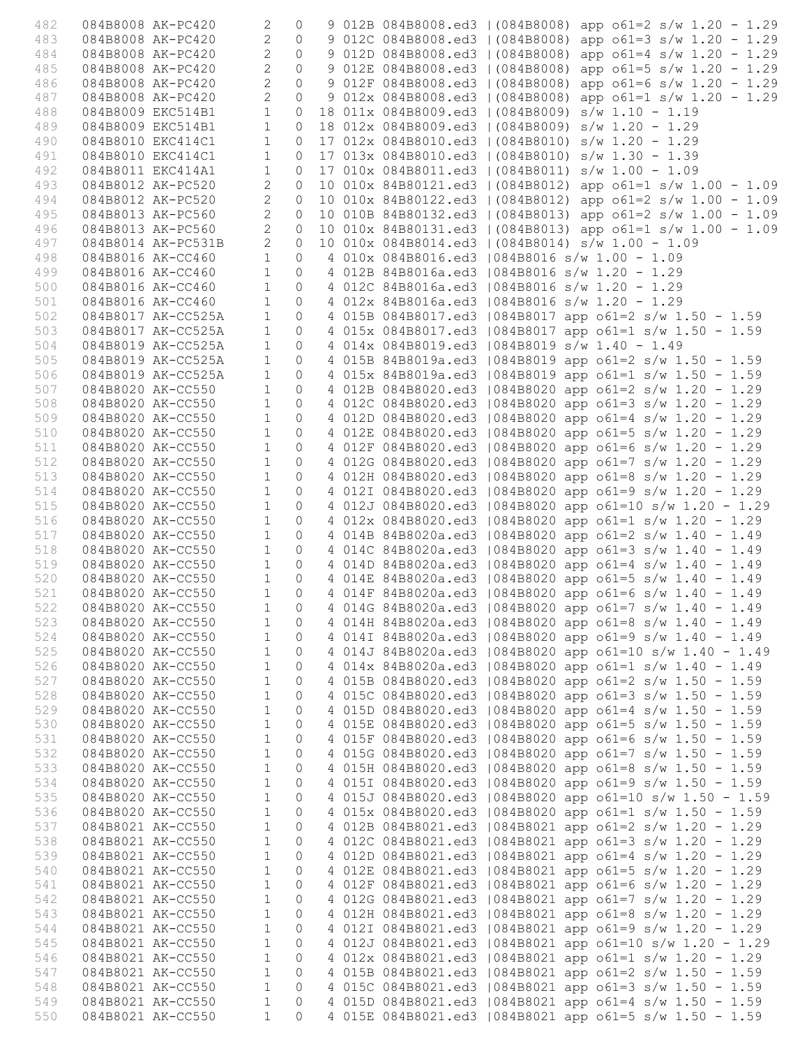| 482        |                   | 084B8008 AK-PC420                                          | 2                            | $\circ$            |  | 9 012B 084B8008.ed3   (084B8008) app o61=2 s/w 1.20 - 1.29                                                           |
|------------|-------------------|------------------------------------------------------------|------------------------------|--------------------|--|----------------------------------------------------------------------------------------------------------------------|
| 483        |                   | 084B8008 AK-PC420                                          | $\mathbf{2}$                 | $\circ$            |  | 9 012C 084B8008.ed3   (084B8008) app o61=3 s/w 1.20 - 1.29                                                           |
| 484        |                   | 084B8008 AK-PC420                                          | $\overline{2}$               | $\Omega$           |  | 9 012D 084B8008.ed3   (084B8008) app o61=4 s/w 1.20 - 1.29                                                           |
| 485        |                   | 084B8008 AK-PC420                                          | $\overline{c}$               | $\circ$            |  | 9 012E 084B8008.ed3   (084B8008) app o61=5 s/w 1.20 - 1.29                                                           |
| 486        | 084B8008 AK-PC420 |                                                            | $\overline{c}$               | $\circ$            |  | 9 012F 084B8008.ed3   (084B8008) app o61=6 s/w 1.20 - 1.29                                                           |
| 487        |                   | 084B8008 AK-PC420                                          | $\overline{2}$               | $\circ$            |  | 9 012x 084B8008.ed3   (084B8008) app o61=1 s/w 1.20 - 1.29                                                           |
| 488        |                   | 084B8009 EKC514B1                                          | $1\,$                        | $\circ$            |  | 18 011x 084B8009.ed3   (084B8009) s/w 1.10 - 1.19                                                                    |
| 489        |                   | 084B8009 EKC514B1                                          | $\mathbf{1}$                 | $\circ$            |  | 18 012x 084B8009.ed3   (084B8009) s/w 1.20 - 1.29                                                                    |
| 490        | 084B8010 EKC414C1 |                                                            | $\mathbf{1}$                 | $\circ$            |  | 17 012x 084B8010.ed3   (084B8010) s/w 1.20 - 1.29                                                                    |
| 491        |                   | 084B8010 EKC414C1                                          | $\mathbf{1}$                 | $\circ$            |  | 17 013x 084B8010.ed3   (084B8010) s/w 1.30 - 1.39                                                                    |
| 492        |                   | 084B8011 EKC414A1                                          | $\mathbf{1}$                 | $\circ$            |  | 17 010x 084B8011.ed3   (084B8011) s/w 1.00 - 1.09                                                                    |
| 493        |                   | 084B8012 AK-PC520                                          | $\overline{c}$               | $\circ$            |  | 10 010x 84B80121.ed3   (084B8012) app o61=1 s/w 1.00 - 1.09                                                          |
| 494        |                   | 084B8012 AK-PC520                                          | $\overline{c}$               | $\circ$            |  | 10 010x 84B80122.ed3   (084B8012) app $61=2$ s/w 1.00 - 1.09                                                         |
| 495        |                   | 084B8013 AK-PC560                                          | $\overline{c}$               | $\circ$            |  | 10 010B 84B80132.ed3   (084B8013) app o61=2 s/w 1.00 - 1.09                                                          |
| 496        |                   | 084B8013 AK-PC560                                          | $\overline{c}$               | $\circ$            |  | 10 010x 84B80131.ed3   (084B8013) app o61=1 s/w 1.00 - 1.09                                                          |
| 497        |                   | 084B8014 AK-PC531B                                         | $\overline{2}$               | $\circ$            |  | 10 010x 084B8014.ed3   (084B8014) s/w 1.00 - 1.09                                                                    |
| 498        | 084B8016 AK-CC460 |                                                            | $\mathbf{1}$                 | $\circ$            |  | 4 010x 084B8016.ed3   084B8016 s/w 1.00 - 1.09                                                                       |
| 499        |                   | 084B8016 AK-CC460                                          | $\mathbf{1}$                 | $\circ$            |  | 4 012B 84B8016a.ed3   084B8016 s/w 1.20 - 1.29                                                                       |
| 500        |                   | 084B8016 AK-CC460                                          | $\mathbf{1}$                 | $\circ$            |  | 4 012C 84B8016a.ed3   084B8016 s/w 1.20 - 1.29                                                                       |
| 501        |                   | 084B8016 AK-CC460                                          | $\mathbf{1}$                 | $\circ$            |  | 4 012x 84B8016a.ed3   084B8016 s/w 1.20 - 1.29                                                                       |
| 502        |                   | 084B8017 AK-CC525A                                         | $\mathbf{1}$                 | $\circ$            |  | 4 015B 084B8017.ed3   084B8017 app o61=2 s/w 1.50 - 1.59<br>4 015x 084B8017.ed3   084B8017 app o61=1 s/w 1.50 - 1.59 |
| 503        |                   | 084B8017 AK-CC525A                                         | $\mathbf{1}$                 | $\circ$<br>$\circ$ |  |                                                                                                                      |
| 504<br>505 |                   | 084B8019 AK-CC525A                                         | $\mathbf{1}$<br>$\mathbf{1}$ | $\circ$            |  | 4 014x 084B8019.ed3   084B8019 s/w 1.40 - 1.49                                                                       |
|            |                   | 084B8019 AK-CC525A                                         |                              |                    |  | 4 015B 84B8019a.ed3   084B8019 app o61=2 s/w 1.50 - 1.59                                                             |
| 506        |                   | 084B8019 AK-CC525A                                         | $\mathbf{1}$<br>$\mathbf{1}$ | $\circ$<br>$\circ$ |  | 4 015x 84B8019a.ed3   084B8019 app o61=1 s/w 1.50 - 1.59                                                             |
| 507        |                   | 084B8020 AK-CC550<br>084B8020 AK-CC550                     | $\mathbf{1}$                 | $\circ$            |  | 4 012B 084B8020.ed3   084B8020 app o61=2 s/w 1.20 - 1.29                                                             |
| 508<br>509 |                   | 084B8020 AK-CC550                                          | $\mathbf{1}$                 | $\circ$            |  | 4 012C 084B8020.ed3   084B8020 app o61=3 s/w 1.20 - 1.29<br>4 012D 084B8020.ed3   084B8020 app o61=4 s/w 1.20 - 1.29 |
| 510        |                   | 084B8020 AK-CC550                                          | $\mathbf{1}$                 | $\circ$            |  | 4 012E 084B8020.ed3   084B8020 app o61=5 s/w 1.20 - 1.29                                                             |
| 511        |                   | 084B8020 AK-CC550                                          | $\mathbf{1}$                 | $\circ$            |  | 4 012F 084B8020.ed3   084B8020 app o61=6 s/w 1.20 - 1.29                                                             |
| 512        |                   | 084B8020 AK-CC550                                          | $\mathbf{1}$                 | $\circ$            |  | 4 012G 084B8020.ed3   084B8020 app o61=7 s/w 1.20 - 1.29                                                             |
| 513        |                   | 084B8020 AK-CC550                                          | $\mathbf{1}$                 | $\circ$            |  | 4 012H 084B8020.ed3   084B8020 app o61=8 s/w 1.20 - 1.29                                                             |
| 514        |                   | 084B8020 AK-CC550                                          | $\mathbf{1}$                 | $\circ$            |  | 4 012I 084B8020.ed3   084B8020 app o61=9 s/w 1.20 - 1.29                                                             |
| 515        |                   | 084B8020 AK-CC550                                          | $\mathbf{1}$                 | $\circ$            |  | 4 012J 084B8020.ed3   084B8020 app o61=10 s/w 1.20 - 1.29                                                            |
| 516        |                   | 084B8020 AK-CC550                                          | $\mathbf{1}$                 | $\circ$            |  | 4 012x 084B8020.ed3   084B8020 app o61=1 s/w 1.20 - 1.29                                                             |
| 517        |                   | 084B8020 AK-CC550                                          | $\mathbf{1}$                 | $\circ$            |  | 4 014B 84B8020a.ed3   084B8020 app o61=2 s/w 1.40 - 1.49                                                             |
| 518        |                   | 084B8020 AK-CC550                                          | $\mathbf{1}$                 | $\overline{0}$     |  | 4 014C 84B8020a.ed3   084B8020 app o61=3 s/w 1.40 - 1.49                                                             |
| 519        |                   | 084B8020 AK-CC550                                          | $\mathbf{1}$                 | $\overline{0}$     |  | 4 014D 84B8020a.ed3   084B8020 app o61=4 s/w 1.40 - 1.49                                                             |
| 520        |                   | 084B8020 AK-CC550                                          | $\mathbf{1}$                 | $\overline{0}$     |  | 4 014E 84B8020a.ed3   084B8020 app o61=5 s/w 1.40 - 1.49                                                             |
| 521        |                   | $\begin{array}{c} 1 \\ 1 \end{array}$<br>084B8020 AK-CC550 |                              | $\Omega$           |  | 4 014F 84B8020a.ed3   084B8020 app o61=6 s/w 1.40 - 1.49                                                             |
| 522        |                   | 084B8020 AK-CC550 1 0                                      |                              |                    |  | 4 014G 84B8020a.ed3   084B8020 app o61=7 s/w 1.40 - 1.49                                                             |
| 523        |                   | 084B8020 AK-CC550                                          | $\mathbf{1}$                 | $\overline{0}$     |  | 4 014H 84B8020a.ed3   084B8020 app o61=8 s/w 1.40 - 1.49                                                             |
| 524        |                   | 084B8020 AK-CC550                                          | 1                            |                    |  | 0 4 0141 84B8020a.ed3   084B8020 app o61=9 s/w 1.40 - 1.49                                                           |
| 525        |                   | 084B8020 AK-CC550                                          | $\mathbf{1}$                 | $\circ$            |  | 4 014J 84B8020a.ed3   084B8020 app o61=10 s/w 1.40 - 1.49                                                            |
| 526        |                   | 084B8020 AK-CC550                                          | $\mathbf{1}$                 | $\circledcirc$     |  | 4 014x 84B8020a.ed3   084B8020 app o61=1 s/w 1.40 - 1.49                                                             |
| 527        |                   | 084B8020 AK-CC550                                          | $\mathbf{1}$                 | $\circ$            |  | 4 015B 084B8020.ed3   084B8020 app o61=2 s/w 1.50 - 1.59                                                             |
| 528        |                   | 084B8020 AK-CC550                                          | $\mathbf{1}$                 | $\circ$            |  | 4 015C 084B8020.ed3   084B8020 app o61=3 s/w 1.50 - 1.59                                                             |
| 529        |                   | 084B8020 AK-CC550                                          | $\mathbf{1}$                 | $\circ$            |  | 4 015D 084B8020.ed3   084B8020 app o61=4 s/w 1.50 - 1.59                                                             |
| 530        | 084B8020 AK-CC550 |                                                            | $\mathbf{1}$                 | $\circ$            |  | 4 015E 084B8020.ed3   084B8020 app o61=5 s/w 1.50 - 1.59                                                             |
| 531        | 084B8020 AK-CC550 |                                                            | $\mathbf{1}$                 | $\circ$            |  | 4 015F 084B8020.ed3   084B8020 app o61=6 s/w 1.50 - 1.59                                                             |
| 532        | 084B8020 AK-CC550 |                                                            | $\mathbf{1}$                 | $\circledcirc$     |  | 4 015G 084B8020.ed3   084B8020 app o61=7 s/w 1.50 - 1.59                                                             |
| 533        | 084B8020 AK-CC550 |                                                            | $\mathbf{1}$                 | $\circledcirc$     |  | 4 015H 084B8020.ed3   084B8020 app o61=8 s/w 1.50 - 1.59                                                             |
| 534        | 084B8020 AK-CC550 |                                                            | $\mathbf{1}$                 | $\circ$            |  | 4 0151 084B8020.ed3   084B8020 app o61=9 s/w 1.50 - 1.59                                                             |
| 535        |                   | 084B8020 AK-CC550                                          | $\mathbf{1}$                 | $\circ$            |  | 4 015J 084B8020.ed3   084B8020 app o61=10 s/w 1.50 - 1.59                                                            |
| 536        | 084B8020 AK-CC550 |                                                            | $\mathbf{1}$                 | $\circ$            |  | 4 015x 084B8020.ed3   084B8020 app o61=1 s/w 1.50 - 1.59                                                             |
| 537        | 084B8021 AK-CC550 |                                                            | $\mathbf{1}$                 | $\circ$            |  | 4 012B 084B8021.ed3   084B8021 app o61=2 s/w 1.20 - 1.29                                                             |
| 538        |                   | 084B8021 AK-CC550                                          | $\mathbf{1}$                 | $\circledcirc$     |  | 4 012C 084B8021.ed3   084B8021 app o61=3 s/w 1.20 - 1.29                                                             |
| 539        | 084B8021 AK-CC550 |                                                            | $\mathbf{1}$                 | $\circledcirc$     |  | 4 012D 084B8021.ed3   084B8021 app o61=4 s/w 1.20 - 1.29                                                             |
| 540        | 084B8021 AK-CC550 |                                                            | $\mathbf{1}$                 | $\circ$            |  | 4 012E 084B8021.ed3   084B8021 app o61=5 s/w 1.20 - 1.29                                                             |
| 541        |                   | 084B8021 AK-CC550                                          | $\mathbf{1}$                 | $\circ$            |  | 4 012F 084B8021.ed3   084B8021 app o61=6 s/w 1.20 - 1.29                                                             |
| 542        | 084B8021 AK-CC550 |                                                            | $\mathbf{1}$                 | $\circ$            |  | 4 012G 084B8021.ed3   084B8021 app o61=7 s/w 1.20 - 1.29                                                             |
| 543        | 084B8021 AK-CC550 |                                                            | $\mathbf{1}$                 | $\circ$            |  | 4 012H 084B8021.ed3   084B8021 app o61=8 s/w 1.20 - 1.29                                                             |
| 544        | 084B8021 AK-CC550 |                                                            | $\mathbf{1}$                 | $\circ$            |  | 4 012I 084B8021.ed3   084B8021 app o61=9 s/w 1.20 - 1.29                                                             |
| 545        | 084B8021 AK-CC550 |                                                            | $\mathbf{1}$                 | $\circledcirc$     |  | 4 012J 084B8021.ed3   084B8021 app o61=10 s/w 1.20 - 1.29                                                            |
| 546        | 084B8021 AK-CC550 |                                                            | $\mathbf{1}$                 | $\circ$            |  | 4 012x 084B8021.ed3   084B8021 app o61=1 s/w 1.20 - 1.29                                                             |
| 547        |                   | 084B8021 AK-CC550                                          | $\mathbf{1}$                 | $\circ$            |  | 4 015B 084B8021.ed3   084B8021 app o61=2 s/w 1.50 - 1.59                                                             |
| 548        | 084B8021 AK-CC550 |                                                            | $\mathbf{1}$                 | $\circ$            |  | 4 015C 084B8021.ed3   084B8021 app o61=3 s/w 1.50 - 1.59                                                             |
| 549        | 084B8021 AK-CC550 |                                                            | $\mathbf{1}$                 | $\circ$            |  | 4 015D 084B8021.ed3   084B8021 app o61=4 s/w 1.50 - 1.59                                                             |
| 550        | 084B8021 AK-CC550 |                                                            | $\mathbf{1}$                 | $\Omega$           |  | 4 015E 084B8021.ed3   084B8021 app o61=5 s/w 1.50 - 1.59                                                             |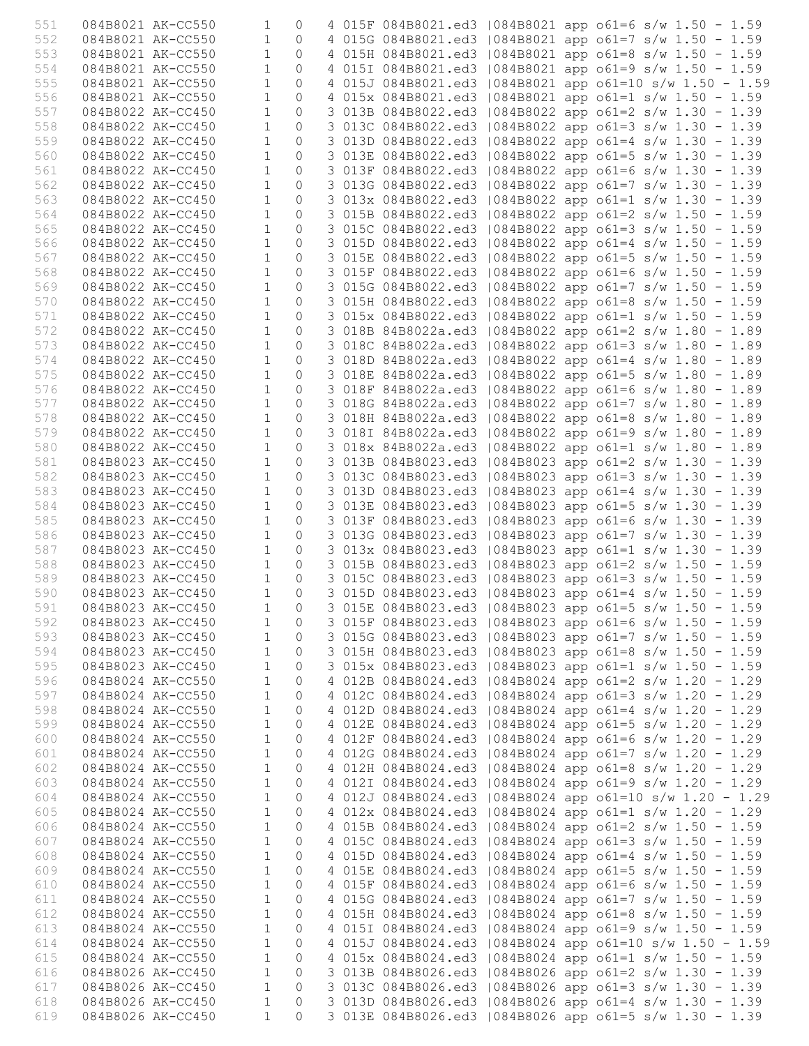| 551        |                                        | 084B8021 AK-CC550 | 1                        | $\Omega$       |  |                     |  | 4 015F 084B8021.ed3   084B8021 app o61=6 s/w 1.50 - 1.59                                                             |
|------------|----------------------------------------|-------------------|--------------------------|----------------|--|---------------------|--|----------------------------------------------------------------------------------------------------------------------|
| 552        |                                        | 084B8021 AK-CC550 | $\mathbf{1}$             | $\Omega$       |  |                     |  | 4 015G 084B8021.ed3   084B8021 app o61=7 s/w 1.50 - 1.59                                                             |
| 553        | 084B8021 AK-CC550                      |                   | $\mathbf{1}$             | $\Omega$       |  |                     |  | 4 015H 084B8021.ed3   084B8021 app o61=8 s/w 1.50 - 1.59                                                             |
| 554        | 084B8021 AK-CC550                      |                   | $\mathbf{1}$             | $\bigcap$      |  |                     |  | 4 015I 084B8021.ed3   084B8021 app o61=9 s/w 1.50 - 1.59                                                             |
| 555        | 084B8021 AK-CC550                      |                   | $\mathbf{1}$             | $\Omega$       |  |                     |  | 4 015J 084B8021.ed3   084B8021 app o61=10 s/w 1.50 - 1.59                                                            |
| 556        | 084B8021 AK-CC550                      |                   | $\mathbf{1}$             | $\bigcap$      |  |                     |  | 4 015x 084B8021.ed3   084B8021 app o61=1 s/w 1.50 - 1.59                                                             |
| 557        |                                        | 084B8022 AK-CC450 | $\mathbf{1}$             | $\Omega$       |  | 3 013B 084B8022.ed3 |  | 084B8022 app o61=2 s/w 1.30 - 1.39                                                                                   |
| 558        | 084B8022 AK-CC450                      |                   | $\mathbf{1}$             | $\Omega$       |  |                     |  | 3 013C 084B8022.ed3   084B8022 app o61=3 s/w 1.30 - 1.39                                                             |
| 559        | 084B8022 AK-CC450                      |                   | $\mathbf{1}$             | $\Omega$       |  |                     |  | 3 013D 084B8022.ed3   084B8022 app o61=4 s/w 1.30 - 1.39                                                             |
| 560        |                                        | 084B8022 AK-CC450 | $\mathbf{1}$             | $\Omega$       |  |                     |  | 3 013E 084B8022.ed3   084B8022 app o61=5 s/w 1.30 - 1.39                                                             |
| 561        | 084B8022 AK-CC450                      |                   | $\mathbf{1}$             | $\Omega$       |  |                     |  | 3 013F 084B8022.ed3   084B8022 app o61=6 s/w 1.30 - 1.39                                                             |
| 562        | 084B8022 AK-CC450                      |                   | $\mathbf{1}$             | $\Omega$       |  |                     |  | 3 013G 084B8022.ed3   084B8022 app o61=7 s/w 1.30 - 1.39                                                             |
| 563        | 084B8022 AK-CC450                      |                   | $\mathbf{1}$             | $\bigcap$      |  |                     |  | 3 013x 084B8022.ed3   084B8022 app o61=1 s/w 1.30 - 1.39                                                             |
| 564        | 084B8022 AK-CC450                      |                   | $\mathbf{1}$             | $\Omega$       |  |                     |  | 3 015B 084B8022.ed3   084B8022 app o61=2 s/w 1.50 - 1.59                                                             |
| 565        | 084B8022 AK-CC450                      |                   | $\mathbf{1}$             | $\circ$        |  |                     |  | 3 015C 084B8022.ed3   084B8022 app o61=3 s/w 1.50 - 1.59                                                             |
| 566        | 084B8022 AK-CC450                      |                   | $\mathbf{1}$             | $\Omega$       |  |                     |  | 3 015D 084B8022.ed3   084B8022 app o61=4 s/w 1.50 - 1.59                                                             |
| 567        | 084B8022 AK-CC450                      |                   | $\mathbf{1}$             | $\Omega$       |  |                     |  | 3 015E 084B8022.ed3   084B8022 app o61=5 s/w 1.50 - 1.59                                                             |
| 568        | 084B8022 AK-CC450                      |                   | $\mathbf{1}$             | $\Omega$       |  |                     |  | 3 015F 084B8022.ed3   084B8022 app o61=6 s/w 1.50 - 1.59                                                             |
| 569        | 084B8022 AK-CC450                      |                   | $\mathbf{1}$             | $\bigcap$      |  |                     |  | 3 015G 084B8022.ed3   084B8022 app o61=7 s/w 1.50 - 1.59                                                             |
| 570        | 084B8022 AK-CC450                      |                   | $\mathbf{1}$             | $\Omega$       |  |                     |  | 3 015H 084B8022.ed3   084B8022 app o61=8 s/w 1.50 - 1.59                                                             |
| 571        | 084B8022 AK-CC450                      |                   | $\mathbf{1}$             | $\circ$        |  |                     |  | 3 015x 084B8022.ed3   084B8022 app o61=1 s/w 1.50 - 1.59                                                             |
| 572        | 084B8022 AK-CC450                      |                   | $\mathbf{1}$             | $\Omega$       |  |                     |  | 3 018B 84B8022a.ed3   084B8022 app o61=2 s/w 1.80 - 1.89                                                             |
| 573        | 084B8022 AK-CC450                      |                   | $\mathbf{1}$             | $\Omega$       |  |                     |  | 3 018C 84B8022a.ed3   084B8022 app o61=3 s/w 1.80 - 1.89                                                             |
| 574        | 084B8022 AK-CC450                      |                   | $\mathbf{1}$             | $\Omega$       |  |                     |  | 3 018D 84B8022a.ed3   084B8022 app o61=4 s/w 1.80 - 1.89                                                             |
| 575        | 084B8022 AK-CC450                      |                   | $\mathbf{1}$             | $\Omega$       |  |                     |  | 3 018E 84B8022a.ed3   084B8022 app o61=5 s/w 1.80 - 1.89                                                             |
| 576        | 084B8022 AK-CC450                      |                   | $\mathbf{1}$             | $\Omega$       |  | 3 018F 84B8022a.ed3 |  | $1084B8022$ app o61=6 s/w 1.80 - 1.89                                                                                |
| 577        | 084B8022 AK-CC450                      |                   | $\mathbf{1}$             | $\circ$        |  |                     |  | 3 018G 84B8022a.ed3   084B8022 app o61=7 s/w 1.80 - 1.89                                                             |
| 578        | 084B8022 AK-CC450                      |                   | $\mathbf{1}$             | $\Omega$       |  |                     |  | 3 018H 84B8022a.ed3   084B8022 app o61=8 s/w 1.80 - 1.89                                                             |
| 579        | 084B8022 AK-CC450                      |                   | $\mathbf{1}$             | $\Omega$       |  |                     |  | 3 0181 84B8022a.ed3   084B8022 app o61=9 s/w 1.80 - 1.89                                                             |
| 580        | 084B8022 AK-CC450                      |                   | $\mathbf{1}$             | $\Omega$       |  |                     |  | 3 018x 84B8022a.ed3   084B8022 app o61=1 s/w 1.80 - 1.89                                                             |
| 581        | 084B8023 AK-CC450                      |                   | $\mathbf{1}$             | $\Omega$       |  |                     |  | 3 013B 084B8023.ed3   084B8023 app o61=2 s/w 1.30 - 1.39                                                             |
| 582        |                                        | 084B8023 AK-CC450 | $\mathbf{1}$             | $\Omega$       |  | 3 013C 084B8023.ed3 |  | $1084B8023$ app o61=3 s/w 1.30 - 1.39                                                                                |
| 583        | 084B8023 AK-CC450                      |                   | $\mathbf{1}$             | $\circ$        |  |                     |  | 3 013D 084B8023.ed3   084B8023 app o61=4 s/w 1.30 - 1.39                                                             |
|            |                                        |                   | $\mathbf{1}$             | $\circ$        |  |                     |  |                                                                                                                      |
| 584<br>585 | 084B8023 AK-CC450<br>084B8023 AK-CC450 |                   | $\mathbf{1}$             | $\Omega$       |  |                     |  | 3 013E 084B8023.ed3   084B8023 app o61=5 s/w 1.30 - 1.39                                                             |
| 586        |                                        |                   | $\mathbf{1}$             | $\Omega$       |  |                     |  | 3 013F 084B8023.ed3   084B8023 app o61=6 s/w 1.30 - 1.39                                                             |
|            | 084B8023 AK-CC450                      |                   | $\mathbf{1}$             | $\Omega$       |  |                     |  | 3 013G 084B8023.ed3   084B8023 app o61=7 s/w 1.30 - 1.39                                                             |
| 587<br>588 | 084B8023 AK-CC450<br>084B8023 AK-CC450 |                   | $\mathbf{1}$             | $\Omega$       |  |                     |  | 3 013x 084B8023.ed3   084B8023 app o61=1 s/w 1.30 - 1.39                                                             |
| 589        |                                        |                   | $\mathbf{1}$             | $\Omega$       |  |                     |  | 3 015B 084B8023.ed3   084B8023 app o61=2 s/w 1.50 - 1.59                                                             |
|            | 084B8023 AK-CC450                      |                   | $\mathbf{1}$             | $\Omega$       |  |                     |  | 3 015C 084B8023.ed3   084B8023 app o61=3 s/w 1.50 - 1.59<br>3 015D 084B8023.ed3   084B8023 app o61=4 s/w 1.50 - 1.59 |
| 590        | 084B8023 AK-CC450                      |                   |                          |                |  |                     |  |                                                                                                                      |
| 591        | 084B8023 AK-CC450                      |                   | $\overline{\phantom{a}}$ | $\overline{0}$ |  |                     |  | 3 015E 084B8023.ed3   084B8023 app o61=5 s/w 1.50 - 1.59                                                             |
| 592        | 084B8023 AK-CC450                      |                   | $\mathbf{1}$             | 0              |  |                     |  | 3 015F 084B8023.ed3   084B8023 app o61=6 s/w 1.50 - 1.59                                                             |
| 593        |                                        | 084B8023 AK-CC450 | $\mathbf{1}$             | $\circ$        |  |                     |  | 3 015G 084B8023.ed3   084B8023 app o61=7 s/w 1.50 - 1.59                                                             |
| 594        | 084B8023 AK-CC450                      |                   | $\mathbf{1}$             | $\circ$        |  |                     |  | 3 015H 084B8023.ed3   084B8023 app o61=8 s/w 1.50 - 1.59                                                             |
| 595        | 084B8023 AK-CC450                      |                   | $\mathbf{1}$             | $\circ$        |  |                     |  | 3 015x 084B8023.ed3   084B8023 app o61=1 s/w 1.50 - 1.59                                                             |
| 596        | 084B8024 AK-CC550                      |                   | $\mathbf{1}$             | $\circ$        |  |                     |  | 4 012B 084B8024.ed3   084B8024 app o61=2 s/w 1.20 - 1.29                                                             |
| 597        | 084B8024 AK-CC550                      |                   | $\mathbf{1}$             | $\circ$        |  |                     |  | 4 012C 084B8024.ed3   084B8024 app o61=3 s/w 1.20 - 1.29                                                             |
| 598        | 084B8024 AK-CC550                      |                   | $\mathbf{1}$             | 0              |  |                     |  | 4 012D 084B8024.ed3   084B8024 app o61=4 s/w 1.20 - 1.29                                                             |
| 599        | 084B8024 AK-CC550                      |                   | $\mathbf{1}$             | 0              |  |                     |  | 4 012E 084B8024.ed3   084B8024 app o61=5 s/w 1.20 - 1.29                                                             |
| 600        | 084B8024 AK-CC550                      |                   | $\mathbf{1}$             | $\circ$        |  |                     |  | 4 012F 084B8024.ed3   084B8024 app o61=6 s/w 1.20 - 1.29                                                             |
| 601        | 084B8024 AK-CC550                      |                   | $\mathbf{1}$             | 0              |  |                     |  | 4 012G 084B8024.ed3   084B8024 app o61=7 s/w 1.20 - 1.29                                                             |
| 602        | 084B8024 AK-CC550                      |                   | $\mathbf{1}$             | 0              |  |                     |  | 4 012H 084B8024.ed3   084B8024 app o61=8 s/w 1.20 - 1.29                                                             |
| 603        | 084B8024 AK-CC550                      |                   | $\mathbf{1}$             | $\circ$        |  |                     |  | 4 012I 084B8024.ed3   084B8024 app o61=9 s/w 1.20 - 1.29                                                             |
| 604        | 084B8024 AK-CC550                      |                   | $\mathbf{1}$             | 0              |  |                     |  | 4 012J 084B8024.ed3   084B8024 app o61=10 s/w 1.20 - 1.29                                                            |
| 605        | 084B8024 AK-CC550                      |                   | $\mathbf{1}$             | 0              |  |                     |  | 4 012x 084B8024.ed3   084B8024 app o61=1 s/w 1.20 - 1.29                                                             |
| 606        | 084B8024 AK-CC550                      |                   | $\mathbf{1}$             | $\circ$        |  |                     |  | 4 015B 084B8024.ed3   084B8024 app o61=2 s/w 1.50 - 1.59                                                             |
| 607        | 084B8024 AK-CC550                      |                   | 1                        | 0              |  |                     |  | 4 015C 084B8024.ed3   084B8024 app o61=3 s/w 1.50 - 1.59                                                             |
| 608        | 084B8024 AK-CC550                      |                   | $\mathbf{1}$             | $\circ$        |  |                     |  | 4 015D 084B8024.ed3   084B8024 app o61=4 s/w 1.50 - 1.59                                                             |
| 609        | 084B8024 AK-CC550                      |                   | $1\,$                    | $\circ$        |  |                     |  | 4 015E 084B8024.ed3   084B8024 app o61=5 s/w 1.50 - 1.59                                                             |
| 610        | 084B8024 AK-CC550                      |                   | $\mathbf{1}$             | 0              |  |                     |  | 4 015F 084B8024.ed3   084B8024 app o61=6 s/w 1.50 - 1.59                                                             |
| 611        | 084B8024 AK-CC550                      |                   | $\mathbf{1}$             | 0              |  |                     |  | 4 015G 084B8024.ed3   084B8024 app o61=7 s/w 1.50 - 1.59                                                             |
| 612        | 084B8024 AK-CC550                      |                   | $\mathbf{1}$             | $\circ$        |  |                     |  | 4 015H 084B8024.ed3   084B8024 app o61=8 s/w 1.50 - 1.59                                                             |
| 613        | 084B8024 AK-CC550                      |                   | $\mathbf{1}$             | $\mathbf 0$    |  |                     |  | 4 0151 084B8024.ed3   084B8024 app o61=9 s/w 1.50 - 1.59                                                             |
| 614        | 084B8024 AK-CC550                      |                   | $\mathbf{1}$             | $\circ$        |  |                     |  | 4 015J 084B8024.ed3   084B8024 app o61=10 s/w 1.50 - 1.59                                                            |
| 615        | 084B8024 AK-CC550                      |                   | $1\,$                    | $\circ$        |  |                     |  | 4 015x 084B8024.ed3   084B8024 app o61=1 s/w 1.50 - 1.59                                                             |
| 616        | 084B8026 AK-CC450                      |                   | $\mathbf{1}$             | $\circ$        |  |                     |  | 3 013B 084B8026.ed3   084B8026 app o61=2 s/w 1.30 - 1.39                                                             |
| 617        | 084B8026 AK-CC450                      |                   | $\mathbf{1}$             | 0              |  |                     |  | 3 013C 084B8026.ed3   084B8026 app o61=3 s/w 1.30 - 1.39                                                             |
| 618        | 084B8026 AK-CC450                      |                   | 1                        | 0              |  |                     |  | 3 013D 084B8026.ed3   084B8026 app o61=4 s/w 1.30 - 1.39                                                             |
| 619        |                                        | 084B8026 AK-CC450 | $\mathbf{1}$             | $\Omega$       |  |                     |  | 3 013E 084B8026.ed3   084B8026 app o61=5 s/w 1.30 - 1.39                                                             |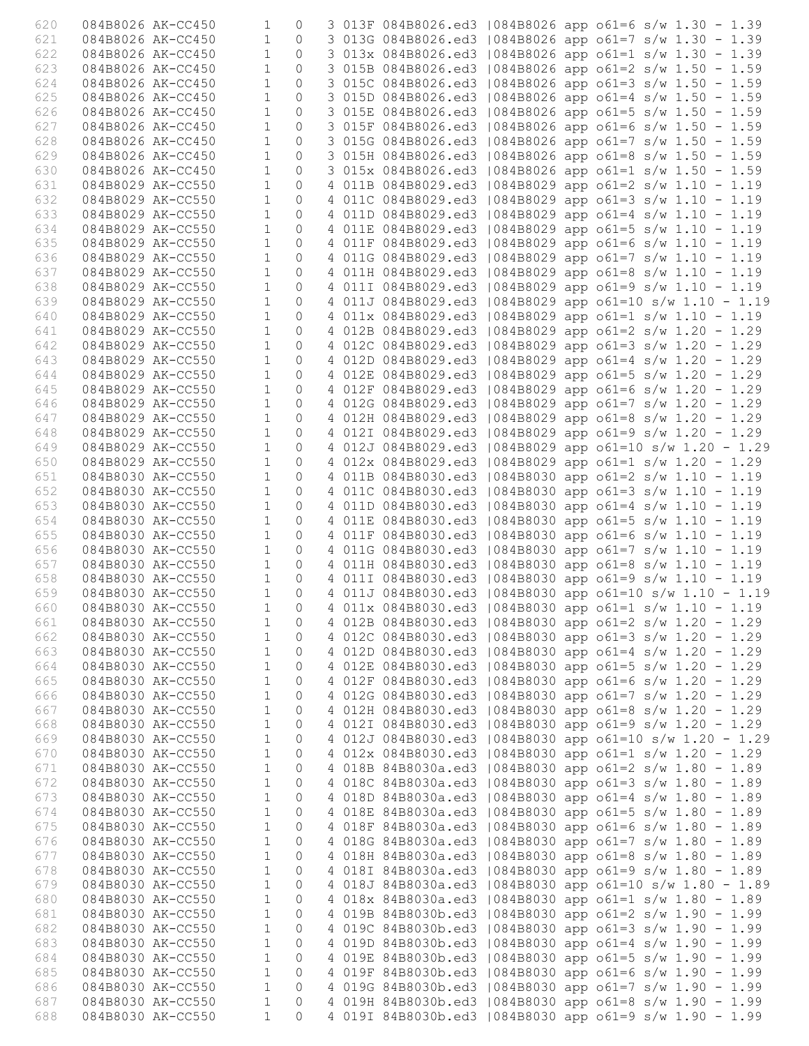| 620 |                   | 084B8026 AK-CC450 | 1              | $\Omega$       |  |                     |  | 3 013F 084B8026.ed3   084B8026 app o61=6 s/w 1.30 - 1.39  |
|-----|-------------------|-------------------|----------------|----------------|--|---------------------|--|-----------------------------------------------------------|
| 621 |                   | 084B8026 AK-CC450 | $\mathbf{1}$   | $\circ$        |  |                     |  | 3 013G 084B8026.ed3   084B8026 app o61=7 s/w 1.30 - 1.39  |
| 622 |                   | 084B8026 AK-CC450 | $\mathbf{1}$   | $\Omega$       |  |                     |  | 3 013x 084B8026.ed3   084B8026 app o61=1 s/w 1.30 - 1.39  |
| 623 |                   | 084B8026 AK-CC450 | $\mathbf{1}$   | $\Omega$       |  |                     |  | 3 015B 084B8026.ed3   084B8026 app o61=2 s/w 1.50 - 1.59  |
| 624 | 084B8026 AK-CC450 |                   | $\mathbf{1}$   | $\Omega$       |  |                     |  | 3 015C 084B8026.ed3   084B8026 app o61=3 s/w 1.50 - 1.59  |
| 625 | 084B8026 AK-CC450 |                   | $\mathbf{1}$   | $\Omega$       |  |                     |  | 3 015D 084B8026.ed3   084B8026 app o61=4 s/w 1.50 - 1.59  |
| 626 |                   | 084B8026 AK-CC450 | $\mathbf{1}$   | $\Omega$       |  | 3 015E 084B8026.ed3 |  | 084B8026 app o61=5 s/w 1.50 - 1.59                        |
| 627 |                   | 084B8026 AK-CC450 | $\mathbf{1}$   | $\circ$        |  |                     |  | 3 015F 084B8026.ed3   084B8026 app o61=6 s/w 1.50 - 1.59  |
|     |                   |                   | $\mathbf{1}$   | $\Omega$       |  |                     |  |                                                           |
| 628 |                   | 084B8026 AK-CC450 | $\mathbf{1}$   |                |  |                     |  | 3 015G 084B8026.ed3   084B8026 app o61=7 s/w 1.50 - 1.59  |
| 629 |                   | 084B8026 AK-CC450 |                | $\Omega$       |  |                     |  | 3 015H 084B8026.ed3   084B8026 app o61=8 s/w 1.50 - 1.59  |
| 630 | 084B8026 AK-CC450 |                   | $\mathbf{1}$   | $\Omega$       |  |                     |  | 3 015x 084B8026.ed3   084B8026 app o61=1 s/w 1.50 - 1.59  |
| 631 | 084B8029 AK-CC550 |                   | $\mathbf{1}$   | $\bigcap$      |  |                     |  | 4 011B 084B8029.ed3   084B8029 app o61=2 s/w 1.10 - 1.19  |
| 632 |                   | 084B8029 AK-CC550 | $\mathbf{1}$   | $\bigcap$      |  | 4 011C 084B8029.ed3 |  | $1084B8029$ app o61=3 s/w 1.10 - 1.19                     |
| 633 | 084B8029 AK-CC550 |                   | $\mathbf{1}$   | $\Omega$       |  | 4 011D 084B8029.ed3 |  | 084B8029 app o61=4 s/w 1.10 - 1.19                        |
| 634 | 084B8029 AK-CC550 |                   | $\mathbf{1}$   | $\Omega$       |  |                     |  | 4 011E 084B8029.ed3   084B8029 app o61=5 s/w 1.10 - 1.19  |
| 635 | 084B8029 AK-CC550 |                   | $\mathbf{1}$   | $\Omega$       |  |                     |  | 4 011F 084B8029.ed3   084B8029 app o61=6 s/w 1.10 - 1.19  |
| 636 | 084B8029 AK-CC550 |                   | $\mathbf{1}$   | $\Omega$       |  | 4 011G 084B8029.ed3 |  | $1084B8029$ app o61=7 s/w 1.10 - 1.19                     |
| 637 | 084B8029 AK-CC550 |                   | $\mathbf{1}$   | $\Omega$       |  |                     |  | 4 011H 084B8029.ed3   084B8029 app o61=8 s/w 1.10 - 1.19  |
| 638 |                   | 084B8029 AK-CC550 | $\mathbf{1}$   | $\bigcap$      |  |                     |  | 4 011I 084B8029.ed3   084B8029 app o61=9 s/w 1.10 - 1.19  |
| 639 | 084B8029 AK-CC550 |                   | $\mathbf{1}$   | $\Omega$       |  |                     |  | 4 011J 084B8029.ed3   084B8029 app o61=10 s/w 1.10 - 1.19 |
| 640 |                   | 084B8029 AK-CC550 | $\mathbf{1}$   | $\Omega$       |  |                     |  | 4 011x 084B8029.ed3   084B8029 app o61=1 s/w 1.10 - 1.19  |
| 641 |                   | 084B8029 AK-CC550 | $\mathbf{1}$   | $\Omega$       |  |                     |  | 4 012B 084B8029.ed3   084B8029 app o61=2 s/w 1.20 - 1.29  |
| 642 | 084B8029 AK-CC550 |                   | $\mathbf{1}$   | $\Omega$       |  |                     |  | 4 012C 084B8029.ed3   084B8029 app o61=3 s/w 1.20 - 1.29  |
| 643 | 084B8029 AK-CC550 |                   | $\mathbf{1}$   | $\Omega$       |  |                     |  | 4 012D 084B8029.ed3   084B8029 app o61=4 s/w 1.20 - 1.29  |
| 644 |                   | 084B8029 AK-CC550 | $\mathbf{1}$   | $\bigcap$      |  | 4 012E 084B8029.ed3 |  | $1084B8029$ app o61=5 s/w 1.20 - 1.29                     |
| 645 | 084B8029 AK-CC550 |                   | $\mathbf{1}$   | $\bigcap$      |  | 4 012F 084B8029.ed3 |  | $1084B8029$ app o61=6 s/w 1.20 - 1.29                     |
|     |                   |                   |                |                |  |                     |  |                                                           |
| 646 |                   | 084B8029 AK-CC550 | $\mathbf{1}$   | $\Omega$       |  | 4 012G 084B8029.ed3 |  | $1084B8029$ app o61=7 s/w 1.20 - 1.29                     |
| 647 | 084B8029 AK-CC550 |                   | $\mathbf{1}$   | $\Omega$       |  |                     |  | 4 012H 084B8029.ed3   084B8029 app o61=8 s/w 1.20 - 1.29  |
| 648 | 084B8029 AK-CC550 |                   | $\mathbf{1}$   | $\Omega$       |  |                     |  | 4 012I 084B8029.ed3   084B8029 app o61=9 s/w 1.20 - 1.29  |
| 649 | 084B8029 AK-CC550 |                   | $\mathbf{1}$   | $\Omega$       |  |                     |  | 4 012J 084B8029.ed3   084B8029 app o61=10 s/w 1.20 - 1.29 |
| 650 | 084B8029 AK-CC550 |                   | $\mathbf{1}$   | $\bigcap$      |  |                     |  | 4 012x 084B8029.ed3   084B8029 app o61=1 s/w 1.20 - 1.29  |
| 651 |                   | 084B8030 AK-CC550 | $\mathbf{1}$   | $\Omega$       |  | 4 011B 084B8030.ed3 |  | $1084B8030$ app o61=2 s/w 1.10 - 1.19                     |
| 652 | 084B8030 AK-CC550 |                   | $\mathbf{1}$   | $\Omega$       |  |                     |  | 4 011C 084B8030.ed3   084B8030 app o61=3 s/w 1.10 - 1.19  |
| 653 |                   | 084B8030 AK-CC550 | $\mathbf{1}$   | $\Omega$       |  |                     |  | 4 011D 084B8030.ed3   084B8030 app o61=4 s/w 1.10 - 1.19  |
| 654 |                   | 084B8030 AK-CC550 | $\mathbf{1}$   | $\Omega$       |  |                     |  | 4 011E 084B8030.ed3   084B8030 app o61=5 s/w 1.10 - 1.19  |
| 655 | 084B8030 AK-CC550 |                   | $\mathbf{1}$   | $\Omega$       |  |                     |  | 4 011F 084B8030.ed3   084B8030 app o61=6 s/w 1.10 - 1.19  |
| 656 | 084B8030 AK-CC550 |                   | $\mathbf{1}$   | $\Omega$       |  |                     |  | 4 011G 084B8030.ed3   084B8030 app o61=7 s/w 1.10 - 1.19  |
| 657 | 084B8030 AK-CC550 |                   | $\mathbf{1}$   | $\Omega$       |  |                     |  | 4 011H 084B8030.ed3   084B8030 app o61=8 s/w 1.10 - 1.19  |
| 658 | 084B8030 AK-CC550 |                   | $\mathbf{1}$   | $\Omega$       |  |                     |  | 4 011I 084B8030.ed3   084B8030 app o61=9 s/w 1.10 - 1.19  |
| 659 | 084B8030 AK-CC550 |                   | $\mathbf{1}$   | $\Omega$       |  |                     |  | 4 011J 084B8030.ed3   084B8030 app o61=10 s/w 1.10 - 1.19 |
| 660 | 084B8030 AK-CC550 |                   | $\overline{1}$ | $\overline{0}$ |  |                     |  | 4 011x 084B8030.ed3   084B8030 app o61=1 s/w 1.10 - 1.19  |
| 661 | 084B8030 AK-CC550 |                   | $\mathbf{1}$   | 0              |  |                     |  | 4 012B 084B8030.ed3   084B8030 app o61=2 s/w 1.20 - 1.29  |
| 662 |                   | 084B8030 AK-CC550 | $\mathbf{1}$   |                |  |                     |  | 4 012C 084B8030.ed3   084B8030 app o61=3 s/w 1.20 - 1.29  |
|     | 084B8030 AK-CC550 |                   |                | 0              |  |                     |  |                                                           |
| 663 |                   |                   | $\mathbf 1$    | $\circ$        |  |                     |  | 4 012D 084B8030.ed3   084B8030 app o61=4 s/w 1.20 - 1.29  |
| 664 | 084B8030 AK-CC550 |                   | $\mathbf{1}$   | $\circ$        |  |                     |  | 4 012E 084B8030.ed3   084B8030 app o61=5 s/w 1.20 - 1.29  |
| 665 | 084B8030 AK-CC550 |                   | $\mathbf 1$    | $\circ$        |  |                     |  | 4 012F 084B8030.ed3   084B8030 app o61=6 s/w 1.20 - 1.29  |
| 666 | 084B8030 AK-CC550 |                   | $\mathbf 1$    | $\circ$        |  |                     |  | 4 012G 084B8030.ed3   084B8030 app o61=7 s/w 1.20 - 1.29  |
| 667 | 084B8030 AK-CC550 |                   | $\mathbf 1$    | 0              |  |                     |  | 4 012H 084B8030.ed3   084B8030 app o61=8 s/w 1.20 - 1.29  |
| 668 | 084B8030 AK-CC550 |                   | $\mathbf{1}$   | 0              |  |                     |  | 4 012I 084B8030.ed3   084B8030 app o61=9 s/w 1.20 - 1.29  |
| 669 | 084B8030 AK-CC550 |                   | $\mathbf{1}$   | $\circ$        |  |                     |  | 4 012J 084B8030.ed3   084B8030 app o61=10 s/w 1.20 - 1.29 |
| 670 | 084B8030 AK-CC550 |                   | $\mathbf{1}$   | 0              |  |                     |  | 4 012x 084B8030.ed3   084B8030 app o61=1 s/w 1.20 - 1.29  |
| 671 | 084B8030 AK-CC550 |                   | $\mathbf 1$    | 0              |  |                     |  | 4 018B 84B8030a.ed3   084B8030 app o61=2 s/w 1.80 - 1.89  |
| 672 | 084B8030 AK-CC550 |                   | $\mathbf{1}$   | $\circ$        |  |                     |  | 4 018C 84B8030a.ed3   084B8030 app o61=3 s/w 1.80 - 1.89  |
| 673 | 084B8030 AK-CC550 |                   | $\mathbf 1$    | 0              |  |                     |  | 4 018D 84B8030a.ed3   084B8030 app o61=4 s/w 1.80 - 1.89  |
| 674 | 084B8030 AK-CC550 |                   | $\mathbf{1}$   | 0              |  |                     |  | 4 018E 84B8030a.ed3   084B8030 app o61=5 s/w 1.80 - 1.89  |
| 675 | 084B8030 AK-CC550 |                   | $\mathbf{1}$   | $\circ$        |  |                     |  | 4 018F 84B8030a.ed3   084B8030 app o61=6 s/w 1.80 - 1.89  |
| 676 |                   | 084B8030 AK-CC550 | $\mathbf{1}$   | 0              |  |                     |  | 4 018G 84B8030a.ed3   084B8030 app o61=7 s/w 1.80 - 1.89  |
| 677 | 084B8030 AK-CC550 |                   | $\mathbf 1$    | $\circ$        |  |                     |  | 4 018H 84B8030a.ed3   084B8030 app o61=8 s/w 1.80 - 1.89  |
| 678 | 084B8030 AK-CC550 |                   | $1\,$          | $\circ$        |  |                     |  | 4 0181 84B8030a.ed3   084B8030 app o61=9 s/w 1.80 - 1.89  |
| 679 | 084B8030 AK-CC550 |                   | $\mathbf{1}$   | 0              |  |                     |  | 4 018J 84B8030a.ed3   084B8030 app o61=10 s/w 1.80 - 1.89 |
| 680 | 084B8030 AK-CC550 |                   | $\mathbf{1}$   | 0              |  |                     |  | 4 018x 84B8030a.ed3   084B8030 app o61=1 s/w 1.80 - 1.89  |
|     |                   |                   |                |                |  |                     |  |                                                           |
| 681 | 084B8030 AK-CC550 |                   | $\mathbf{1}$   | $\circ$        |  |                     |  | 4 019B 84B8030b.ed3   084B8030 app o61=2 s/w 1.90 - 1.99  |
| 682 | 084B8030 AK-CC550 |                   | $\mathbf{1}$   | $\mathbf 0$    |  |                     |  | 4 019C 84B8030b.ed3   084B8030 app o61=3 s/w 1.90 - 1.99  |
| 683 | 084B8030 AK-CC550 |                   | $\mathbf{1}$   | $\circ$        |  |                     |  | 4 019D 84B8030b.ed3   084B8030 app o61=4 s/w 1.90 - 1.99  |
| 684 | 084B8030 AK-CC550 |                   | $1\,$          | $\circ$        |  |                     |  | 4 019E 84B8030b.ed3   084B8030 app o61=5 s/w 1.90 - 1.99  |
| 685 | 084B8030 AK-CC550 |                   | $\mathbf{1}$   | $\circ$        |  |                     |  | 4 019F 84B8030b.ed3   084B8030 app o61=6 s/w 1.90 - 1.99  |
| 686 | 084B8030 AK-CC550 |                   | $\mathbf{1}$   | 0              |  |                     |  | 4 019G 84B8030b.ed3   084B8030 app o61=7 s/w 1.90 - 1.99  |
| 687 |                   | 084B8030 AK-CC550 | 1              | 0              |  |                     |  | 4 019H 84B8030b.ed3   084B8030 app o61=8 s/w 1.90 - 1.99  |
| 688 |                   | 084B8030 AK-CC550 | $\mathbf{1}$   | $\Omega$       |  |                     |  | 4 019I 84B8030b.ed3   084B8030 app o61=9 s/w 1.90 - 1.99  |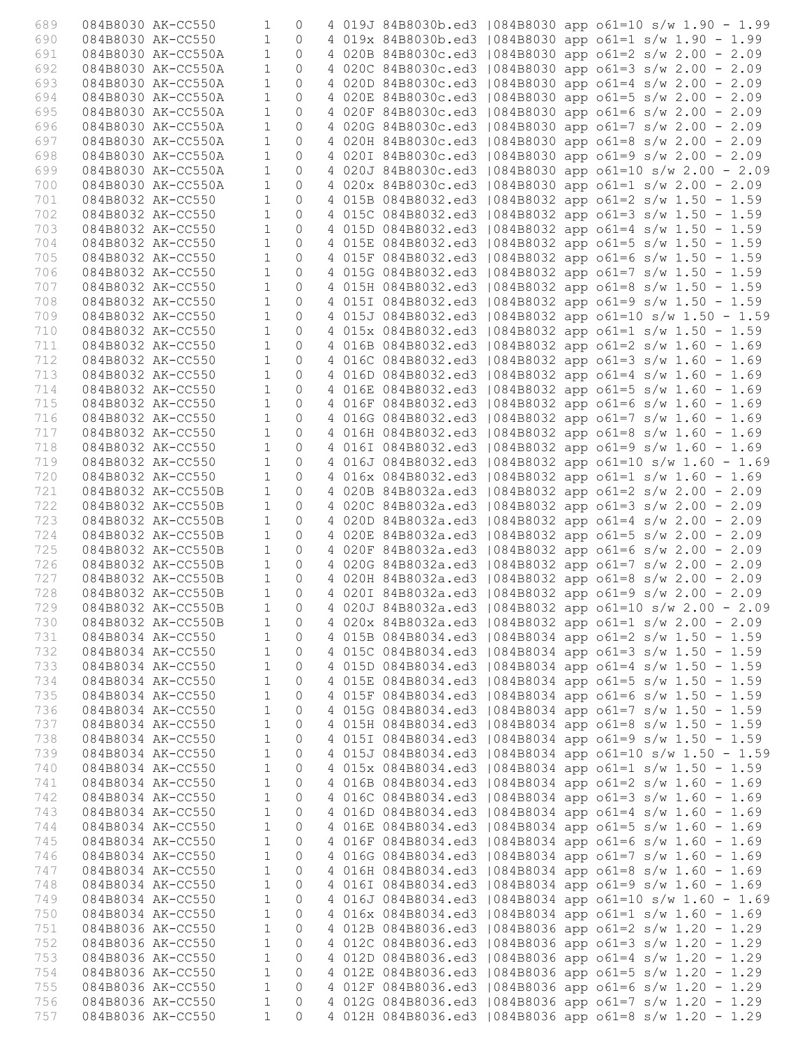| 689        |                   | 084B8030 AK-CC550                        | $\mathbf 1$                  | $\mathbf{0}$         |  |                     |  | 4 019J 84B8030b.ed3   084B8030 app o61=10 s/w 1.90 - 1.99                                                             |
|------------|-------------------|------------------------------------------|------------------------------|----------------------|--|---------------------|--|-----------------------------------------------------------------------------------------------------------------------|
| 690        |                   | 084B8030 AK-CC550                        | $\mathbf{1}$                 | $\Omega$             |  |                     |  | 4 019x 84B8030b.ed3   084B8030 app o61=1 s/w 1.90 - 1.99                                                              |
| 691        |                   | 084B8030 AK-CC550A                       | $\mathbf{1}$                 | $\Omega$             |  |                     |  | 4 020B 84B8030c.ed3   084B8030 app o61=2 s/w 2.00 - 2.09                                                              |
| 692        |                   | 084B8030 AK-CC550A                       | $\mathbf{1}$                 | $\Omega$             |  |                     |  | 4 020C 84B8030c.ed3   084B8030 app o61=3 s/w 2.00 - 2.09                                                              |
| 693        |                   | 084B8030 AK-CC550A                       | $\mathbf{1}$                 | $\Omega$             |  | 4 020D 84B8030c.ed3 |  | $1084B8030$ app $061=4$ s/w 2.00 - 2.09                                                                               |
| 694        |                   | 084B8030 AK-CC550A                       | $\mathbf{1}$                 | $\Omega$             |  | 4 020E 84B8030c.ed3 |  | $1084B8030$ app o61=5 s/w 2.00 - 2.09                                                                                 |
| 695        |                   | 084B8030 AK-CC550A                       | $\mathbf{1}$                 | $\Omega$             |  |                     |  | 4 020F 84B8030c.ed3   084B8030 app o61=6 s/w 2.00 - 2.09                                                              |
| 696        |                   | 084B8030 AK-CC550A                       | $\mathbf{1}$                 | $\Omega$             |  |                     |  | 4 020G 84B8030c.ed3   084B8030 app o61=7 s/w 2.00 - 2.09                                                              |
| 697<br>698 |                   | 084B8030 AK-CC550A<br>084B8030 AK-CC550A | $\mathbf{1}$<br>$\mathbf 1$  | $\Omega$<br>$\Omega$ |  |                     |  | 4 020H 84B8030c.ed3   084B8030 app o61=8 s/w 2.00 - 2.09                                                              |
| 699        |                   | 084B8030 AK-CC550A                       | $\mathbf{1}$                 | $\bigcap$            |  |                     |  | 4 0201 84B8030c.ed3   084B8030 app o61=9 s/w 2.00 - 2.09<br>4 020J 84B8030c.ed3   084B8030 app o61=10 s/w 2.00 - 2.09 |
| 700        |                   | 084B8030 AK-CC550A                       | $\mathbf{1}$                 | $\bigcap$            |  | 4 020x 84B8030c.ed3 |  | $1084B8030$ app o61=1 s/w 2.00 - 2.09                                                                                 |
| 701        |                   | 084B8032 AK-CC550                        | $\mathbf{1}$                 | $\Omega$             |  | 4 015B 084B8032.ed3 |  | $1084B8032$ app o61=2 s/w 1.50 - 1.59                                                                                 |
| 702        |                   | 084B8032 AK-CC550                        | $\mathbf{1}$                 | $\circ$              |  |                     |  | 4 015C 084B8032.ed3   084B8032 app o61=3 s/w 1.50 - 1.59                                                              |
| 703        |                   | 084B8032 AK-CC550                        | $\mathbf{1}$                 | $\Omega$             |  |                     |  | 4 015D 084B8032.ed3   084B8032 app o61=4 s/w 1.50 - 1.59                                                              |
| 704        | 084B8032 AK-CC550 |                                          | $\mathbf{1}$                 | $\Omega$             |  |                     |  | 4 015E 084B8032.ed3   084B8032 app o61=5 s/w 1.50 - 1.59                                                              |
| 705        | 084B8032 AK-CC550 |                                          | $\mathbf{1}$                 | $\Omega$             |  |                     |  | 4 015F 084B8032.ed3   084B8032 app o61=6 s/w 1.50 - 1.59                                                              |
| 706        |                   | 084B8032 AK-CC550                        | $\mathbf{1}$                 | $\Omega$             |  | 4 015G 084B8032.ed3 |  | $1084B8032$ app o61=7 s/w 1.50 - 1.59                                                                                 |
| 707        |                   | 084B8032 AK-CC550                        | $\mathbf{1}$                 | $\Omega$             |  |                     |  | 4 015H 084B8032.ed3   084B8032 app o61=8 s/w 1.50 - 1.59                                                              |
| 708        |                   | 084B8032 AK-CC550                        | $\mathbf{1}$                 | $\circ$              |  |                     |  | 4 0151 084B8032.ed3   084B8032 app o61=9 s/w 1.50 - 1.59                                                              |
| 709        |                   | 084B8032 AK-CC550                        | $\mathbf{1}$                 | $\Omega$             |  |                     |  | 4 015J 084B8032.ed3   084B8032 app o61=10 s/w 1.50 - 1.59                                                             |
| 710        |                   | 084B8032 AK-CC550                        | $\mathbf{1}$                 | $\Omega$             |  |                     |  | 4 015x 084B8032.ed3   084B8032 app o61=1 s/w 1.50 - 1.59                                                              |
| 711        |                   | 084B8032 AK-CC550                        | $\mathbf{1}$                 | $\Omega$             |  |                     |  | 4 016B 084B8032.ed3   084B8032 app o61=2 s/w 1.60 - 1.69                                                              |
| 712        |                   | 084B8032 AK-CC550                        | $\mathbf{1}$                 | $\bigcap$            |  | 4 016C 084B8032.ed3 |  | $1084B8032$ app o61=3 s/w 1.60 - 1.69                                                                                 |
| 713        |                   | 084B8032 AK-CC550                        | $\mathbf 1$                  | $\Omega$             |  | 4 016D 084B8032.ed3 |  | 084B8032 app o61=4 s/w 1.60 - 1.69                                                                                    |
| 714        |                   | 084B8032 AK-CC550                        | $\mathbf 1$                  | $\circ$              |  | 4 016E 084B8032.ed3 |  | $1084B8032$ app o61=5 s/w 1.60 - 1.69                                                                                 |
| 715        |                   | 084B8032 AK-CC550                        | $\mathbf{1}$                 | $\Omega$             |  |                     |  | 4 016F 084B8032.ed3   084B8032 app o61=6 s/w 1.60 - 1.69                                                              |
| 716        |                   | 084B8032 AK-CC550                        | $\mathbf{1}$                 | $\Omega$             |  |                     |  | 4 016G 084B8032.ed3   084B8032 app o61=7 s/w 1.60 - 1.69                                                              |
| 717        |                   | 084B8032 AK-CC550                        | $\mathbf{1}$                 | $\Omega$             |  |                     |  | 4 016H 084B8032.ed3   084B8032 app o61=8 s/w 1.60 - 1.69                                                              |
| 718<br>719 |                   | 084B8032 AK-CC550<br>084B8032 AK-CC550   | $\mathbf{1}$<br>$\mathbf{1}$ | $\Omega$<br>$\Omega$ |  |                     |  | 4 016I 084B8032.ed3   084B8032 app o61=9 s/w 1.60 - 1.69                                                              |
| 720        |                   | 084B8032 AK-CC550                        | $\mathbf{1}$                 | $\circ$              |  |                     |  | 4 016J 084B8032.ed3   084B8032 app o61=10 s/w 1.60 - 1.69<br>4 016x 084B8032.ed3   084B8032 app o61=1 s/w 1.60 - 1.69 |
| 721        |                   | 084B8032 AK-CC550B                       | $\mathbf{1}$                 | $\Omega$             |  |                     |  | 4 020B 84B8032a.ed3   084B8032 app o61=2 s/w 2.00 - 2.09                                                              |
| 722        |                   | 084B8032 AK-CC550B                       | $\mathbf{1}$                 | $\Omega$             |  |                     |  | 4 020C 84B8032a.ed3   084B8032 app o61=3 s/w 2.00 - 2.09                                                              |
| 723        |                   | 084B8032 AK-CC550B                       | $\mathbf{1}$                 | $\Omega$             |  |                     |  | 4 020D 84B8032a.ed3   084B8032 app o61=4 s/w 2.00 - 2.09                                                              |
| 724        |                   | 084B8032 AK-CC550B                       | $\mathbf{1}$                 | $\Omega$             |  |                     |  | 4 020E 84B8032a.ed3   084B8032 app o61=5 s/w 2.00 - 2.09                                                              |
| 725        |                   | 084B8032 AK-CC550B                       | $\mathbf{1}$                 | $\Omega$             |  |                     |  | 4 020F 84B8032a.ed3   084B8032 app o61=6 s/w 2.00 - 2.09                                                              |
| 726        |                   | 084B8032 AK-CC550B                       | $\mathbf{1}$                 | $\circ$              |  |                     |  | 4 020G 84B8032a.ed3   084B8032 app o61=7 s/w 2.00 - 2.09                                                              |
| 727        |                   | 084B8032 AK-CC550B                       | $\mathbf{1}$                 | $\Omega$             |  |                     |  | 4 020H 84B8032a.ed3   084B8032 app o61=8 s/w 2.00 - 2.09                                                              |
| 728        |                   | 084B8032 AK-CC550B                       | $\mathbf{1}$                 | $\Omega$             |  |                     |  | 4 0201 84B8032a.ed3   084B8032 app o61=9 s/w 2.00 - 2.09                                                              |
| 729        |                   | 084B8032 AK-CC550B                       | $\overline{1}$               | $\circ$              |  |                     |  | 4 020J 84B8032a.ed3   084B8032 app o61=10 s/w 2.00 - 2.09                                                             |
| 730        |                   | 084B8032 AK-CC550B                       | $\mathbf{1}$                 | $\overline{0}$       |  |                     |  | 4 020x 84B8032a.ed3   084B8032 app o61=1 s/w 2.00 - 2.09                                                              |
| 731        |                   | 084B8034 AK-CC550                        | $\mathbf{1}$                 | $\overline{0}$       |  |                     |  | 4 015B 084B8034.ed3   084B8034 app o61=2 s/w 1.50 - 1.59                                                              |
| 732        |                   | 084B8034 AK-CC550                        | $\mathbf{1}$                 | $\circ$              |  |                     |  | 4 015C 084B8034.ed3   084B8034 app o61=3 s/w 1.50 - 1.59                                                              |
| 733        | 084B8034 AK-CC550 |                                          | $\mathbf{1}$                 | $\circ$              |  |                     |  | 4 015D 084B8034.ed3   084B8034 app o61=4 s/w 1.50 - 1.59                                                              |
| 734        | 084B8034 AK-CC550 |                                          | $\mathbf{1}$                 | $\circ$              |  |                     |  | 4 015E 084B8034.ed3   084B8034 app o61=5 s/w 1.50 - 1.59                                                              |
| 735        |                   | 084B8034 AK-CC550                        | $\mathbf{1}$                 | 0                    |  |                     |  | 4 015F 084B8034.ed3   084B8034 app o61=6 s/w 1.50 - 1.59<br>4 015G 084B8034.ed3   084B8034 app o61=7 s/w 1.50 - 1.59  |
| 736<br>737 |                   | 084B8034 AK-CC550<br>084B8034 AK-CC550   | $\mathbf{1}$<br>$\mathbf{1}$ | 0<br>$\circ$         |  |                     |  | 4 015H 084B8034.ed3   084B8034 app o61=8 s/w 1.50 - 1.59                                                              |
| 738        |                   | 084B8034 AK-CC550                        | $\mathbf{1}$                 | $\circ$              |  |                     |  | 4 0151 084B8034.ed3   084B8034 app o61=9 s/w 1.50 - 1.59                                                              |
| 739        | 084B8034 AK-CC550 |                                          | $1\,$                        | $\circ$              |  |                     |  | 4 015J 084B8034.ed3   084B8034 app o61=10 s/w 1.50 - 1.59                                                             |
| 740        | 084B8034 AK-CC550 |                                          | $\mathbf 1$                  | $\circ$              |  |                     |  | 4 015x 084B8034.ed3   084B8034 app o61=1 s/w 1.50 - 1.59                                                              |
| 741        |                   | 084B8034 AK-CC550                        | $\mathbf{1}$                 | $\circ$              |  |                     |  | 4 016B 084B8034.ed3   084B8034 app o61=2 s/w 1.60 - 1.69                                                              |
| 742        |                   | 084B8034 AK-CC550                        | $\mathbf{1}$                 | $\circ$              |  |                     |  | 4 016C 084B8034.ed3   084B8034 app o61=3 s/w 1.60 - 1.69                                                              |
| 743        | 084B8034 AK-CC550 |                                          | $\mathbf{1}$                 | $\circ$              |  |                     |  | 4 016D 084B8034.ed3   084B8034 app o61=4 s/w 1.60 - 1.69                                                              |
| 744        | 084B8034 AK-CC550 |                                          | $\mathbf{1}$                 | $\circ$              |  |                     |  | 4 016E 084B8034.ed3   084B8034 app o61=5 s/w 1.60 - 1.69                                                              |
| 745        | 084B8034 AK-CC550 |                                          | $1\,$                        | $\circ$              |  |                     |  | 4 016F 084B8034.ed3   084B8034 app o61=6 s/w 1.60 - 1.69                                                              |
| 746        | 084B8034 AK-CC550 |                                          | $1\,$                        | $\circ$              |  |                     |  | 4 016G 084B8034.ed3   084B8034 app o61=7 s/w 1.60 - 1.69                                                              |
| 747        | 084B8034 AK-CC550 |                                          | $\mathbf{1}$                 | $\circ$              |  |                     |  | 4 016H 084B8034.ed3   084B8034 app o61=8 s/w 1.60 - 1.69                                                              |
| 748        |                   | 084B8034 AK-CC550                        | $\mathbf{1}$                 | 0                    |  |                     |  | 4 016I 084B8034.ed3   084B8034 app o61=9 s/w 1.60 - 1.69                                                              |
| 749        | 084B8034 AK-CC550 |                                          | $\mathbf{1}$                 | $\circ$              |  |                     |  | 4 016J 084B8034.ed3   084B8034 app o61=10 s/w 1.60 - 1.69                                                             |
| 750        | 084B8034 AK-CC550 |                                          | $\mathbf{1}$                 | $\circ$              |  |                     |  | 4 016x 084B8034.ed3   084B8034 app o61=1 s/w 1.60 - 1.69                                                              |
| 751        | 084B8036 AK-CC550 |                                          | $\mathbf 1$                  | $\circ$              |  |                     |  | 4 012B 084B8036.ed3   084B8036 app o61=2 s/w 1.20 - 1.29                                                              |
| 752        | 084B8036 AK-CC550 |                                          | $\mathbf 1$                  | $\circ$              |  |                     |  | 4 012C 084B8036.ed3   084B8036 app o61=3 s/w 1.20 - 1.29                                                              |
| 753<br>754 |                   | 084B8036 AK-CC550                        | $\mathbf{1}$<br>$\mathbf{1}$ | 0<br>$\circ$         |  |                     |  | 4 012D 084B8036.ed3   084B8036 app o61=4 s/w 1.20 - 1.29                                                              |
| 755        |                   | 084B8036 AK-CC550<br>084B8036 AK-CC550   | $\mathbf{1}$                 | $\circ$              |  |                     |  | 4 012E 084B8036.ed3   084B8036 app o61=5 s/w 1.20 - 1.29<br>4 012F 084B8036.ed3   084B8036 app o61=6 s/w 1.20 - 1.29  |
| 756        | 084B8036 AK-CC550 |                                          | $\mathbf{1}$                 | $\Omega$             |  |                     |  | 4 012G 084B8036.ed3   084B8036 app o61=7 s/w 1.20 - 1.29                                                              |
| 757        | 084B8036 AK-CC550 |                                          | $\mathbf{1}$                 | $\Omega$             |  |                     |  | 4 012H 084B8036.ed3   084B8036 app o61=8 s/w 1.20 - 1.29                                                              |
|            |                   |                                          |                              |                      |  |                     |  |                                                                                                                       |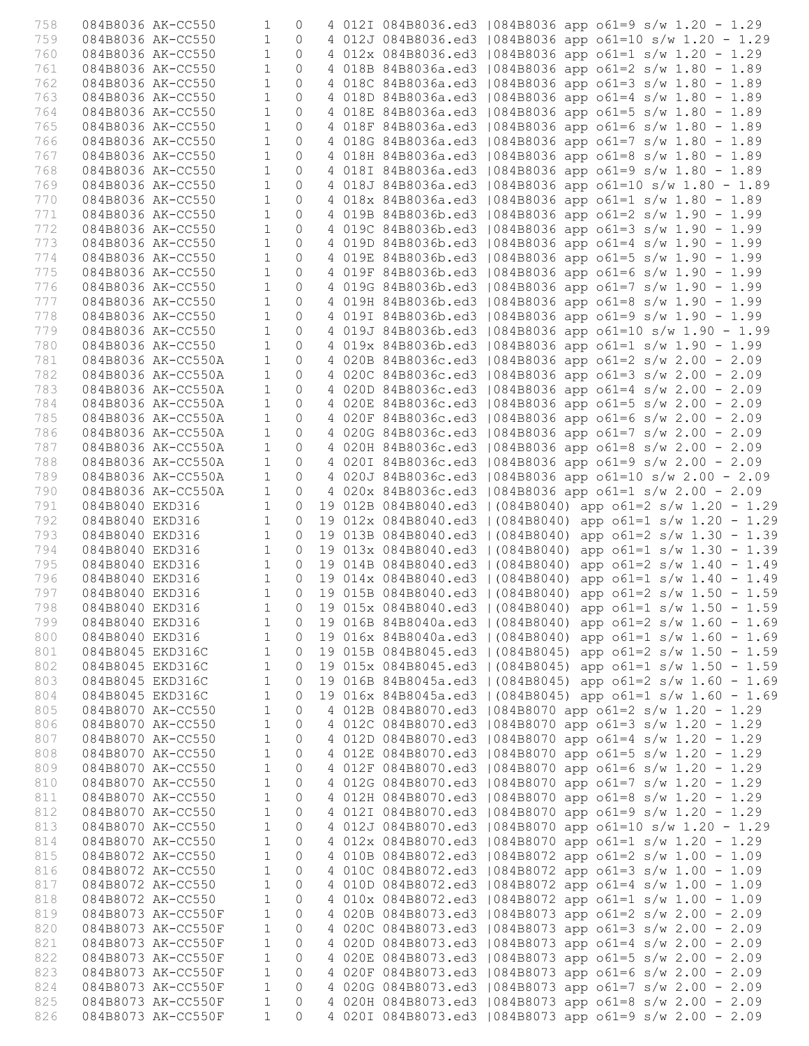| 758        | 084B8036 AK-CC550                        | $\mathbf{1}$                 | $\mathbf{0}$        |  | 4 012I 084B8036.ed3   084B8036 app o61=9 s/w 1.20 - 1.29                                                                   |
|------------|------------------------------------------|------------------------------|---------------------|--|----------------------------------------------------------------------------------------------------------------------------|
| 759        | 084B8036 AK-CC550                        | $\mathbf{1}$                 | $\circ$             |  | 4 012J 084B8036.ed3   084B8036 app o61=10 s/w 1.20 - 1.29                                                                  |
| 760        | 084B8036 AK-CC550                        | $\mathbf{1}$                 | $\Omega$            |  | 4 012x 084B8036.ed3   084B8036 app o61=1 s/w 1.20 - 1.29                                                                   |
| 761        | 084B8036 AK-CC550                        | $\mathbf{1}$                 | $\circ$             |  | 4 018B 84B8036a.ed3   084B8036 app o61=2 s/w 1.80 - 1.89                                                                   |
| 762        | 084B8036 AK-CC550                        | $\mathbf{1}$                 | $\Omega$            |  | 4 018C 84B8036a.ed3   084B8036 app o61=3 s/w 1.80 - 1.89                                                                   |
| 763        | 084B8036 AK-CC550                        | $\mathbf{1}$                 | $\circ$             |  | 4 018D 84B8036a.ed3   084B8036 app o61=4 s/w 1.80 - 1.89                                                                   |
| 764        | 084B8036 AK-CC550                        | $\mathbf{1}$                 | 0                   |  | 4 018E 84B8036a.ed3   084B8036 app o61=5 s/w 1.80 - 1.89                                                                   |
| 765        | 084B8036 AK-CC550                        | $\mathbf{1}$                 | $\circ$<br>$\Omega$ |  | 4 018F 84B8036a.ed3   084B8036 app o61=6 s/w 1.80 - 1.89                                                                   |
| 766<br>767 | 084B8036 AK-CC550<br>084B8036 AK-CC550   | $\mathbf{1}$<br>$\mathbf{1}$ | $\circ$             |  | 4 018G 84B8036a.ed3   084B8036 app o61=7 s/w 1.80 - 1.89<br>4 018H 84B8036a.ed3   084B8036 app o61=8 s/w 1.80 - 1.89       |
| 768        | 084B8036 AK-CC550                        | $\mathbf{1}$                 | $\circ$             |  | 4 0181 84B8036a.ed3   084B8036 app o61=9 s/w 1.80 - 1.89                                                                   |
| 769        | 084B8036 AK-CC550                        | $\mathbf{1}$                 | $\circ$             |  | 4 018J 84B8036a.ed3   084B8036 app o61=10 s/w 1.80 - 1.89                                                                  |
| 770        | 084B8036 AK-CC550                        | $\mathbf{1}$                 | $\circ$             |  | 4 018x 84B8036a.ed3   084B8036 app o61=1 s/w 1.80 - 1.89                                                                   |
| 771        | 084B8036 AK-CC550                        | $\mathbf{1}$                 | 0                   |  | 4 019B 84B8036b.ed3   084B8036 app o61=2 s/w 1.90 - 1.99                                                                   |
| 772        | 084B8036 AK-CC550                        | $\mathbf{1}$                 | $\circ$             |  | 4 019C 84B8036b.ed3   084B8036 app o61=3 s/w 1.90 - 1.99                                                                   |
| 773        | 084B8036 AK-CC550                        | $\mathbf{1}$                 | $\circ$             |  | 4 019D 84B8036b.ed3   084B8036 app o61=4 s/w 1.90 - 1.99                                                                   |
| 774        | 084B8036 AK-CC550                        | $\mathbf{1}$                 | $\Omega$            |  | 4 019E 84B8036b.ed3   084B8036 app o61=5 s/w 1.90 - 1.99                                                                   |
| 775        | 084B8036 AK-CC550                        | $\mathbf{1}$                 | $\Omega$            |  | 4 019F 84B8036b.ed3   084B8036 app o61=6 s/w 1.90 - 1.99                                                                   |
| 776        | 084B8036 AK-CC550                        | $\mathbf{1}$                 | $\circ$             |  | 4 019G 84B8036b.ed3   084B8036 app o61=7 s/w 1.90 - 1.99                                                                   |
| 777        | 084B8036 AK-CC550                        | $\mathbf{1}$                 | $\mathsf{O}\xspace$ |  | 4 019H 84B8036b.ed3   084B8036 app o61=8 s/w 1.90 - 1.99                                                                   |
| 778        | 084B8036 AK-CC550                        | $\mathbf{1}$                 | $\Omega$            |  | 4 019I 84B8036b.ed3   084B8036 app o61=9 s/w 1.90 - 1.99                                                                   |
| 779        | 084B8036 AK-CC550                        | $\mathbf{1}$                 | $\circ$             |  | 4 019J 84B8036b.ed3   084B8036 app o61=10 s/w 1.90 - 1.99                                                                  |
| 780        | 084B8036 AK-CC550                        | $\mathbf{1}$                 | $\overline{0}$      |  | 4 019x 84B8036b.ed3   084B8036 app o61=1 s/w 1.90 - 1.99                                                                   |
| 781        | 084B8036 AK-CC550A                       | $\mathbf{1}$                 | $\Omega$            |  | 4 020B 84B8036c.ed3   084B8036 app o61=2 s/w 2.00 - 2.09                                                                   |
| 782<br>783 | 084B8036 AK-CC550A<br>084B8036 AK-CC550A | $\mathbf{1}$<br>$\mathbf{1}$ | $\circ$<br>$\circ$  |  | 4 020C 84B8036c.ed3   084B8036 app o61=3 s/w 2.00 - 2.09<br>4 020D 84B8036c.ed3   084B8036 app o61=4 s/w 2.00 - 2.09       |
| 784        | 084B8036 AK-CC550A                       | $\mathbf{1}$                 | $\circ$             |  | 4 020E 84B8036c.ed3   084B8036 app o61=5 s/w 2.00 - 2.09                                                                   |
| 785        | 084B8036 AK-CC550A                       | $\mathbf{1}$                 | $\circ$             |  | 4 020F 84B8036c.ed3   084B8036 app o61=6 s/w 2.00 - 2.09                                                                   |
| 786        | 084B8036 AK-CC550A                       | $\mathbf{1}$                 | $\circ$             |  | 4 020G 84B8036c.ed3   084B8036 app o61=7 s/w 2.00 - 2.09                                                                   |
| 787        | 084B8036 AK-CC550A                       | $\mathbf{1}$                 | $\Omega$            |  | 4 020H 84B8036c.ed3   084B8036 app o61=8 s/w 2.00 - 2.09                                                                   |
| 788        | 084B8036 AK-CC550A                       | $\mathbf{1}$                 | $\circ$             |  | 4 0201 84B8036c.ed3   084B8036 app o61=9 s/w 2.00 - 2.09                                                                   |
| 789        | 084B8036 AK-CC550A                       | $\mathbf{1}$                 | $\circ$             |  | 4 020J 84B8036c.ed3   084B8036 app o61=10 s/w 2.00 - 2.09                                                                  |
| 790        | 084B8036 AK-CC550A                       | $\mathbf{1}$                 | $\circ$             |  | 4 020x 84B8036c.ed3   084B8036 app o61=1 s/w 2.00 - 2.09                                                                   |
| 791        | 084B8040 EKD316                          | $\mathbf{1}$                 | $\circ$             |  | 19 012B 084B8040.ed3   (084B8040) app o61=2 s/w 1.20 - 1.29                                                                |
| 792        | 084B8040 EKD316                          | $\mathbf{1}$                 | $\circ$             |  | 19 012x 084B8040.ed3   (084B8040) app o61=1 s/w 1.20 - 1.29                                                                |
| 793        | 084B8040 EKD316                          | $\mathbf{1}$                 | $\circ$             |  | 19 013B 084B8040.ed3   (084B8040) app o61=2 s/w 1.30 - 1.39                                                                |
| 794        | 084B8040 EKD316                          | $\mathbf{1}$<br>$\mathbf{1}$ | $\circ$             |  | 19 013x 084B8040.ed3   (084B8040) app o61=1 s/w 1.30 - 1.39                                                                |
| 795<br>796 | 084B8040 EKD316<br>084B8040 EKD316       | $\mathbf{1}$                 | $\circ$<br>$\circ$  |  | 19 014B 084B8040.ed3   (084B8040) app o61=2 s/w 1.40 - 1.49<br>19 014x 084B8040.ed3   (084B8040) app o61=1 s/w 1.40 - 1.49 |
| 797        | 084B8040 EKD316                          | $\mathbf{1}$                 | $\Omega$            |  | 19 015B 084B8040.ed3   (084B8040) app o61=2 s/w 1.50 - 1.59                                                                |
| 798        | 084B8040 EKD316                          | 1                            |                     |  | 0 19 015x 084B8040.ed3   (084B8040) app o61=1 s/w 1.50 - 1.59                                                              |
| 799        | 084B8040 EKD316                          | $\mathbf{1}$                 |                     |  | 0 19 016B 84B8040a.ed3   (084B8040) app $61=2$ s/w 1.60 - 1.69                                                             |
| 800        | 084B8040 EKD316                          | 1                            |                     |  | 0 19 016x 84B8040a.ed3   (084B8040) app o61=1 s/w 1.60 - 1.69                                                              |
| 801        | 084B8045 EKD316C                         | $\mathbf{1}$                 |                     |  | 0 19 015B 084B8045.ed3   (084B8045) app o61=2 s/w 1.50 - 1.59                                                              |
| 802        | 084B8045 EKD316C                         | $\mathbf{1}$                 | $\circ$             |  | 19 015x 084B8045.ed3   (084B8045) app o61=1 s/w 1.50 - 1.59                                                                |
| 803        | 084B8045 EKD316C                         | $\mathbf{1}$                 | $\circ$             |  | 19 016B 84B8045a.ed3   (084B8045) app o61=2 s/w 1.60 - 1.69                                                                |
| 804        | 084B8045 EKD316C                         | $\mathbf{1}$                 | $\circ$             |  | 19 016x 84B8045a.ed3   (084B8045) app o61=1 s/w 1.60 - 1.69                                                                |
| 805        | 084B8070 AK-CC550                        | $\mathbf{1}$                 | $\circ$             |  | 4 012B 084B8070.ed3   084B8070 app o61=2 s/w 1.20 - 1.29                                                                   |
| 806<br>807 | 084B8070 AK-CC550<br>084B8070 AK-CC550   | $\mathbf{1}$<br>$\mathbf{1}$ | $\circ$<br>$\circ$  |  | 4 012C 084B8070.ed3   084B8070 app o61=3 s/w 1.20 - 1.29<br>4 012D 084B8070.ed3   084B8070 app o61=4 s/w 1.20 - 1.29       |
| 808        | 084B8070 AK-CC550                        | $\mathbf{1}$                 | $\circledcirc$      |  | 4 012E 084B8070.ed3   084B8070 app o61=5 s/w 1.20 - 1.29                                                                   |
| 809        | 084B8070 AK-CC550                        | $\mathbf{1}$                 | $\circ$             |  | 4 012F 084B8070.ed3   084B8070 app o61=6 s/w 1.20 - 1.29                                                                   |
| 810        | 084B8070 AK-CC550                        | $\mathbf{1}$                 | $\circ$             |  | 4 012G 084B8070.ed3   084B8070 app o61=7 s/w 1.20 - 1.29                                                                   |
| 811        | 084B8070 AK-CC550                        | $\mathbf{1}$                 | $\circ$             |  | 4 012H 084B8070.ed3   084B8070 app o61=8 s/w 1.20 - 1.29                                                                   |
| 812        | 084B8070 AK-CC550                        | $\mathbf{1}$                 | $\circ$             |  | 4 012I 084B8070.ed3   084B8070 app o61=9 s/w 1.20 - 1.29                                                                   |
| 813        | 084B8070 AK-CC550                        | $\mathbf{1}$                 | $\circ$             |  | 4 012J 084B8070.ed3   084B8070 app o61=10 s/w 1.20 - 1.29                                                                  |
| 814        | 084B8070 AK-CC550                        | $\mathbf{1}$                 | $\circ$             |  | 4 012x 084B8070.ed3   084B8070 app o61=1 s/w 1.20 - 1.29                                                                   |
| 815        | 084B8072 AK-CC550                        | $\mathbf{1}$                 | $\circ$             |  | 4 010B 084B8072.ed3   084B8072 app o61=2 s/w 1.00 - 1.09                                                                   |
| 816        | 084B8072 AK-CC550                        | $\mathbf{1}$                 | $\circ$             |  | 4 010C 084B8072.ed3   084B8072 app o61=3 s/w 1.00 - 1.09                                                                   |
| 817        | 084B8072 AK-CC550                        | $\mathbf{1}$                 | $\circ$             |  | 4 010D 084B8072.ed3   084B8072 app o61=4 s/w 1.00 - 1.09                                                                   |
| 818<br>819 | 084B8072 AK-CC550                        | $\mathbf{1}$<br>$\mathbf{1}$ | $\circ$<br>$\circ$  |  | 4 010x 084B8072.ed3   084B8072 app o61=1 s/w 1.00 - 1.09                                                                   |
| 820        | 084B8073 AK-CC550F<br>084B8073 AK-CC550F | $\mathbf{1}$                 | $\circ$             |  | 4 020B 084B8073.ed3   084B8073 app o61=2 s/w 2.00 - 2.09<br>4 020C 084B8073.ed3   084B8073 app o61=3 s/w 2.00 - 2.09       |
| 821        | 084B8073 AK-CC550F                       | $\mathbf{1}$                 | $\circ$             |  | 4 020D 084B8073.ed3   084B8073 app o61=4 s/w 2.00 - 2.09                                                                   |
| 822        | 084B8073 AK-CC550F                       | $\mathbf{1}$                 | $\circ$             |  | 4 020E 084B8073.ed3   084B8073 app o61=5 s/w 2.00 - 2.09                                                                   |
| 823        | 084B8073 AK-CC550F                       | $\mathbf{1}$                 | $\circ$             |  | 4 020F 084B8073.ed3   084B8073 app o61=6 s/w 2.00 - 2.09                                                                   |
| 824        | 084B8073 AK-CC550F                       | $\mathbf{1}$                 | $\circ$             |  | 4 020G 084B8073.ed3   084B8073 app o61=7 s/w 2.00 - 2.09                                                                   |
| 825        | 084B8073 AK-CC550F                       | $\mathbf{1}$                 | $\circ$             |  | 4 020H 084B8073.ed3   084B8073 app o61=8 s/w 2.00 - 2.09                                                                   |
| 826        | 084B8073 AK-CC550F                       | $\mathbf{1}$                 | $\Omega$            |  | 4 0201 084B8073.ed3   084B8073 app o61=9 s/w 2.00 - 2.09                                                                   |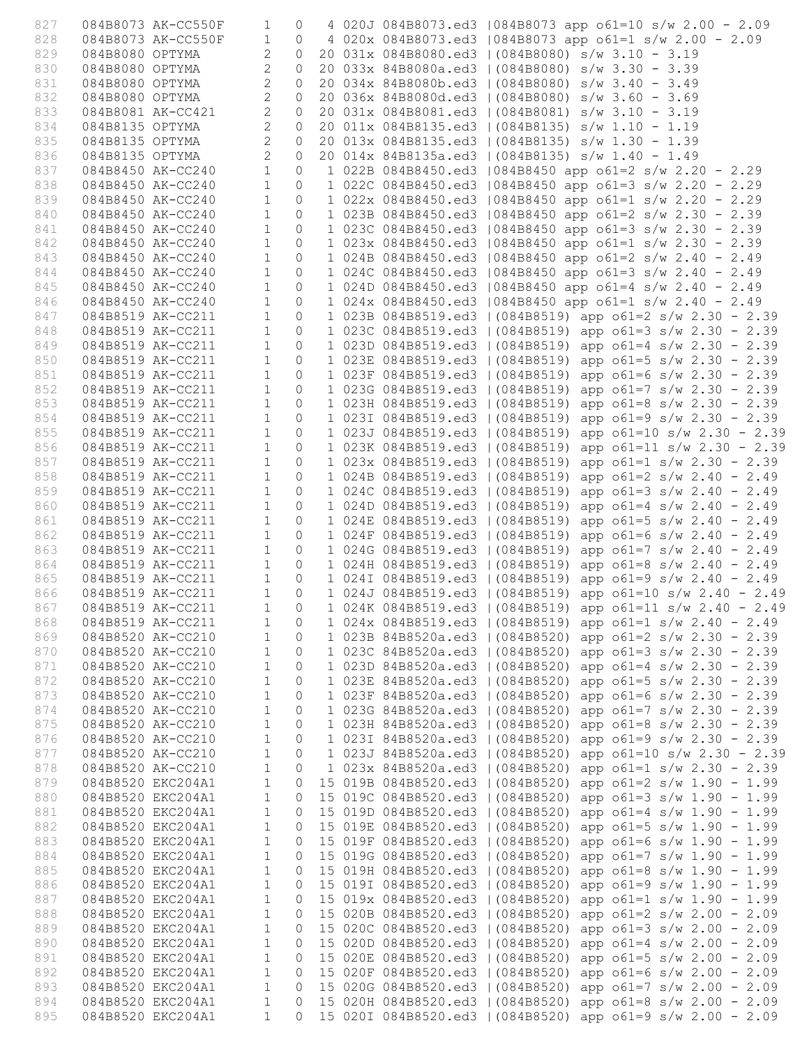| 827        |                                        | 084B8073 AK-CC550F                                                | $\mathbf{1}$                     | $\circ$              |  | 4 020J 084B8073.ed3   084B8073 app o61=10 s/w 2.00 - 2.09                                                                  |
|------------|----------------------------------------|-------------------------------------------------------------------|----------------------------------|----------------------|--|----------------------------------------------------------------------------------------------------------------------------|
| 828        |                                        | 084B8073 AK-CC550F                                                | $\mathbf{1}$                     | $\Omega$             |  | 4 020x 084B8073.ed3   084B8073 app o61=1 s/w 2.00 - 2.09                                                                   |
| 829        | 084B8080 OPTYMA                        |                                                                   | $\overline{2}$                   | $\circ$              |  | 20 031x 084B8080.ed3   (084B8080) s/w 3.10 - 3.19                                                                          |
| 830        | 084B8080 OPTYMA                        |                                                                   | $\overline{2}$                   | $\circ$              |  | 20 033x 84B8080a.ed3   (084B8080) s/w 3.30 - 3.39                                                                          |
| 831        | 084B8080 OPTYMA                        |                                                                   | $\overline{2}$                   | $\circ$              |  | 20 034x 84B8080b.ed3   (084B8080) s/w 3.40 - 3.49                                                                          |
| 832        | 084B8080 OPTYMA                        |                                                                   | $\overline{c}$                   | $\circ$              |  | 20 036x 84B8080d.ed3   (084B8080) s/w 3.60 - 3.69                                                                          |
| 833        |                                        | 084B8081 AK-CC421                                                 | 2<br>2                           | $\circ$              |  | 20 031x 084B8081.ed3   (084B8081) s/w 3.10 - 3.19                                                                          |
| 834<br>835 | 084B8135 OPTYMA                        | 084B8135 OPTYMA                                                   | $\overline{2}$                   | $\Omega$<br>$\Omega$ |  | 20 011x 084B8135.ed3   (084B8135) s/w 1.10 - 1.19<br>20 013x 084B8135.ed3   (084B8135) s/w 1.30 - 1.39                     |
| 836        |                                        | 084B8135 OPTYMA                                                   | $\overline{2}$                   | $\circ$              |  | 20 014x 84B8135a.ed3   (084B8135) s/w 1.40 - 1.49                                                                          |
| 837        |                                        | 084B8450 AK-CC240                                                 | $\mathbf{1}$                     | $\circ$              |  | 1 022B 084B8450.ed3   084B8450 app o61=2 s/w 2.20 - 2.29                                                                   |
| 838        |                                        | 084B8450 AK-CC240                                                 | $\mathbf{1}$                     | $\circ$              |  | 1 022C 084B8450.ed3   084B8450 app o61=3 s/w 2.20 - 2.29                                                                   |
| 839        |                                        | 084B8450 AK-CC240                                                 | $\mathbf{1}$                     | $\circ$              |  | 1 022x 084B8450.ed3   084B8450 app o61=1 s/w 2.20 - 2.29                                                                   |
| 840        |                                        | 084B8450 AK-CC240                                                 | $\mathbf{1}$                     | $\circ$              |  | 1 023B 084B8450.ed3   084B8450 app o61=2 s/w 2.30 - 2.39                                                                   |
| 841        |                                        | 084B8450 AK-CC240                                                 | $\mathbf{1}$                     | $\circ$              |  | 1 023C 084B8450.ed3   084B8450 app o61=3 s/w 2.30 - 2.39                                                                   |
| 842        |                                        | 084B8450 AK-CC240                                                 | $\mathbf{1}$                     | $\circ$              |  | 1 023x 084B8450.ed3   084B8450 app o61=1 s/w 2.30 - 2.39                                                                   |
| 843        |                                        | 084B8450 AK-CC240                                                 | $\mathbf{1}$                     | $\circ$              |  | 1 024B 084B8450.ed3   084B8450 app o61=2 s/w 2.40 - 2.49                                                                   |
| 844        |                                        | 084B8450 AK-CC240                                                 | $\mathbf{1}$                     | $\circ$              |  | 1 024C 084B8450.ed3   084B8450 app o61=3 s/w 2.40 - 2.49                                                                   |
| 845        |                                        | 084B8450 AK-CC240                                                 | $\mathbf{1}$                     | $\circ$              |  | 1 024D 084B8450.ed3   084B8450 app o61=4 s/w 2.40 - 2.49                                                                   |
| 846        |                                        | 084B8450 AK-CC240                                                 | $\mathbf{1}$                     | $\circ$              |  | 1 024x 084B8450.ed3   084B8450 app o61=1 s/w 2.40 - 2.49                                                                   |
| 847        |                                        | 084B8519 AK-CC211                                                 | $\mathbf{1}$                     | $\Omega$             |  | 1 023B 084B8519.ed3   (084B8519) app o61=2 s/w 2.30 - 2.39                                                                 |
| 848        |                                        | 084B8519 AK-CC211                                                 | $\mathbf{1}$                     | $\circ$              |  | 1 023C 084B8519.ed3   (084B8519) app o61=3 s/w 2.30 - 2.39                                                                 |
| 849        |                                        | 084B8519 AK-CC211                                                 | $\mathbf{1}$                     | $\circ$              |  | 1 023D 084B8519.ed3   (084B8519) app o61=4 s/w 2.30 - 2.39                                                                 |
| 850        |                                        | 084B8519 AK-CC211                                                 | $\mathbf{1}$                     | $\circ$              |  | 1 023E 084B8519.ed3   (084B8519) app o61=5 s/w 2.30 - 2.39                                                                 |
| 851        |                                        | 084B8519 AK-CC211                                                 | $\mathbf{1}$                     | $\circ$              |  | 1 023F 084B8519.ed3   (084B8519) app o61=6 s/w 2.30 - 2.39                                                                 |
| 852        |                                        | 084B8519 AK-CC211                                                 | 1                                | $\circ$              |  | 1 023G 084B8519.ed3   (084B8519) app o61=7 s/w 2.30 - 2.39                                                                 |
| 853        |                                        | 084B8519 AK-CC211<br>084B8519 AK-CC211                            | $\overline{1}$<br>$\overline{1}$ | $\circ$<br>$\circ$   |  | 1 023H 084B8519.ed3   (084B8519) app o61=8 s/w 2.30 - 2.39                                                                 |
| 854<br>855 |                                        | 084B8519 AK-CC211                                                 | $\mathbf{1}$                     | $\circ$              |  | 1 023I 084B8519.ed3   (084B8519) app o61=9 s/w 2.30 - 2.39<br>1 023J 084B8519.ed3   (084B8519) app o61=10 s/w 2.30 - 2.39  |
| 856        |                                        | 084B8519 AK-CC211                                                 | $\mathbf{1}$                     | $\circ$              |  | 1 023K 084B8519.ed3   (084B8519) app o61=11 s/w 2.30 - 2.39                                                                |
| 857        |                                        | 084B8519 AK-CC211                                                 | $\mathbf{1}$                     | $\circ$              |  | 1 023x 084B8519.ed3   (084B8519) app o61=1 s/w 2.30 - 2.39                                                                 |
| 858        |                                        | 084B8519 AK-CC211                                                 | $\mathbf{1}$                     | $\circ$              |  | 1 024B 084B8519.ed3   (084B8519) app o61=2 s/w 2.40 - 2.49                                                                 |
| 859        |                                        | $084B8519 A K-CC211$                                              | $\overline{1}$                   | $\circ$              |  | 1 024C 084B8519.ed3   (084B8519) app o61=3 s/w 2.40 - 2.49                                                                 |
| 860        |                                        | 084B8519 AK-CC211                                                 | $\mathbf{1}$                     | $\Omega$             |  | 1 024D 084B8519.ed3   (084B8519) app o61=4 s/w 2.40 - 2.49                                                                 |
| 861        |                                        | 084B8519 AK-CC211                                                 | $\mathbf{1}$                     | $\circ$              |  | 1 024E 084B8519.ed3   (084B8519) app o61=5 s/w 2.40 - 2.49                                                                 |
| 862        |                                        | 084B8519 AK-CC211                                                 | $\mathbf{1}$                     | $\circ$              |  | 1 024F 084B8519.ed3   (084B8519) app o61=6 s/w 2.40 - 2.49                                                                 |
| 863        |                                        | 084B8519 AK-CC211 1                                               |                                  | $\overline{0}$       |  | 1 024G 084B8519.ed3   (084B8519) app o61=7 s/w 2.40 - 2.49                                                                 |
| 864        |                                        |                                                                   |                                  | $\overline{0}$       |  | 1 024H 084B8519.ed3   (084B8519) app o61=8 s/w 2.40 - 2.49                                                                 |
| 865        |                                        | 084B8519 AK-CC211 1<br>084B8519 AK-CC211 1<br>084B8519 AK-CC211 1 |                                  | $\circ$              |  | 1 024I 084B8519.ed3   (084B8519) app o61=9 s/w 2.40 - 2.49                                                                 |
| 866        |                                        |                                                                   |                                  | $\circ$              |  | 1 024J 084B8519.ed3   (084B8519) app o61=10 s/w 2.40 - 2.49                                                                |
| 867        |                                        |                                                                   |                                  |                      |  | 084B8519 AK-CC211 1 0 1 024K 084B8519.ed3   (084B8519) app o61=11 s/w 2.40 - 2.49                                          |
| 868        | 084B8519 AK-CC211                      |                                                                   | $\mathbf{1}$                     | $\circ$              |  | 1 024x 084B8519.ed3   (084B8519) app o61=1 s/w 2.40 - 2.49                                                                 |
| 869        |                                        | 084B8520 AK-CC210                                                 | 1                                | $\circ$              |  | 1 023B 84B8520a.ed3   (084B8520) app o61=2 s/w 2.30 - 2.39                                                                 |
| 870        |                                        | 084B8520 AK-CC210                                                 | $\mathbf{1}$                     | $\circ$              |  | 1 023C 84B8520a.ed3   (084B8520) app o61=3 s/w 2.30 - 2.39                                                                 |
| 871        | 084B8520 AK-CC210                      |                                                                   | $\mathbf{1}$<br>$\mathbf{1}$     | $\circ$              |  | 1 023D 84B8520a.ed3   (084B8520) app o61=4 s/w 2.30 - 2.39                                                                 |
| 872<br>873 |                                        | 084B8520 AK-CC210<br>084B8520 AK-CC210                            | $\mathbf{1}$                     | $\circ$<br>0         |  | 1 023E 84B8520a.ed3   (084B8520) app o61=5 s/w 2.30 - 2.39<br>1 023F 84B8520a.ed3   (084B8520) app o61=6 s/w 2.30 - 2.39   |
| 874        | 084B8520 AK-CC210                      |                                                                   | $\mathbf{1}$                     | $\circ$              |  | 1 023G 84B8520a.ed3   (084B8520) app o61=7 s/w 2.30 - 2.39                                                                 |
| 875        | 084B8520 AK-CC210                      |                                                                   | $\mathbf{1}$                     | $\circ$              |  | 1 023H 84B8520a.ed3   (084B8520) app o61=8 s/w 2.30 - 2.39                                                                 |
| 876        | 084B8520 AK-CC210                      |                                                                   | $\mathbf{1}$                     | $\circ$              |  | 1 0231 84B8520a.ed3   (084B8520) app $61=9$ s/w 2.30 - 2.39                                                                |
| 877        | 084B8520 AK-CC210                      |                                                                   | $\mathbf{1}$                     | $\circ$              |  | 1 023J 84B8520a.ed3   (084B8520) app o61=10 s/w 2.30 - 2.39                                                                |
| 878        | 084B8520 AK-CC210                      |                                                                   | $\overline{1}$                   | $\circ$              |  | 1 023x 84B8520a.ed3   (084B8520) app o61=1 s/w 2.30 - 2.39                                                                 |
| 879        | 084B8520 EKC204A1                      |                                                                   | $\mathbf{1}$                     | $\circ$              |  | 15 019B 084B8520.ed3   (084B8520) app o61=2 s/w 1.90 - 1.99                                                                |
| 880        | 084B8520 EKC204A1                      |                                                                   | $\mathbf{1}$                     | $\circ$              |  | 15 019C 084B8520.ed3   (084B8520) app o61=3 s/w 1.90 - 1.99                                                                |
| 881        | 084B8520 EKC204A1                      |                                                                   | $\mathbf{1}$                     | $\circ$              |  | 15 019D 084B8520.ed3   (084B8520) app o61=4 s/w 1.90 - 1.99                                                                |
| 882        | 084B8520 EKC204A1                      |                                                                   | $\mathbf{1}$                     | $\circ$              |  | 15 019E 084B8520.ed3   (084B8520) app o61=5 s/w 1.90 - 1.99                                                                |
| 883        | 084B8520 EKC204A1                      |                                                                   | $\mathbf{1}$                     | $\circ$              |  | 15 019F 084B8520.ed3   (084B8520) app o61=6 s/w 1.90 - 1.99                                                                |
| 884        | 084B8520 EKC204A1                      |                                                                   | $\mathbf{1}$                     | $\circ$              |  | 15 019G 084B8520.ed3   (084B8520) app o61=7 s/w 1.90 - 1.99                                                                |
| 885        | 084B8520 EKC204A1                      |                                                                   | $\mathbf{1}$                     | $\circ$              |  | 15 019H 084B8520.ed3   (084B8520) app o61=8 s/w 1.90 - 1.99                                                                |
| 886        | 084B8520 EKC204A1                      |                                                                   | $\mathbf{1}$                     | $\circ$              |  | 15 019I 084B8520.ed3   (084B8520) app o61=9 s/w 1.90 - 1.99                                                                |
| 887        | 084B8520 EKC204A1                      |                                                                   | $\mathbf{1}$                     | $\circ$              |  | 15 019x 084B8520.ed3   (084B8520) app o61=1 s/w 1.90 - 1.99                                                                |
| 888        | 084B8520 EKC204A1                      |                                                                   | $\mathbf{1}$                     | $\circ$              |  | 15 020B 084B8520.ed3   (084B8520) app o61=2 s/w 2.00 - 2.09                                                                |
| 889        | 084B8520 EKC204A1                      |                                                                   | $\mathbf{1}$                     | $\circ$              |  | 15 020C 084B8520.ed3   (084B8520) app o61=3 s/w 2.00 - 2.09                                                                |
| 890<br>891 | 084B8520 EKC204A1<br>084B8520 EKC204A1 |                                                                   | $\mathbf{1}$<br>$\mathbf{1}$     | $\circ$<br>$\circ$   |  | 15 020D 084B8520.ed3   (084B8520) app o61=4 s/w 2.00 - 2.09<br>15 020E 084B8520.ed3   (084B8520) app o61=5 s/w 2.00 - 2.09 |
| 892        | 084B8520 EKC204A1                      |                                                                   | $\mathbf{1}$                     | $\circ$              |  | 15 020F 084B8520.ed3   (084B8520) app o61=6 s/w 2.00 - 2.09                                                                |
| 893        | 084B8520 EKC204A1                      |                                                                   | $\mathbf{1}$                     | $\circ$              |  | 15 020G 084B8520.ed3   (084B8520) app o61=7 s/w 2.00 - 2.09                                                                |
| 894        | 084B8520 EKC204A1                      |                                                                   | $\mathbf{1}$                     | $\circ$              |  | 15 020H 084B8520.ed3   (084B8520) app o61=8 s/w 2.00 - 2.09                                                                |
| 895        | 084B8520 EKC204A1                      |                                                                   | $\mathbf{1}$                     | $\Omega$             |  | 15 0201 084B8520.ed3   (084B8520) app o61=9 s/w 2.00 - 2.09                                                                |
|            |                                        |                                                                   |                                  |                      |  |                                                                                                                            |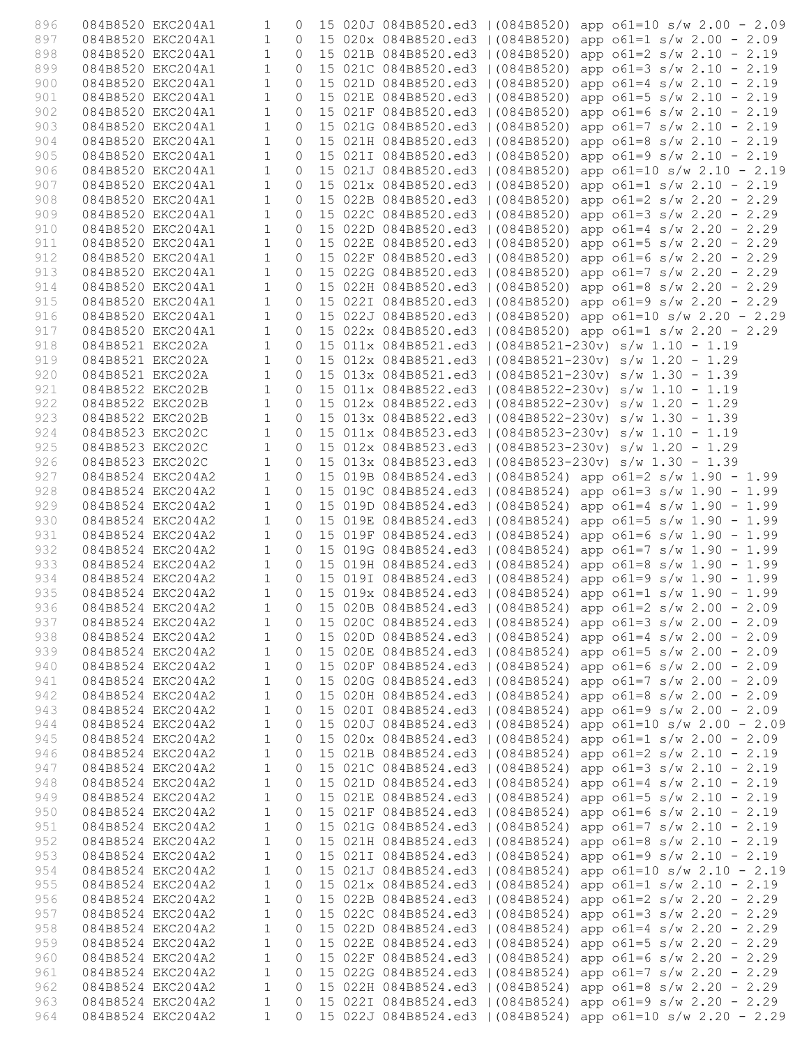| 896        |                   | 084B8520 EKC204A1                      | $\mathbf 1$                  | 0                   |  |                                   | 15 020J 084B8520.ed3   (084B8520) app o61=10 s/w 2.00 - 2.09                                                                |
|------------|-------------------|----------------------------------------|------------------------------|---------------------|--|-----------------------------------|-----------------------------------------------------------------------------------------------------------------------------|
| 897        |                   | 084B8520 EKC204A1                      | $\mathbf{1}$                 | $\Omega$            |  |                                   | 15 020x 084B8520.ed3   (084B8520) app o61=1 s/w 2.00 - 2.09                                                                 |
| 898        |                   | 084B8520 EKC204A1                      | $\mathbf{1}$                 | $\Omega$            |  |                                   | 15 021B 084B8520.ed3   (084B8520) app o61=2 s/w 2.10 - 2.19                                                                 |
| 899        |                   | 084B8520 EKC204A1                      | $\mathbf{1}$                 | $\circ$             |  |                                   | 15 021C 084B8520.ed3   (084B8520) app o61=3 s/w 2.10 - 2.19                                                                 |
| 900        |                   | 084B8520 EKC204A1                      | $\mathbf{1}$                 | $\circ$             |  |                                   | 15 021D 084B8520.ed3   (084B8520) app o61=4 s/w 2.10 - 2.19                                                                 |
| 901        |                   | 084B8520 EKC204A1                      | $\mathbf{1}$                 | $\circ$             |  |                                   | 15 021E 084B8520.ed3   (084B8520) app o61=5 s/w 2.10 - 2.19                                                                 |
| 902        |                   | 084B8520 EKC204A1                      | $\mathbf{1}$                 | $\circ$             |  | 15 021F 084B8520.ed3   (084B8520) | app $o61=6$ s/w 2.10 - 2.19                                                                                                 |
| 903        |                   | 084B8520 EKC204A1                      | $\mathbf{1}$                 | $\circ$             |  |                                   | 15 021G 084B8520.ed3   (084B8520) app o61=7 s/w 2.10 - 2.19                                                                 |
| 904        |                   | 084B8520 EKC204A1                      | $\mathbf{1}$                 | $\Omega$            |  |                                   | 15 021H 084B8520.ed3   (084B8520) app o61=8 s/w 2.10 - 2.19                                                                 |
| 905        |                   | 084B8520 EKC204A1                      | $\mathbf{1}$                 | $\Omega$            |  |                                   | 15 021I 084B8520.ed3   (084B8520) app o61=9 s/w 2.10 - 2.19                                                                 |
| 906        |                   | 084B8520 EKC204A1                      | $\mathbf{1}$                 | $\circ$             |  |                                   | 15 021J 084B8520.ed3   (084B8520) app o61=10 s/w 2.10 - 2.19                                                                |
| 907        |                   | 084B8520 EKC204A1                      | $\mathbf{1}$                 | $\circ$             |  |                                   | 15 021x 084B8520.ed3   (084B8520) app o61=1 s/w 2.10 - 2.19                                                                 |
| 908        |                   | 084B8520 EKC204A1                      | $\mathbf{1}$                 | $\circ$             |  |                                   | 15 022B 084B8520.ed3   (084B8520) app o61=2 s/w 2.20 - 2.29                                                                 |
| 909        |                   | 084B8520 EKC204A1                      | $\mathbf{1}$                 | $\circ$             |  |                                   | 15 022C 084B8520.ed3   (084B8520) app o61=3 s/w 2.20 - 2.29                                                                 |
| 910        |                   | 084B8520 EKC204A1                      | $\mathbf{1}$                 | $\Omega$            |  |                                   | 15 022D 084B8520.ed3   (084B8520) app o61=4 s/w 2.20 - 2.29                                                                 |
| 911        |                   | 084B8520 EKC204A1                      | $\mathbf{1}$                 | $\Omega$            |  |                                   | 15 022E 084B8520.ed3   (084B8520) app o61=5 s/w 2.20 - 2.29                                                                 |
| 912        |                   | 084B8520 EKC204A1                      | $\mathbf{1}$                 | $\mathsf{O}\xspace$ |  |                                   | 15 022F 084B8520.ed3   (084B8520) app o61=6 s/w 2.20 - 2.29                                                                 |
| 913        |                   | 084B8520 EKC204A1                      | $\mathbf{1}$                 | $\circ$             |  |                                   | 15 022G 084B8520.ed3   (084B8520) app o61=7 s/w 2.20 - 2.29<br>15 022H 084B8520.ed3   (084B8520) app o61=8 s/w 2.20 - 2.29  |
| 914        |                   | 084B8520 EKC204A1                      | $\mathbf{1}$                 | $\circ$             |  |                                   |                                                                                                                             |
| 915        |                   | 084B8520 EKC204A1<br>084B8520 EKC204A1 | $\mathbf{1}$<br>$\mathbf{1}$ | $\circ$<br>$\Omega$ |  |                                   | 15 022I 084B8520.ed3   (084B8520) app o61=9 s/w 2.20 - 2.29                                                                 |
| 916<br>917 |                   | 084B8520 EKC204A1                      | $\mathbf{1}$                 | $\Omega$            |  |                                   | 15 022J 084B8520.ed3   (084B8520) app o61=10 s/w 2.20 - 2.29<br>15 022x 084B8520.ed3   (084B8520) app o61=1 s/w 2.20 - 2.29 |
| 918        | 084B8521 EKC202A  |                                        | $\mathbf{1}$                 | $\circ$             |  |                                   | 15 011x 084B8521.ed3   (084B8521-230v) s/w 1.10 - 1.19                                                                      |
| 919        | 084B8521 EKC202A  |                                        | $\mathbf{1}$                 | $\Omega$            |  |                                   | 15 012x 084B8521.ed3   (084B8521-230v) s/w 1.20 - 1.29                                                                      |
| 920        | 084B8521 EKC202A  |                                        | $\mathbf{1}$                 | $\circ$             |  |                                   | 15 013x 084B8521.ed3   (084B8521-230v) s/w 1.30 - 1.39                                                                      |
| 921        | 084B8522 EKC202B  |                                        | $\mathbf{1}$                 | $\circ$             |  |                                   | 15 011x 084B8522.ed3   (084B8522-230v) s/w 1.10 - 1.19                                                                      |
| 922        | 084B8522 EKC202B  |                                        | $\mathbf{1}$                 | $\circ$             |  |                                   | 15 012x 084B8522.ed3   (084B8522-230v) s/w 1.20 - 1.29                                                                      |
| 923        | 084B8522 EKC202B  |                                        | $\mathbf{1}$                 | $\Omega$            |  |                                   | 15 013x 084B8522.ed3   (084B8522-230v) s/w 1.30 - 1.39                                                                      |
| 924        | 084B8523 EKC202C  |                                        | $\mathbf{1}$                 | $\circ$             |  |                                   | 15 011x 084B8523.ed3   (084B8523-230v) s/w 1.10 - 1.19                                                                      |
| 925        | 084B8523 EKC202C  |                                        | $\mathbf{1}$                 | $\mathsf{O}\xspace$ |  |                                   | 15 012x 084B8523.ed3   (084B8523-230v) s/w 1.20 - 1.29                                                                      |
| 926        | 084B8523 EKC202C  |                                        | $\mathbf{1}$                 | $\circ$             |  |                                   | 15 013x 084B8523.ed3   (084B8523-230v) s/w 1.30 - 1.39                                                                      |
| 927        |                   | 084B8524 EKC204A2                      | $\mathbf{1}$                 | $\circ$             |  |                                   | 15 019B 084B8524.ed3   (084B8524) app o61=2 s/w 1.90 - 1.99                                                                 |
| 928        | 084B8524 EKC204A2 |                                        | $\mathbf{1}$                 | $\circ$             |  |                                   | 15 019C 084B8524.ed3   (084B8524) app o61=3 s/w 1.90 - 1.99                                                                 |
| 929        |                   | 084B8524 EKC204A2                      | $\mathbf{1}$                 | $\Omega$            |  |                                   | 15 019D 084B8524.ed3   (084B8524) app o61=4 s/w 1.90 - 1.99                                                                 |
| 930        |                   | 084B8524 EKC204A2                      | $\mathbf{1}$                 | $\circ$             |  |                                   | 15 019E 084B8524.ed3   (084B8524) app o61=5 s/w 1.90 - 1.99                                                                 |
| 931        |                   | 084B8524 EKC204A2                      | $\mathbf{1}$                 | $\circ$             |  |                                   | 15 019F 084B8524.ed3   (084B8524) app o61=6 s/w 1.90 - 1.99                                                                 |
| 932        |                   | 084B8524 EKC204A2                      | $\mathbf{1}$                 | $\circ$             |  |                                   | 15 019G 084B8524.ed3   (084B8524) app o61=7 s/w 1.90 - 1.99                                                                 |
| 933        |                   | 084B8524 EKC204A2                      | $\mathbf{1}$                 | $\circ$             |  |                                   | 15 019H 084B8524.ed3   (084B8524) app o61=8 s/w 1.90 - 1.99                                                                 |
| 934        |                   | 084B8524 EKC204A2                      | $\mathbf{1}$                 | $\circ$             |  |                                   | 15 019I 084B8524.ed3   (084B8524) app o61=9 s/w 1.90 - 1.99                                                                 |
| 935        |                   | 084B8524 EKC204A2                      | $\overline{1}$               | $\circ$             |  |                                   | 15 019x 084B8524.ed3   (084B8524) app o61=1 s/w 1.90 - 1.99                                                                 |
| 936        |                   |                                        |                              |                     |  |                                   | 084B8524 EKC204A2 1 0 15 020B 084B8524.ed3   (084B8524) app o61=2 s/w 2.00 - 2.09                                           |
| 937        |                   | 084B8524 EKC204A2                      | $\mathbf{1}$                 |                     |  |                                   | 0 15 020C 084B8524.ed3   (084B8524) app o61=3 s/w 2.00 - 2.09                                                               |
| 938        |                   | 084B8524 EKC204A2                      | $\mathbf{1}$                 | $\circ$             |  |                                   | 15 020D 084B8524.ed3   (084B8524) app o61=4 s/w 2.00 - 2.09                                                                 |
| 939        | 084B8524 EKC204A2 |                                        | $\mathbf{1}$                 | $\circ$             |  |                                   | 15 020E 084B8524.ed3   (084B8524) app o61=5 s/w 2.00 - 2.09                                                                 |
| 940        |                   | 084B8524 EKC204A2                      | $\mathbf{1}$                 | $\circ$             |  |                                   | 15 020F 084B8524.ed3   (084B8524) app o61=6 s/w 2.00 - 2.09                                                                 |
| 941        | 084B8524 EKC204A2 |                                        | $\mathbf{1}$                 | $\circ$             |  |                                   | 15 020G 084B8524.ed3   (084B8524) app o61=7 s/w 2.00 - 2.09                                                                 |
| 942        |                   | 084B8524 EKC204A2                      | $\mathbf{1}$                 | $\circ$             |  |                                   | 15 020H 084B8524.ed3   (084B8524) app o61=8 s/w 2.00 - 2.09                                                                 |
| 943        |                   | 084B8524 EKC204A2                      | $\mathbf{1}$                 | $\circ$             |  |                                   | 15 0201 084B8524.ed3   (084B8524) app o61=9 s/w 2.00 - 2.09                                                                 |
| 944        |                   | 084B8524 EKC204A2                      | $\mathbf{1}$                 | $\circ$             |  |                                   | 15 020J 084B8524.ed3   (084B8524) app o61=10 s/w 2.00 - 2.09                                                                |
| 945        |                   | 084B8524 EKC204A2                      | $\mathbf{1}$                 | 0                   |  |                                   | 15 020x 084B8524.ed3   (084B8524) app o61=1 s/w 2.00 - 2.09                                                                 |
| 946        |                   | 084B8524 EKC204A2                      | $\mathbf{1}$                 | $\circ$             |  |                                   | 15 021B 084B8524.ed3   (084B8524) app o61=2 s/w 2.10 - 2.19                                                                 |
| 947        |                   | 084B8524 EKC204A2                      | $\mathbf{1}$                 | $\circ$             |  |                                   | 15 021C 084B8524.ed3   (084B8524) app o61=3 s/w 2.10 - 2.19                                                                 |
| 948        |                   | 084B8524 EKC204A2                      | $\mathbf{1}$                 | $\circ$             |  |                                   | 15 021D 084B8524.ed3   (084B8524) app o61=4 s/w 2.10 - 2.19                                                                 |
| 949        | 084B8524 EKC204A2 |                                        | $\mathbf{1}$                 | $\circ$             |  |                                   | 15 021E 084B8524.ed3   (084B8524) app o61=5 s/w 2.10 - 2.19                                                                 |
| 950        |                   | 084B8524 EKC204A2                      | $\mathbf{1}$                 | $\circ$             |  |                                   | 15 021F 084B8524.ed3   (084B8524) app o61=6 s/w 2.10 - 2.19                                                                 |
| 951        |                   | 084B8524 EKC204A2                      | $\mathbf{1}$                 | $\circ$             |  |                                   | 15 021G 084B8524.ed3   (084B8524) app o61=7 s/w 2.10 - 2.19                                                                 |
| 952        | 084B8524 EKC204A2 |                                        | $\mathbf{1}$                 | $\circ$             |  |                                   | 15 021H 084B8524.ed3   (084B8524) app o61=8 s/w 2.10 - 2.19                                                                 |
| 953        | 084B8524 EKC204A2 |                                        | $\mathbf{1}$                 | $\circ$             |  |                                   | 15 0211 084B8524.ed3   (084B8524) app o61=9 s/w 2.10 - 2.19                                                                 |
| 954        | 084B8524 EKC204A2 |                                        | $\mathbf{1}$                 | $\circ$             |  |                                   | 15 021J 084B8524.ed3   (084B8524) app o61=10 s/w 2.10 - 2.19                                                                |
| 955        |                   | 084B8524 EKC204A2                      | $\mathbf{1}$                 | $\circ$             |  |                                   | 15 021x 084B8524.ed3   (084B8524) app o61=1 s/w 2.10 - 2.19                                                                 |
| 956        | 084B8524 EKC204A2 |                                        | $\mathbf{1}$                 | $\circ$             |  |                                   | 15 022B 084B8524.ed3   (084B8524) app o61=2 s/w 2.20 - 2.29                                                                 |
| 957        |                   | 084B8524 EKC204A2                      | $\mathbf{1}$                 | 0                   |  |                                   | 15 022C 084B8524.ed3   (084B8524) app o61=3 s/w 2.20 - 2.29                                                                 |
| 958        |                   | 084B8524 EKC204A2                      | $\mathbf{1}$                 | $\mathbf{0}$        |  |                                   | 15 022D 084B8524.ed3   (084B8524) app o61=4 s/w 2.20 - 2.29                                                                 |
| 959        | 084B8524 EKC204A2 |                                        | $\mathbf{1}$                 | 0                   |  |                                   | 15 022E 084B8524.ed3   (084B8524) app o61=5 s/w 2.20 - 2.29                                                                 |
| 960        | 084B8524 EKC204A2 |                                        | $\mathbf{1}$                 | $\circ$             |  |                                   | 15 022F 084B8524.ed3   (084B8524) app o61=6 s/w 2.20 - 2.29                                                                 |
| 961        |                   | 084B8524 EKC204A2                      | $\mathbf{1}$                 | $\circ$             |  |                                   | 15 022G 084B8524.ed3   (084B8524) app o61=7 s/w 2.20 - 2.29                                                                 |
| 962        | 084B8524 EKC204A2 |                                        | $\mathbf{1}$                 | $\circ$             |  |                                   | 15 022H 084B8524.ed3   (084B8524) app o61=8 s/w 2.20 - 2.29                                                                 |
| 963        |                   | 084B8524 EKC204A2                      | $\mathbf 1$                  | $\mathbf 0$         |  |                                   | 15 0221 084B8524.ed3   (084B8524) app o61=9 s/w 2.20 - 2.29                                                                 |
| 964        |                   | 084B8524 EKC204A2                      | $\mathbf{1}$                 | $\Omega$            |  |                                   | 15 022J 084B8524.ed3   (084B8524) app o61=10 s/w 2.20 - 2.29                                                                |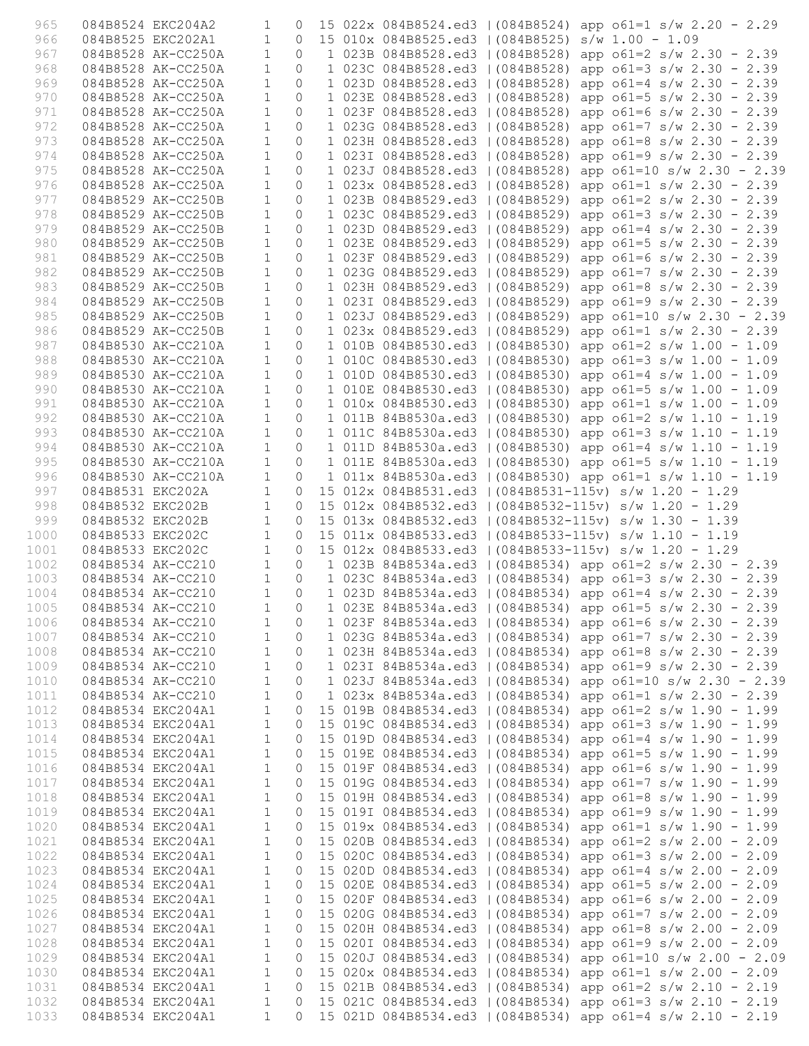| 965          |                                      | 084B8524 EKC204A2                        | 1                            | $\Omega$            |  |  | 15 022x 084B8524.ed3   (084B8524) app o61=1 s/w 2.20 - 2.29                                                                |
|--------------|--------------------------------------|------------------------------------------|------------------------------|---------------------|--|--|----------------------------------------------------------------------------------------------------------------------------|
| 966          |                                      | 084B8525 EKC202A1                        | $\mathbf{1}$                 | $\circ$             |  |  | 15 010x 084B8525.ed3   (084B8525) s/w 1.00 - 1.09                                                                          |
| 967          |                                      | 084B8528 AK-CC250A                       | $\mathbf{1}$                 | $\circ$             |  |  | 1 023B 084B8528.ed3   (084B8528) app o61=2 s/w 2.30 - 2.39                                                                 |
| 968          |                                      | 084B8528 AK-CC250A                       | $\mathbf{1}$                 | $\Omega$            |  |  | 1 023C 084B8528.ed3   (084B8528) app o61=3 s/w 2.30 - 2.39                                                                 |
| 969          |                                      | 084B8528 AK-CC250A                       | $\mathbf{1}$                 | $\circ$             |  |  | 1 023D 084B8528.ed3   (084B8528) app o61=4 s/w 2.30 - 2.39                                                                 |
| 970          |                                      | 084B8528 AK-CC250A                       | $\mathbf{1}$                 | $\circ$             |  |  | 1 023E 084B8528.ed3   (084B8528) app o61=5 s/w 2.30 - 2.39                                                                 |
| 971          |                                      | 084B8528 AK-CC250A                       | $\mathbf{1}$                 | $\Omega$            |  |  | 1 023F 084B8528.ed3   (084B8528) app o61=6 s/w 2.30 - 2.39                                                                 |
| 972          |                                      | 084B8528 AK-CC250A                       | $\mathbf{1}$                 | $\circ$             |  |  | 1 023G 084B8528.ed3   (084B8528) app o61=7 s/w 2.30 - 2.39                                                                 |
| 973          |                                      | 084B8528 AK-CC250A                       | $\mathbf{1}$                 | $\circ$             |  |  | 1 023H 084B8528.ed3   (084B8528) app o61=8 s/w 2.30 - 2.39                                                                 |
| 974          |                                      | 084B8528 AK-CC250A                       | $\mathbf{1}$                 | $\Omega$            |  |  | 1 023I 084B8528.ed3   (084B8528) app o61=9 s/w 2.30 - 2.39                                                                 |
| 975          |                                      | 084B8528 AK-CC250A                       | $\mathbf{1}$<br>$\mathbf{1}$ | $\Omega$            |  |  | 1 023J 084B8528.ed3   (084B8528) app o61=10 s/w 2.30 - 2.39                                                                |
| 976<br>977   |                                      | 084B8528 AK-CC250A<br>084B8529 AK-CC250B | $\mathbf{1}$                 | $\circ$<br>$\Omega$ |  |  | 1 023x 084B8528.ed3   (084B8528) app o61=1 s/w 2.30 - 2.39<br>1 023B 084B8529.ed3   (084B8529) app o61=2 s/w 2.30 - 2.39   |
| 978          |                                      | 084B8529 AK-CC250B                       | $\mathbf{1}$                 | $\circ$             |  |  | 1 023C 084B8529.ed3   (084B8529) app o61=3 s/w 2.30 - 2.39                                                                 |
| 979          |                                      | 084B8529 AK-CC250B                       | $\mathbf{1}$                 | $\circ$             |  |  | 1 023D 084B8529.ed3   (084B8529) app o61=4 s/w 2.30 - 2.39                                                                 |
| 980          |                                      | 084B8529 AK-CC250B                       | $\mathbf{1}$                 | $\circ$             |  |  | 1 023E 084B8529.ed3   (084B8529) app o61=5 s/w 2.30 - 2.39                                                                 |
| 981          |                                      | 084B8529 AK-CC250B                       | $\mathbf{1}$                 | $\circ$             |  |  | 1 023F 084B8529.ed3   (084B8529) app o61=6 s/w 2.30 - 2.39                                                                 |
| 982          |                                      | 084B8529 AK-CC250B                       | $\mathbf{1}$                 | $\circ$             |  |  | 1 023G 084B8529.ed3   (084B8529) app o61=7 s/w 2.30 - 2.39                                                                 |
| 983          |                                      | 084B8529 AK-CC250B                       | $\mathbf{1}$                 | $\Omega$            |  |  | 1 023H 084B8529.ed3   (084B8529) app o61=8 s/w 2.30 - 2.39                                                                 |
| 984          |                                      | 084B8529 AK-CC250B                       | $\mathbf{1}$                 | $\Omega$            |  |  | 1 023I 084B8529.ed3   (084B8529) app o61=9 s/w 2.30 - 2.39                                                                 |
| 985          |                                      | 084B8529 AK-CC250B                       | $\mathbf{1}$                 | $\circ$             |  |  | 1 023J 084B8529.ed3   (084B8529) app o61=10 s/w 2.30 - 2.39                                                                |
| 986          |                                      | 084B8529 AK-CC250B                       | $\mathbf{1}$                 | $\circ$             |  |  | 1 023x 084B8529.ed3   (084B8529) app o61=1 s/w 2.30 - 2.39                                                                 |
| 987          |                                      | 084B8530 AK-CC210A                       | $\mathbf{1}$                 | $\Omega$            |  |  | 1 010B 084B8530.ed3   (084B8530) app o61=2 s/w 1.00 - 1.09                                                                 |
| 988          |                                      | 084B8530 AK-CC210A                       | $\mathbf{1}$                 | $\circ$             |  |  | 1 010C 084B8530.ed3   (084B8530) app o61=3 s/w 1.00 - 1.09                                                                 |
| 989          |                                      | 084B8530 AK-CC210A                       | $\mathbf{1}$                 | $\circ$             |  |  | 1 010D 084B8530.ed3   (084B8530) app o61=4 s/w 1.00 - 1.09                                                                 |
| 990          |                                      | 084B8530 AK-CC210A                       | $\mathbf{1}$                 | $\Omega$            |  |  | 1 010E 084B8530.ed3   (084B8530) app o61=5 s/w 1.00 - 1.09                                                                 |
| 991          |                                      | 084B8530 AK-CC210A                       | $\mathbf{1}$                 | $\circ$             |  |  | 1 010x 084B8530.ed3   (084B8530) app o61=1 s/w 1.00 - 1.09                                                                 |
| 992          |                                      | 084B8530 AK-CC210A                       | $\mathbf{1}$                 | 0                   |  |  | 1 011B 84B8530a.ed3   (084B8530) app o61=2 s/w 1.10 - 1.19                                                                 |
| 993          |                                      | 084B8530 AK-CC210A                       | $\mathbf{1}$                 | $\Omega$            |  |  | 1 011C 84B8530a.ed3   (084B8530) app o61=3 s/w 1.10 - 1.19                                                                 |
| 994          |                                      | 084B8530 AK-CC210A                       | $\mathbf{1}$                 | $\circ$             |  |  | 1 011D 84B8530a.ed3   (084B8530) app o61=4 s/w 1.10 - 1.19                                                                 |
| 995          |                                      | 084B8530 AK-CC210A                       | $\mathbf{1}$                 | $\circ$             |  |  | 1 011E 84B8530a.ed3   (084B8530) app o61=5 s/w 1.10 - 1.19                                                                 |
| 996          |                                      | 084B8530 AK-CC210A                       | $\mathbf{1}$                 | $\Omega$            |  |  | 1 011x 84B8530a.ed3   (084B8530) app o61=1 s/w 1.10 - 1.19                                                                 |
| 997          | 084B8531 EKC202A                     |                                          | $\mathbf{1}$                 | $\circ$             |  |  | 15 012x 084B8531.ed3   (084B8531-115v) s/w 1.20 - 1.29                                                                     |
| 998          | 084B8532 EKC202B                     |                                          | $\mathbf{1}$<br>$\mathbf{1}$ | $\circ$<br>$\circ$  |  |  | 15 012x 084B8532.ed3   (084B8532-115v) s/w 1.20 - 1.29                                                                     |
| 999<br>1000  | 084B8532 EKC202B<br>084B8533 EKC202C |                                          | $\mathbf{1}$                 | $\Omega$            |  |  | 15 013x 084B8532.ed3   (084B8532-115v) s/w 1.30 - 1.39<br>15 011x 084B8533.ed3   (084B8533-115v) s/w 1.10 - 1.19           |
| 1001         | 084B8533 EKC202C                     |                                          | $\mathbf{1}$                 | $\circ$             |  |  | 15 012x 084B8533.ed3   (084B8533-115v) s/w 1.20 - 1.29                                                                     |
| 1002         |                                      | 084B8534 AK-CC210                        | $\mathbf{1}$                 | $\circ$             |  |  | 1 023B 84B8534a.ed3   (084B8534) app o61=2 s/w 2.30 - 2.39                                                                 |
| 1003         |                                      | 084B8534 AK-CC210                        | $\mathbf{1}$                 | $\Omega$            |  |  | 1 023C 84B8534a.ed3   (084B8534) app o61=3 s/w 2.30 - 2.39                                                                 |
| 1004         |                                      | 084B8534 AK-CC210                        | $\mathbf{1}$                 | $\circ$             |  |  | 1 023D 84B8534a.ed3   (084B8534) app o61=4 s/w 2.30 - 2.39                                                                 |
| 1005         |                                      | 084B8534 AK-CC210 1 0                    |                              |                     |  |  | 1 023E 84B8534a.ed3   (084B8534) app o61=5 s/w 2.30 - 2.39                                                                 |
| 1006         |                                      | 084B8534 AK-CC210                        | $\mathbf{1}$                 | $\circ$             |  |  | 1 023F 84B8534a.ed3   (084B8534) app o61=6 s/w 2.30 - 2.39                                                                 |
| 1007         |                                      | 084B8534 AK-CC210                        | $\mathbf{1}$                 | $\circ$             |  |  | 1 023G 84B8534a.ed3   (084B8534) app o61=7 s/w 2.30 - 2.39                                                                 |
| 1008         |                                      | 084B8534 AK-CC210                        | $\mathbf{1}$                 | $\circ$             |  |  | 1 023H 84B8534a.ed3   (084B8534) app o61=8 s/w 2.30 - 2.39                                                                 |
| 1009         |                                      | 084B8534 AK-CC210                        | 1                            | $\circ$             |  |  | 1 0231 84B8534a.ed3   (084B8534) app o61=9 s/w 2.30 - 2.39                                                                 |
| 1010         |                                      | 084B8534 AK-CC210                        | $\mathbf{1}$                 | 0                   |  |  | 1 023J 84B8534a.ed3   (084B8534) app o61=10 s/w 2.30 - 2.39                                                                |
| 1011         |                                      | 084B8534 AK-CC210                        | $1\,$                        | $\circ$             |  |  | 1 023x 84B8534a.ed3   (084B8534) app o61=1 s/w 2.30 - 2.39                                                                 |
| 1012         |                                      | 084B8534 EKC204A1                        | $\mathbf{1}$                 | 0                   |  |  | 15 019B 084B8534.ed3   (084B8534) app o61=2 s/w 1.90 - 1.99                                                                |
| 1013         |                                      | 084B8534 EKC204A1                        | $\mathbf{1}$                 | 0                   |  |  | 15 019C 084B8534.ed3   (084B8534) app o61=3 s/w 1.90 - 1.99                                                                |
| 1014         |                                      | 084B8534 EKC204A1                        | $\mathbf{1}$                 | 0                   |  |  | 15 019D 084B8534.ed3   (084B8534) app o61=4 s/w 1.90 - 1.99                                                                |
| 1015         |                                      | 084B8534 EKC204A1                        | 1                            | 0                   |  |  | 15 019E 084B8534.ed3   (084B8534) app o61=5 s/w 1.90 - 1.99                                                                |
| 1016         |                                      | 084B8534 EKC204A1                        | $\mathbf{1}$                 | 0                   |  |  | 15 019F 084B8534.ed3   (084B8534) app o61=6 s/w 1.90 - 1.99                                                                |
| 1017         |                                      | 084B8534 EKC204A1                        | $1\,$                        | 0                   |  |  | 15 019G 084B8534.ed3   (084B8534) app o61=7 s/w 1.90 - 1.99                                                                |
| 1018<br>1019 |                                      | 084B8534 EKC204A1<br>084B8534 EKC204A1   | $\mathbf{1}$<br>$\mathbf{1}$ | 0<br>0              |  |  | 15 019H 084B8534.ed3   (084B8534) app o61=8 s/w 1.90 - 1.99<br>15 0191 084B8534.ed3   (084B8534) app o61=9 s/w 1.90 - 1.99 |
| 1020         |                                      |                                          |                              |                     |  |  |                                                                                                                            |
| 1021         |                                      |                                          |                              |                     |  |  |                                                                                                                            |
|              |                                      | 084B8534 EKC204A1                        | $\mathbf{1}$                 | $\circ$             |  |  | 15 019x 084B8534.ed3   (084B8534) app o61=1 s/w 1.90 - 1.99                                                                |
|              |                                      | 084B8534 EKC204A1                        | $\mathbf 1$                  | 0                   |  |  | 15 020B 084B8534.ed3   (084B8534) app o61=2 s/w 2.00 - 2.09                                                                |
| 1022         |                                      | 084B8534 EKC204A1                        | $\mathbf{1}$                 | 0                   |  |  | 15 020C 084B8534.ed3   (084B8534) app o61=3 s/w 2.00 - 2.09                                                                |
| 1023         |                                      | 084B8534 EKC204A1                        | $\mathbf{1}$                 | $\circ$<br>$\circ$  |  |  | 15 020D 084B8534.ed3   (084B8534) app o61=4 s/w 2.00 - 2.09                                                                |
| 1024<br>1025 |                                      | 084B8534 EKC204A1<br>084B8534 EKC204A1   | $\mathbf{1}$<br>$\mathbf{1}$ | 0                   |  |  | 15 020E 084B8534.ed3   (084B8534) app o61=5 s/w 2.00 - 2.09                                                                |
| 1026         |                                      | 084B8534 EKC204A1                        | 1                            | 0                   |  |  | 15 020F 084B8534.ed3   (084B8534) app o61=6 s/w 2.00 - 2.09<br>15 020G 084B8534.ed3   (084B8534) app o61=7 s/w 2.00 - 2.09 |
| 1027         |                                      | 084B8534 EKC204A1                        | $\mathbf 1$                  | 0                   |  |  | 15 020H 084B8534.ed3   (084B8534) app o61=8 s/w 2.00 - 2.09                                                                |
| 1028         |                                      | 084B8534 EKC204A1                        | 1                            | 0                   |  |  | 15 0201 084B8534.ed3   (084B8534) app o61=9 s/w 2.00 - 2.09                                                                |
| 1029         |                                      | 084B8534 EKC204A1                        | $\mathbf{1}$                 | $\circ$             |  |  | 15 020J 084B8534.ed3   (084B8534) app o61=10 s/w 2.00 - 2.09                                                               |
| 1030         |                                      | 084B8534 EKC204A1                        | $1\,$                        | $\circ$             |  |  | 15 020x 084B8534.ed3   (084B8534) app o61=1 s/w 2.00 - 2.09                                                                |
| 1031         |                                      | 084B8534 EKC204A1                        | $\mathbf{1}$                 | 0                   |  |  | 15 021B 084B8534.ed3   (084B8534) app o61=2 s/w 2.10 - 2.19                                                                |
| 1032<br>1033 |                                      | 084B8534 EKC204A1<br>084B8534 EKC204A1   | 1<br>$\mathbf{1}$            | 0<br>$\Omega$       |  |  | 15 021C 084B8534.ed3   (084B8534) app o61=3 s/w 2.10 - 2.19<br>15 021D 084B8534.ed3   (084B8534) app o61=4 s/w 2.10 - 2.19 |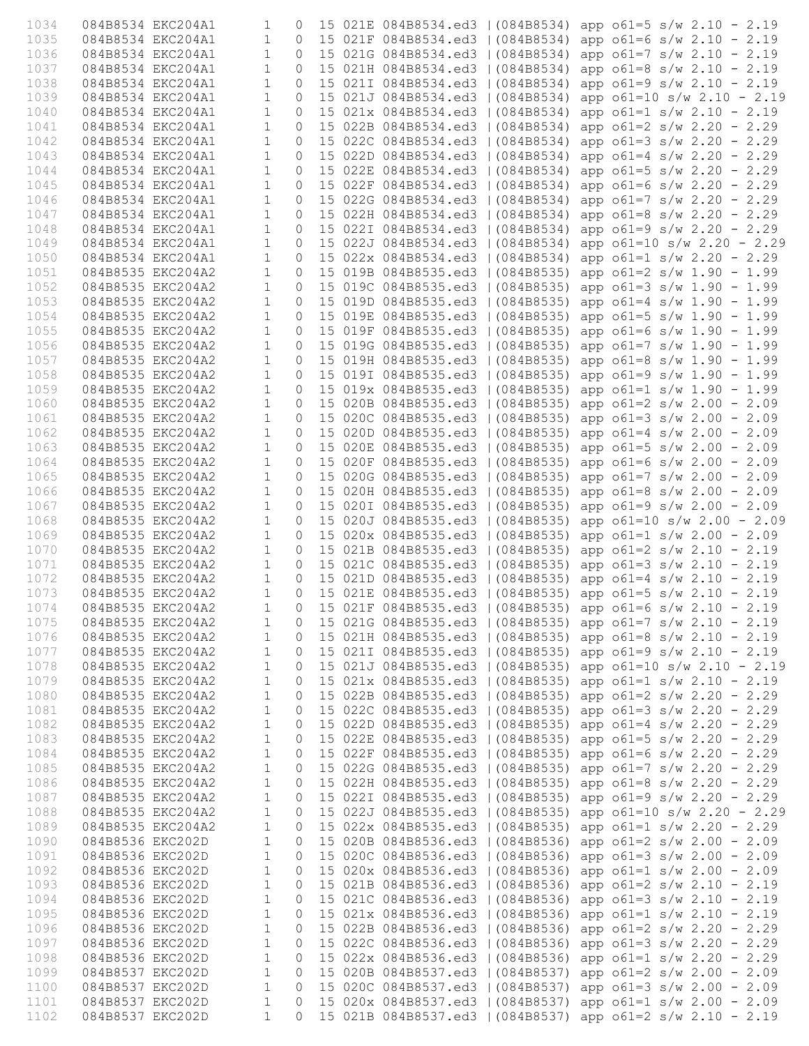| 1034         |                                        | 084B8534 EKC204A1 | 1                            | $\Omega$            |  |                                                                        |  | 15 021E 084B8534.ed3   (084B8534) app o61=5 s/w 2.10 - 2.19                                                                 |
|--------------|----------------------------------------|-------------------|------------------------------|---------------------|--|------------------------------------------------------------------------|--|-----------------------------------------------------------------------------------------------------------------------------|
| 1035         |                                        | 084B8534 EKC204A1 | 1                            | 0                   |  | 15 021F 084B8534.ed3   (084B8534)                                      |  | app $o61=6$ s/w 2.10 - 2.19                                                                                                 |
| 1036         |                                        | 084B8534 EKC204A1 | $\mathbf 1$                  | $\mathbf{0}$        |  | 15 021G 084B8534.ed3   (084B8534)                                      |  | app $o61=7$ s/w 2.10 - 2.19                                                                                                 |
| 1037         |                                        | 084B8534 EKC204A1 | $\mathbf 1$                  | $\mathbf{0}$        |  | 15 021H 084B8534.ed3   (084B8534)                                      |  | app $o61=8$ s/w 2.10 - 2.19                                                                                                 |
| 1038         |                                        | 084B8534 EKC204A1 | $\mathbf 1$                  | $\Omega$            |  | 15 021I 084B8534.ed3   (084B8534)                                      |  | app $o61=9$ s/w 2.10 - 2.19                                                                                                 |
| 1039         |                                        | 084B8534 EKC204A1 | $\mathbf{1}$                 | $\Omega$            |  | 15 021J 084B8534.ed3   (084B8534)                                      |  | app $o61=10 s/w 2.10 - 2.19$                                                                                                |
| 1040<br>1041 | 084B8534 EKC204A1<br>084B8534 EKC204A1 |                   | $\mathbf{1}$<br>$\mathbf{1}$ | $\Omega$            |  | 15 021x 084B8534.ed3   (084B8534)<br>15 022B 084B8534.ed3   (084B8534) |  | app $o61=1$ s/w 2.10 - 2.19<br>app $o61=2 s/w 2.20 - 2.29$                                                                  |
| 1042         | 084B8534 EKC204A1                      |                   | $\mathbf{1}$                 | 0<br>0              |  | 15 022C 084B8534.ed3   (084B8534)                                      |  | app $o61=3$ s/w 2.20 - 2.29                                                                                                 |
| 1043         | 084B8534 EKC204A1                      |                   | $\mathbf{1}$                 | $\mathbf{0}$        |  | 15 022D 084B8534.ed3   (084B8534)                                      |  | app $o61=4$ s/w 2.20 - 2.29                                                                                                 |
| 1044         | 084B8534 EKC204A1                      |                   | $\mathbf{1}$                 | $\Omega$            |  | 15 022E 084B8534.ed3   (084B8534)                                      |  | app $o61=5$ s/w 2.20 - 2.29                                                                                                 |
| 1045         | 084B8534 EKC204A1                      |                   | $\mathbf 1$                  | $\mathbf{0}$        |  | 15 022F 084B8534.ed3   (084B8534)                                      |  | app $o61=6$ s/w 2.20 - 2.29                                                                                                 |
| 1046         | 084B8534 EKC204A1                      |                   | $\mathbf{1}$                 | $\Omega$            |  | 15 022G 084B8534.ed3   (084B8534)                                      |  | app $o61=7$ s/w 2.20 - 2.29                                                                                                 |
| 1047         | 084B8534 EKC204A1                      |                   | $\mathbf{1}$                 | $\circ$             |  | 15 022H 084B8534.ed3   (084B8534)                                      |  | app $o61=8$ s/w 2.20 - 2.29                                                                                                 |
| 1048         | 084B8534 EKC204A1                      |                   | $\mathbf 1$                  | 0                   |  | 15 022I 084B8534.ed3   (084B8534)                                      |  | app $o61=9$ s/w 2.20 - 2.29                                                                                                 |
| 1049         |                                        | 084B8534 EKC204A1 | $\mathbf{1}$                 | $\mathbf{0}$        |  |                                                                        |  | 15 022J 084B8534.ed3   (084B8534) app o61=10 s/w 2.20 - 2.29                                                                |
| 1050         | 084B8534 EKC204A1                      |                   | $\mathbf{1}$                 | $\Omega$            |  | 15 022x 084B8534.ed3   (084B8534)                                      |  | app $o61=1$ s/w 2.20 - 2.29                                                                                                 |
| 1051         |                                        | 084B8535 EKC204A2 | $\mathbf 1$                  | $\mathbf{0}$        |  | 15 019B 084B8535.ed3   (084B8535)                                      |  | app $o61=2 s/w 1.90 - 1.99$                                                                                                 |
| 1052         | 084B8535 EKC204A2                      |                   | $\mathbf{1}$                 | $\mathbf{0}$        |  | 15 019C 084B8535.ed3   (084B8535)                                      |  | app $o61=3 s/w 1.90 - 1.99$                                                                                                 |
| 1053         | 084B8535 EKC204A2                      |                   | $\mathbf{1}$                 | $\Omega$            |  | 15 019D 084B8535.ed3   (084B8535)                                      |  | app $o61=4$ s/w 1.90 - 1.99                                                                                                 |
| 1054<br>1055 | 084B8535 EKC204A2<br>084B8535 EKC204A2 |                   | $\mathbf 1$<br>$\mathbf{1}$  | 0<br>$\mathbf{0}$   |  | 15 019E 084B8535.ed3   (084B8535)                                      |  | app $o61=5 s/w 1.90 - 1.99$<br>15 019F 084B8535.ed3   (084B8535) app o61=6 s/w 1.90 - 1.99                                  |
| 1056         | 084B8535 EKC204A2                      |                   | $\mathbf{1}$                 | $\Omega$            |  |                                                                        |  | 15 019G 084B8535.ed3   (084B8535) app o61=7 s/w 1.90 - 1.99                                                                 |
| 1057         |                                        | 084B8535 EKC204A2 | $\mathbf 1$                  | $\circ$             |  | 15 019H 084B8535.ed3   (084B8535)                                      |  | app $o61=8$ s/w 1.90 - 1.99                                                                                                 |
| 1058         |                                        | 084B8535 EKC204A2 | $\mathbf{1}$                 | $\circ$             |  | 15 019I 084B8535.ed3   (084B8535)                                      |  | app $o61=9$ s/w 1.90 - 1.99                                                                                                 |
| 1059         | 084B8535 EKC204A2                      |                   | $\mathbf{1}$                 | $\Omega$            |  | 15 019x 084B8535.ed3   (084B8535)                                      |  | app $o61=1$ s/w 1.90 - 1.99                                                                                                 |
| 1060         | 084B8535 EKC204A2                      |                   | $\mathbf 1$                  | $\circ$             |  | 15 020B 084B8535.ed3   (084B8535)                                      |  | app $o61=2$ s/w 2.00 - 2.09                                                                                                 |
| 1061         | 084B8535 EKC204A2                      |                   | $\mathbf{1}$                 | 0                   |  | 15 020C 084B8535.ed3   (084B8535)                                      |  | app $o61=3$ s/w 2.00 - 2.09                                                                                                 |
| 1062         |                                        | 084B8535 EKC204A2 | $\mathbf 1$                  | $\mathbf{0}$        |  |                                                                        |  | 15 020D 084B8535.ed3   (084B8535) app o61=4 s/w 2.00 - 2.09                                                                 |
| 1063         | 084B8535 EKC204A2                      |                   | $\mathbf 1$                  | $\mathbf{0}$        |  | 15 020E 084B8535.ed3   (084B8535)                                      |  | app $o61=5 s/w 2.00 - 2.09$                                                                                                 |
| 1064         |                                        | 084B8535 EKC204A2 | $\mathbf{1}$                 | $\mathbf{0}$        |  | 15 020F 084B8535.ed3   (084B8535)                                      |  | app $o61=6$ s/w 2.00 - 2.09                                                                                                 |
| 1065         | 084B8535 EKC204A2                      |                   | $\mathbf{1}$                 | $\mathbf{0}$        |  | 15 020G 084B8535.ed3   (084B8535)                                      |  | app $o61=7 s/w 2.00 - 2.09$                                                                                                 |
| 1066         | 084B8535 EKC204A2                      |                   | $\mathbf{1}$                 | 0                   |  | 15 020H 084B8535.ed3   (084B8535)                                      |  | app $o61=8$ s/w 2.00 - 2.09                                                                                                 |
| 1067         | 084B8535 EKC204A2                      |                   | $\mathbf{1}$<br>$\mathbf 1$  | $\mathbf{0}$        |  | 15 020I 084B8535.ed3   (084B8535)                                      |  | app $o61=9$ s/w 2.00 - 2.09                                                                                                 |
| 1068<br>1069 | 084B8535 EKC204A2                      | 084B8535 EKC204A2 | $\mathbf{1}$                 | $\circ$<br>$\Omega$ |  |                                                                        |  | 15 020J 084B8535.ed3   (084B8535) app o61=10 s/w 2.00 - 2.09<br>15 020x 084B8535.ed3   (084B8535) app o61=1 s/w 2.00 - 2.09 |
| 1070         | 084B8535 EKC204A2                      |                   | $\mathbf 1$                  | $\mathbf{0}$        |  | 15 021B 084B8535.ed3   (084B8535)                                      |  | app $o61=2$ s/w 2.10 - 2.19                                                                                                 |
| 1071         | 084B8535 EKC204A2                      |                   | $\mathbf{1}$                 | $\mathbf{0}$        |  |                                                                        |  | 15 021C 084B8535.ed3   (084B8535) app o61=3 s/w 2.10 - 2.19                                                                 |
| 1072         | 084B8535 EKC204A2                      |                   | $\mathbf{1}$                 | $\Omega$            |  |                                                                        |  | 15 021D 084B8535.ed3   (084B8535) app o61=4 s/w 2.10 - 2.19                                                                 |
| 1073         |                                        | 084B8535 EKC204A2 | $\mathbf{1}$                 | $\circ$             |  |                                                                        |  | 15 021E 084B8535.ed3   (084B8535) app o61=5 s/w 2.10 - 2.19                                                                 |
| 1074         |                                        | 084B8535 EKC204A2 | $\mathbf 1$                  | $\circledcirc$      |  |                                                                        |  | 15 021F 084B8535.ed3   (084B8535) app o61=6 s/w 2.10 - 2.19                                                                 |
| 1075         | 084B8535 EKC204A2                      |                   | 1                            | 0                   |  |                                                                        |  | 15 021G 084B8535.ed3   (084B8535) app o61=7 s/w 2.10 - 2.19                                                                 |
| 1076         |                                        | 084B8535 EKC204A2 | $\mathbf{1}$                 | 0                   |  |                                                                        |  | 15 021H 084B8535.ed3   (084B8535) app o61=8 s/w 2.10 - 2.19                                                                 |
| 1077         |                                        | 084B8535 EKC204A2 | 1                            | 0                   |  |                                                                        |  | 15 0211 084B8535.ed3   (084B8535) app o61=9 s/w 2.10 - 2.19                                                                 |
| 1078         | 084B8535 EKC204A2                      |                   | 1                            | $\mathbf 0$         |  |                                                                        |  | 15 021J 084B8535.ed3   (084B8535) app o61=10 s/w 2.10 - 2.19                                                                |
| 1079         | 084B8535 EKC204A2                      |                   | 1                            | 0                   |  |                                                                        |  | 15 021x 084B8535.ed3   (084B8535) app o61=1 s/w 2.10 - 2.19                                                                 |
| 1080<br>1081 | 084B8535 EKC204A2<br>084B8535 EKC204A2 |                   | $\mathbf 1$<br>1             | $\circ$             |  |                                                                        |  | 15 022B 084B8535.ed3   (084B8535) app o61=2 s/w 2.20 - 2.29                                                                 |
| 1082         |                                        | 084B8535 EKC204A2 | 1                            | 0<br>0              |  |                                                                        |  | 15 022C 084B8535.ed3   (084B8535) app o61=3 s/w 2.20 - 2.29<br>15 022D 084B8535.ed3   (084B8535) app o61=4 s/w 2.20 - 2.29  |
| 1083         | 084B8535 EKC204A2                      |                   | 1                            | 0                   |  |                                                                        |  | 15 022E 084B8535.ed3   (084B8535) app o61=5 s/w 2.20 - 2.29                                                                 |
| 1084         | 084B8535 EKC204A2                      |                   | 1                            | $\mathbf 0$         |  |                                                                        |  | 15 022F 084B8535.ed3   (084B8535) app o61=6 s/w 2.20 - 2.29                                                                 |
| 1085         | 084B8535 EKC204A2                      |                   | 1                            | 0                   |  |                                                                        |  | 15 022G 084B8535.ed3   (084B8535) app o61=7 s/w 2.20 - 2.29                                                                 |
| 1086         | 084B8535 EKC204A2                      |                   | 1                            | 0                   |  |                                                                        |  | 15 022H 084B8535.ed3   (084B8535) app o61=8 s/w 2.20 - 2.29                                                                 |
| 1087         | 084B8535 EKC204A2                      |                   | 1                            | 0                   |  |                                                                        |  | 15 0221 084B8535.ed3   (084B8535) app o61=9 s/w 2.20 - 2.29                                                                 |
| 1088         | 084B8535 EKC204A2                      |                   | 1                            | 0                   |  |                                                                        |  | 15 022J 084B8535.ed3   (084B8535) app o61=10 s/w 2.20 - 2.29                                                                |
| 1089         | 084B8535 EKC204A2                      |                   | 1                            | 0                   |  |                                                                        |  | 15 022x 084B8535.ed3   (084B8535) app o61=1 s/w 2.20 - 2.29                                                                 |
| 1090         | 084B8536 EKC202D                       |                   | 1                            | 0                   |  |                                                                        |  | 15 020B 084B8536.ed3   (084B8536) app o61=2 s/w 2.00 - 2.09                                                                 |
| 1091         | 084B8536 EKC202D                       |                   | 1                            | $\mathbf 0$         |  |                                                                        |  | 15 020C 084B8536.ed3   (084B8536) app o61=3 s/w 2.00 - 2.09                                                                 |
| 1092         | 084B8536 EKC202D                       |                   | 1                            | $\circ$             |  |                                                                        |  | 15 020x 084B8536.ed3   (084B8536) app o61=1 s/w 2.00 - 2.09                                                                 |
| 1093<br>1094 | 084B8536 EKC202D<br>084B8536 EKC202D   |                   | 1<br>1                       | 0<br>0              |  |                                                                        |  | 15 021B 084B8536.ed3   (084B8536) app o61=2 s/w 2.10 - 2.19<br>15 021C 084B8536.ed3   (084B8536) app o61=3 s/w 2.10 - 2.19  |
| 1095         | 084B8536 EKC202D                       |                   | 1                            | $\circ$             |  |                                                                        |  | 15 021x 084B8536.ed3   (084B8536) app o61=1 s/w 2.10 - 2.19                                                                 |
| 1096         | 084B8536 EKC202D                       |                   | 1                            | 0                   |  |                                                                        |  | 15 022B 084B8536.ed3   (084B8536) app o61=2 s/w 2.20 - 2.29                                                                 |
| 1097         | 084B8536 EKC202D                       |                   | 1                            | $\mathbf 0$         |  |                                                                        |  | 15 022C 084B8536.ed3   (084B8536) app o61=3 s/w 2.20 - 2.29                                                                 |
| 1098         | 084B8536 EKC202D                       |                   | 1                            | $\circ$             |  |                                                                        |  | 15 022x 084B8536.ed3   (084B8536) app o61=1 s/w 2.20 - 2.29                                                                 |
| 1099         | 084B8537 EKC202D                       |                   | $\mathbf 1$                  | 0                   |  |                                                                        |  | 15 020B 084B8537.ed3   (084B8537) app o61=2 s/w 2.00 - 2.09                                                                 |
| 1100         | 084B8537 EKC202D                       |                   | 1                            | 0                   |  |                                                                        |  | 15 020C 084B8537.ed3   (084B8537) app o61=3 s/w 2.00 - 2.09                                                                 |
| 1101         | 084B8537 EKC202D                       |                   | 1                            | 0                   |  |                                                                        |  | 15 020x 084B8537.ed3   (084B8537) app o61=1 s/w 2.00 - 2.09                                                                 |
| 1102         | 084B8537 EKC202D                       |                   | $\mathbf 1$                  | $\Omega$            |  |                                                                        |  | 15 021B 084B8537.ed3   (084B8537) app o61=2 s/w 2.10 - 2.19                                                                 |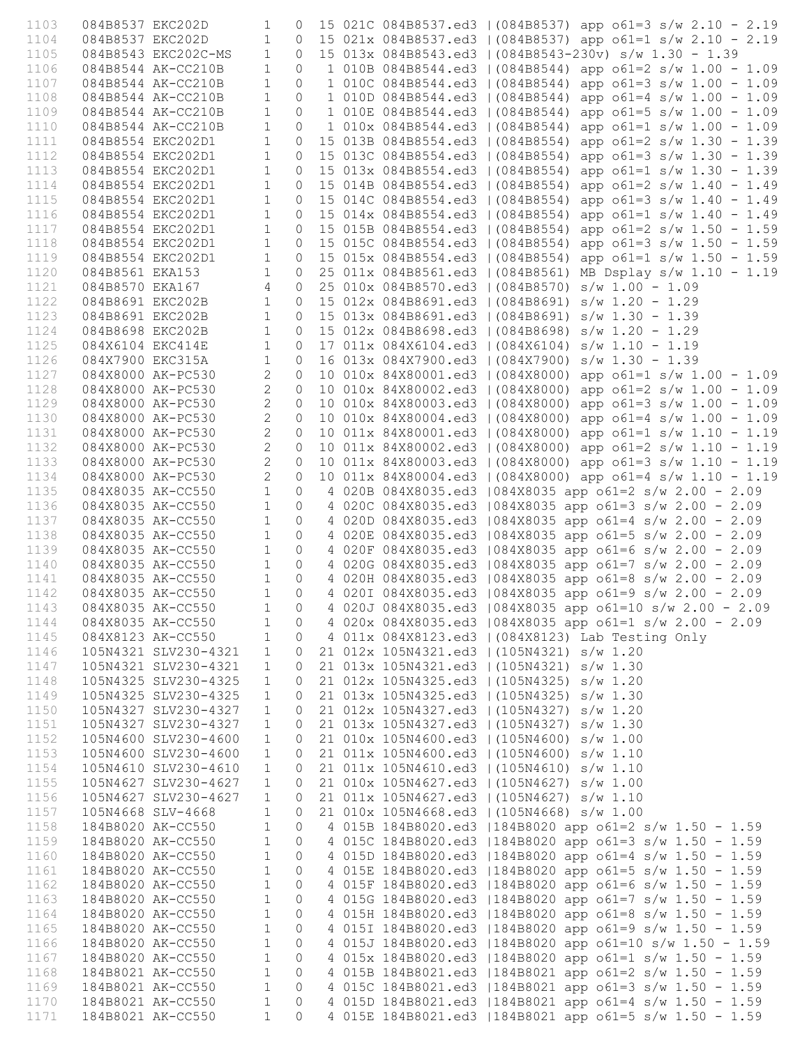| 1103 | 084B8537 EKC202D |                        | 1              | 0              |  | 15 021C 084B8537.ed3   (084B8537) app o61=3 s/w 2.10 - 2.19 |
|------|------------------|------------------------|----------------|----------------|--|-------------------------------------------------------------|
| 1104 |                  | 084B8537 EKC202D       | $\mathbf{1}$   | $\circ$        |  | 15 021x 084B8537.ed3   (084B8537) app o61=1 s/w 2.10 - 2.19 |
| 1105 |                  | 084B8543 EKC202C-MS    | $\mathbf{1}$   | $\Omega$       |  | 15 013x 084B8543.ed3   (084B8543-230v) s/w 1.30 - 1.39      |
| 1106 |                  | 084B8544 AK-CC210B     | $\mathbf{1}$   | $\Omega$       |  | 1 010B 084B8544.ed3   (084B8544) app o61=2 s/w 1.00 - 1.09  |
| 1107 |                  | 084B8544 AK-CC210B     | $\mathbf{1}$   | $\circ$        |  | 1 010C 084B8544.ed3   (084B8544) app o61=3 s/w 1.00 - 1.09  |
| 1108 |                  | 084B8544 AK-CC210B     | $\mathbf{1}$   | $\circ$        |  | 1 010D 084B8544.ed3   (084B8544) app o61=4 s/w 1.00 - 1.09  |
| 1109 |                  | 084B8544 AK-CC210B     | $\mathbf{1}$   | $\circ$        |  |                                                             |
|      |                  |                        | $\mathbf{1}$   | $\circ$        |  | 1 010E 084B8544.ed3   (084B8544) app o61=5 s/w 1.00 - 1.09  |
| 1110 |                  | 084B8544 AK-CC210B     |                |                |  | 1 010x 084B8544.ed3   (084B8544) app o61=1 s/w 1.00 - 1.09  |
| 1111 |                  | 084B8554 EKC202D1      | $\mathbf{1}$   | $\mathbf{0}$   |  | 15 013B 084B8554.ed3   (084B8554) app o61=2 s/w 1.30 - 1.39 |
| 1112 |                  | 084B8554 EKC202D1      | $\mathbf{1}$   | $\Omega$       |  | 15 013C 084B8554.ed3   (084B8554) app o61=3 s/w 1.30 - 1.39 |
| 1113 |                  | 084B8554 EKC202D1      | $\mathbf{1}$   | $\circ$        |  | 15 013x 084B8554.ed3   (084B8554) app o61=1 s/w 1.30 - 1.39 |
| 1114 |                  | 084B8554 EKC202D1      | $\mathbf{1}$   | $\circ$        |  | 15 014B 084B8554.ed3   (084B8554) app o61=2 s/w 1.40 - 1.49 |
| 1115 |                  | 084B8554 EKC202D1      | $\mathbf{1}$   | $\mathbf{0}$   |  | 15 014C 084B8554.ed3   (084B8554) app o61=3 s/w 1.40 - 1.49 |
| 1116 |                  | 084B8554 EKC202D1      | $\mathbf{1}$   | $\circ$        |  | 15 014x 084B8554.ed3   (084B8554) app o61=1 s/w 1.40 - 1.49 |
| 1117 |                  | 084B8554 EKC202D1      | $\mathbf{1}$   | $\circ$        |  | 15 015B 084B8554.ed3   (084B8554) app o61=2 s/w 1.50 - 1.59 |
| 1118 |                  | 084B8554 EKC202D1      | $\mathbf{1}$   | $\mathbf{0}$   |  | 15 015C 084B8554.ed3   (084B8554) app o61=3 s/w 1.50 - 1.59 |
| 1119 |                  | 084B8554 EKC202D1      | $\mathbf{1}$   | $\circ$        |  | 15 015x 084B8554.ed3   (084B8554) app o61=1 s/w 1.50 - 1.59 |
| 1120 | 084B8561 EKA153  |                        | $\mathbf{1}$   | $\circ$        |  | 25 011x 084B8561.ed3   (084B8561) MB Dsplay s/w 1.10 - 1.19 |
| 1121 | 084B8570 EKA167  |                        | 4              | $\mathbf{0}$   |  | 25 010x 084B8570.ed3   (084B8570) s/w 1.00 - 1.09           |
| 1122 | 084B8691 EKC202B |                        | $\mathbf{1}$   | $\mathbf{0}$   |  | 15 012x 084B8691.ed3   (084B8691) s/w 1.20 - 1.29           |
| 1123 | 084B8691 EKC202B |                        | $\mathbf{1}$   | $\circ$        |  | 15 013x 084B8691.ed3   (084B8691) s/w 1.30 - 1.39           |
| 1124 | 084B8698 EKC202B |                        | $\mathbf{1}$   | $\Omega$       |  | 15 012x 084B8698.ed3   (084B8698) s/w 1.20 - 1.29           |
| 1125 | 084X6104 EKC414E |                        | $\mathbf{1}$   | $\Omega$       |  | 17 011x 084X6104.ed3   (084X6104) s/w 1.10 - 1.19           |
| 1126 | 084X7900 EKC315A |                        | $\mathbf{1}$   | $\circ$        |  | 16 013x 084X7900.ed3   (084X7900) s/w 1.30 - 1.39           |
| 1127 |                  | 084X8000 AK-PC530      | $\mathbf{2}$   | $\circ$        |  | 10 010x 84X80001.ed3   (084X8000) app o61=1 s/w 1.00 - 1.09 |
|      |                  |                        | $\overline{c}$ | $\mathbf{0}$   |  |                                                             |
| 1128 |                  | 084X8000 AK-PC530      |                |                |  | 10 010x 84X80002.ed3   (084X8000) app o61=2 s/w 1.00 - 1.09 |
| 1129 |                  | 084X8000 AK-PC530      | $\overline{c}$ | $\mathbf{0}$   |  | 10 010x 84X80003.ed3   (084X8000) app o61=3 s/w 1.00 - 1.09 |
| 1130 |                  | 084X8000 AK-PC530      | $\mathbf{2}$   | $\Omega$       |  | 10 010x 84X80004.ed3   (084X8000) app o61=4 s/w 1.00 - 1.09 |
| 1131 |                  | 084X8000 AK-PC530      | $\overline{c}$ | $\mathbf{0}$   |  | 10 011x 84X80001.ed3   (084X8000) app o61=1 s/w 1.10 - 1.19 |
| 1132 |                  | 084X8000 AK-PC530      | $\overline{c}$ | $\circ$        |  | 10 011x 84X80002.ed3   (084X8000) app o61=2 s/w 1.10 - 1.19 |
| 1133 |                  | 084X8000 AK-PC530      | $\mathbf{2}$   | $\circ$        |  | 10 011x 84X80003.ed3   (084X8000) app o61=3 s/w 1.10 - 1.19 |
| 1134 |                  | 084X8000 AK-PC530      | $\overline{2}$ | $\circ$        |  | 10 011x 84X80004.ed3   (084X8000) app o61=4 s/w 1.10 - 1.19 |
| 1135 |                  | 084X8035 AK-CC550      | $\mathbf{1}$   | $\circ$        |  | 4 020B 084X8035.ed3   084X8035 app o61=2 s/w 2.00 - 2.09    |
| 1136 |                  | 084X8035 AK-CC550      | $\mathbf{1}$   | $\circ$        |  | 4 020C 084X8035.ed3   084X8035 app o61=3 s/w 2.00 - 2.09    |
| 1137 |                  | 084X8035 AK-CC550      | $\mathbf{1}$   | $\circ$        |  | 4 020D 084X8035.ed3   084X8035 app o61=4 s/w 2.00 - 2.09    |
| 1138 |                  | 084X8035 AK-CC550      | $\mathbf{1}$   | $\circ$        |  | 4 020E 084X8035.ed3   084X8035 app o61=5 s/w 2.00 - 2.09    |
| 1139 |                  | 084X8035 AK-CC550      | $\mathbf{1}$   | $\circ$        |  | 4 020F 084X8035.ed3   084X8035 app o61=6 s/w 2.00 - 2.09    |
| 1140 |                  | 084X8035 AK-CC550      | $\mathbf{1}$   | $\circ$        |  | 4 020G 084X8035.ed3   084X8035 app o61=7 s/w 2.00 - 2.09    |
| 1141 |                  | 084X8035 AK-CC550      | $\mathbf{1}$   | $\circ$        |  | 4 020H 084X8035.ed3   084X8035 app o61=8 s/w 2.00 - 2.09    |
| 1142 |                  | 084X8035 AK-CC550      | $\mathbf{1}$   | $\circ$        |  | 4 020I 084X8035.ed3   084X8035 app o61=9 s/w 2.00 - 2.09    |
| 1143 |                  | 084X8035 AK-CC550<br>1 |                |                |  | 0 4 020J 084X8035.ed3   084X8035 app o61=10 s/w 2.00 - 2.09 |
| 1144 |                  | 084X8035 AK-CC550      | 1              | $\circ$        |  | 4 020x 084X8035.ed3   084X8035 app o61=1 s/w 2.00 - 2.09    |
| 1145 |                  | 084X8123 AK-CC550      |                |                |  | 4 011x 084X8123.ed3   (084X8123) Lab Testing Only           |
|      |                  |                        | $\mathbf{1}$   | $\overline{0}$ |  |                                                             |
| 1146 |                  | 105N4321 SLV230-4321   | $\mathbf{1}$   | $\circ$        |  | 21 012x 105N4321.ed3   (105N4321) s/w 1.20                  |
| 1147 |                  | 105N4321 SLV230-4321   | $\mathbf{1}$   | 0              |  | 21 013x 105N4321.ed3   (105N4321) s/w 1.30                  |
| 1148 |                  | 105N4325 SLV230-4325   | $\mathbf{1}$   | 0              |  | 21 012x 105N4325.ed3   (105N4325) s/w 1.20                  |
| 1149 |                  | 105N4325 SLV230-4325   | $\mathbf{1}$   | 0              |  | 21 013x 105N4325.ed3   (105N4325) s/w 1.30                  |
| 1150 |                  | 105N4327 SLV230-4327   | $\mathbf{1}$   | 0              |  | 21 012x 105N4327.ed3   (105N4327) s/w 1.20                  |
| 1151 |                  | 105N4327 SLV230-4327   | $\mathbf{1}$   | 0              |  | 21 013x 105N4327.ed3   (105N4327) s/w 1.30                  |
| 1152 |                  | 105N4600 SLV230-4600   | $\mathbf 1$    | 0              |  | 21 010x 105N4600.ed3   (105N4600) s/w 1.00                  |
| 1153 |                  | 105N4600 SLV230-4600   | $\mathbf{1}$   | 0              |  | 21 011x 105N4600.ed3   (105N4600) s/w 1.10                  |
| 1154 |                  | 105N4610 SLV230-4610   | $\mathbf{1}$   | 0              |  | 21 011x 105N4610.ed3   (105N4610) s/w 1.10                  |
| 1155 |                  | 105N4627 SLV230-4627   | $\mathbf{1}$   | 0              |  | 21 010x 105N4627.ed3   (105N4627) s/w 1.00                  |
| 1156 |                  | 105N4627 SLV230-4627   | $\mathbf{1}$   | 0              |  | 21 011x 105N4627.ed3   (105N4627) s/w 1.10                  |
| 1157 |                  | 105N4668 SLV-4668      | $\mathbf{1}$   | 0              |  | 21 010x 105N4668.ed3   (105N4668) s/w 1.00                  |
| 1158 |                  | 184B8020 AK-CC550      | $\mathbf{1}$   | 0              |  | 4 015B 184B8020.ed3   184B8020 app o61=2 s/w 1.50 - 1.59    |
| 1159 |                  | 184B8020 AK-CC550      | $\mathbf{1}$   | $\circ$        |  | 4 015C 184B8020.ed3   184B8020 app o61=3 s/w 1.50 - 1.59    |
| 1160 |                  | 184B8020 AK-CC550      | $\mathbf{1}$   | $\circ$        |  | 4 015D 184B8020.ed3   184B8020 app o61=4 s/w 1.50 - 1.59    |
| 1161 |                  | 184B8020 AK-CC550      | $\mathbf{1}$   | $\circ$        |  | 4 015E 184B8020.ed3   184B8020 app o61=5 s/w 1.50 - 1.59    |
| 1162 |                  | 184B8020 AK-CC550      | $\mathbf{1}$   | $\circ$        |  | 4 015F 184B8020.ed3   184B8020 app o61=6 s/w 1.50 - 1.59    |
| 1163 |                  | 184B8020 AK-CC550      | $\mathbf{1}$   | $\circ$        |  | 4 015G 184B8020.ed3   184B8020 app o61=7 s/w 1.50 - 1.59    |
| 1164 |                  | 184B8020 AK-CC550      | $\mathbf{1}$   | $\circ$        |  | 4 015H 184B8020.ed3   184B8020 app o61=8 s/w 1.50 - 1.59    |
|      |                  |                        |                |                |  |                                                             |
| 1165 |                  | 184B8020 AK-CC550      | $\mathbf{1}$   | $\circ$        |  | 4 0151 184B8020.ed3   184B8020 app o61=9 s/w 1.50 - 1.59    |
| 1166 |                  | 184B8020 AK-CC550      | $\mathbf{1}$   | $\circ$        |  | 4 015J 184B8020.ed3   184B8020 app o61=10 s/w 1.50 - 1.59   |
| 1167 |                  | 184B8020 AK-CC550      | $\mathbf{1}$   | $\circ$        |  | 4 015x 184B8020.ed3   184B8020 app o61=1 s/w 1.50 - 1.59    |
| 1168 |                  | 184B8021 AK-CC550      | $\mathbf{1}$   | $\circ$        |  | 4 015B 184B8021.ed3   184B8021 app o61=2 s/w 1.50 - 1.59    |
| 1169 |                  | 184B8021 AK-CC550      | $\mathbf{1}$   | $\circ$        |  | 4 015C 184B8021.ed3   184B8021 app o61=3 s/w 1.50 - 1.59    |
| 1170 |                  | 184B8021 AK-CC550      | $\mathbf{1}$   | $\circ$        |  | 4 015D 184B8021.ed3   184B8021 app o61=4 s/w 1.50 - 1.59    |
| 1171 |                  | 184B8021 AK-CC550      | $\mathbf{1}$   | $\circ$        |  | 4 015E 184B8021.ed3   184B8021 app o61=5 s/w 1.50 - 1.59    |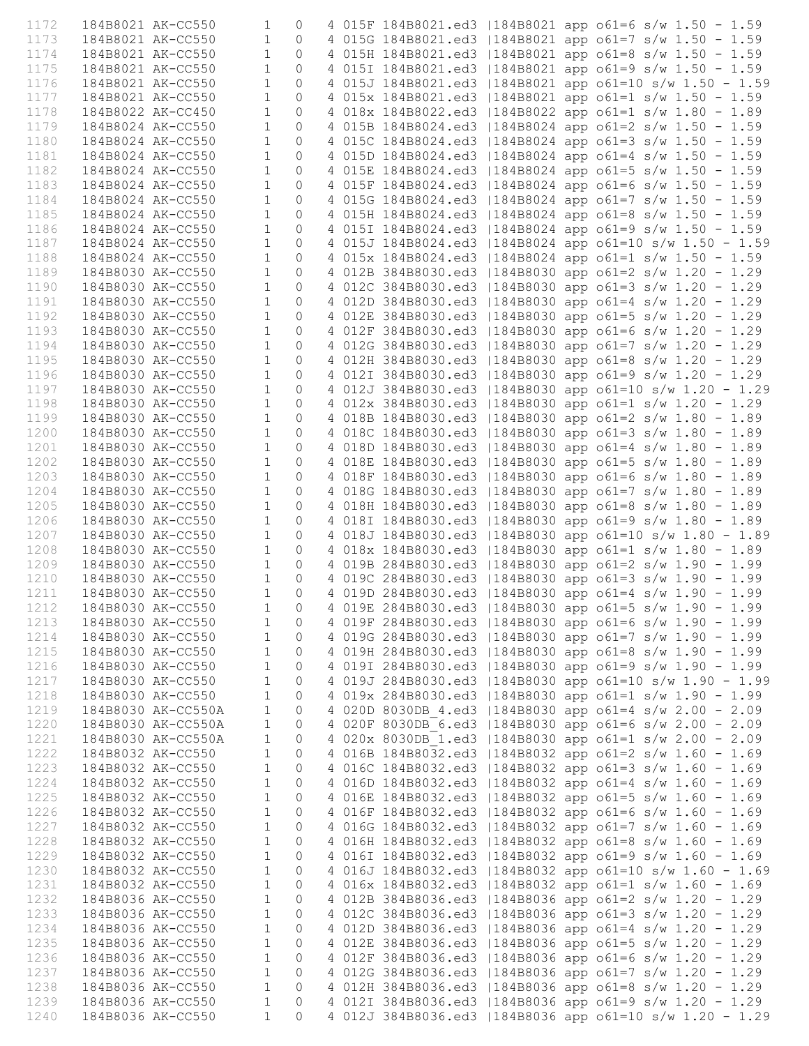| 1172 | 184B8021 AK-CC550 |                    | 1            | 0           |  |  | 4 015F 184B8021.ed3   184B8021 app o61=6 s/w 1.50 - 1.59  |
|------|-------------------|--------------------|--------------|-------------|--|--|-----------------------------------------------------------|
| 1173 | 184B8021 AK-CC550 |                    | $\mathbf{1}$ | $\circ$     |  |  | 4 015G 184B8021.ed3   184B8021 app o61=7 s/w 1.50 - 1.59  |
| 1174 | 184B8021 AK-CC550 |                    | $\mathbf 1$  | $\Omega$    |  |  | 4 015H 184B8021.ed3   184B8021 app o61=8 s/w 1.50 - 1.59  |
| 1175 | 184B8021 AK-CC550 |                    | $\mathbf{1}$ | $\Omega$    |  |  | 4 015I 184B8021.ed3   184B8021 app o61=9 s/w 1.50 - 1.59  |
| 1176 | 184B8021 AK-CC550 |                    | $\mathbf{1}$ | $\Omega$    |  |  | 4 015J 184B8021.ed3   184B8021 app o61=10 s/w 1.50 - 1.59 |
| 1177 | 184B8021 AK-CC550 |                    | 1            | $\Omega$    |  |  | 4 015x 184B8021.ed3   184B8021 app o61=1 s/w 1.50 - 1.59  |
| 1178 | 184B8022 AK-CC450 |                    | $\mathbf{1}$ | $\Omega$    |  |  | 4 018x 184B8022.ed3   184B8022 app o61=1 s/w 1.80 - 1.89  |
| 1179 | 184B8024 AK-CC550 |                    | 1            | $\Omega$    |  |  | 4 015B 184B8024.ed3   184B8024 app o61=2 s/w 1.50 - 1.59  |
| 1180 | 184B8024 AK-CC550 |                    | 1            | $\Omega$    |  |  | 4 015C 184B8024.ed3   184B8024 app o61=3 s/w 1.50 - 1.59  |
| 1181 | 184B8024 AK-CC550 |                    | $\mathbf{1}$ | $\Omega$    |  |  | 4 015D 184B8024.ed3   184B8024 app o61=4 s/w 1.50 - 1.59  |
| 1182 | 184B8024 AK-CC550 |                    | $\mathbf{1}$ | $\Omega$    |  |  | 4 015E 184B8024.ed3   184B8024 app o61=5 s/w 1.50 - 1.59  |
| 1183 | 184B8024 AK-CC550 |                    | $\mathbf{1}$ | $\Omega$    |  |  | 4 015F 184B8024.ed3   184B8024 app o61=6 s/w 1.50 - 1.59  |
| 1184 | 184B8024 AK-CC550 |                    | $\mathbf{1}$ | $\Omega$    |  |  | 4 015G 184B8024.ed3   184B8024 app o61=7 s/w 1.50 - 1.59  |
| 1185 | 184B8024 AK-CC550 |                    | 1            | $\Omega$    |  |  | 4 015H 184B8024.ed3   184B8024 app o61=8 s/w 1.50 - 1.59  |
| 1186 | 184B8024 AK-CC550 |                    | $\mathbf{1}$ | $\Omega$    |  |  | 4 0151 184B8024.ed3   184B8024 app o61=9 s/w 1.50 - 1.59  |
| 1187 | 184B8024 AK-CC550 |                    | $\mathbf{1}$ | $\Omega$    |  |  | 4 015J 184B8024.ed3   184B8024 app o61=10 s/w 1.50 - 1.59 |
| 1188 | 184B8024 AK-CC550 |                    | 1            | $\Omega$    |  |  | 4 015x 184B8024.ed3   184B8024 app o61=1 s/w 1.50 - 1.59  |
| 1189 | 184B8030 AK-CC550 |                    | $\mathbf{1}$ | $\Omega$    |  |  | 4 012B 384B8030.ed3   184B8030 app o61=2 s/w 1.20 - 1.29  |
| 1190 | 184B8030 AK-CC550 |                    | 1            | $\Omega$    |  |  | 4 012C 384B8030.ed3   184B8030 app o61=3 s/w 1.20 - 1.29  |
| 1191 |                   |                    |              |             |  |  |                                                           |
|      | 184B8030 AK-CC550 |                    | 1            | $\Omega$    |  |  | 4 012D 384B8030.ed3   184B8030 app o61=4 s/w 1.20 - 1.29  |
| 1192 | 184B8030 AK-CC550 |                    | 1            | $\Omega$    |  |  | 4 012E 384B8030.ed3   184B8030 app o61=5 s/w 1.20 - 1.29  |
| 1193 | 184B8030 AK-CC550 |                    | $\mathbf{1}$ | $\Omega$    |  |  | 4 012F 384B8030.ed3   184B8030 app o61=6 s/w 1.20 - 1.29  |
| 1194 | 184B8030 AK-CC550 |                    | $\mathbf{1}$ | $\Omega$    |  |  | 4 012G 384B8030.ed3   184B8030 app o61=7 s/w 1.20 - 1.29  |
| 1195 | 184B8030 AK-CC550 |                    | $\mathbf{1}$ | $\Omega$    |  |  | 4 012H 384B8030.ed3   184B8030 app o61=8 s/w 1.20 - 1.29  |
| 1196 | 184B8030 AK-CC550 |                    | $\mathbf{1}$ | $\Omega$    |  |  | 4 012I 384B8030.ed3   184B8030 app o61=9 s/w 1.20 - 1.29  |
| 1197 | 184B8030 AK-CC550 |                    | 1            | $\Omega$    |  |  | 4 012J 384B8030.ed3   184B8030 app o61=10 s/w 1.20 - 1.29 |
| 1198 | 184B8030 AK-CC550 |                    | 1            | $\Omega$    |  |  | 4 012x 384B8030.ed3   184B8030 app o61=1 s/w 1.20 - 1.29  |
| 1199 | 184B8030 AK-CC550 |                    | 1            | $\Omega$    |  |  | 4 018B 184B8030.ed3   184B8030 app o61=2 s/w 1.80 - 1.89  |
| 1200 | 184B8030 AK-CC550 |                    | 1            | $\Omega$    |  |  | 4 018C 184B8030.ed3   184B8030 app o61=3 s/w 1.80 - 1.89  |
| 1201 | 184B8030 AK-CC550 |                    | $\mathbf{1}$ | $\Omega$    |  |  | 4 018D 184B8030.ed3   184B8030 app o61=4 s/w 1.80 - 1.89  |
| 1202 | 184B8030 AK-CC550 |                    | 1            | $\Omega$    |  |  | 4 018E 184B8030.ed3   184B8030 app o61=5 s/w 1.80 - 1.89  |
| 1203 | 184B8030 AK-CC550 |                    | 1            | $\Omega$    |  |  | 4 018F 184B8030.ed3   184B8030 app o61=6 s/w 1.80 - 1.89  |
| 1204 | 184B8030 AK-CC550 |                    | 1            | $\Omega$    |  |  | 4 018G 184B8030.ed3   184B8030 app o61=7 s/w 1.80 - 1.89  |
| 1205 | 184B8030 AK-CC550 |                    | $\mathbf{1}$ | 0           |  |  | 4 018H 184B8030.ed3   184B8030 app o61=8 s/w 1.80 - 1.89  |
| 1206 | 184B8030 AK-CC550 |                    | $\mathbf{1}$ | $\Omega$    |  |  | 4 018I 184B8030.ed3   184B8030 app o61=9 s/w 1.80 - 1.89  |
| 1207 | 184B8030 AK-CC550 |                    | $\mathbf{1}$ | $\Omega$    |  |  | 4 018J 184B8030.ed3   184B8030 app o61=10 s/w 1.80 - 1.89 |
| 1208 | 184B8030 AK-CC550 |                    | $\mathbf{1}$ | $\Omega$    |  |  | 4 018x 184B8030.ed3   184B8030 app o61=1 s/w 1.80 - 1.89  |
| 1209 | 184B8030 AK-CC550 |                    | $\mathbf{1}$ | $\Omega$    |  |  | 4 019B 284B8030.ed3   184B8030 app o61=2 s/w 1.90 - 1.99  |
| 1210 | 184B8030 AK-CC550 |                    | $\mathbf{1}$ | $\Omega$    |  |  | 4 019C 284B8030.ed3   184B8030 app o61=3 s/w 1.90 - 1.99  |
| 1211 | 184B8030 AK-CC550 |                    | $\mathbf{1}$ | $\Omega$    |  |  | 4 019D 284B8030.ed3   184B8030 app o61=4 s/w 1.90 - 1.99  |
| 1212 | 184B8030 AK-CC550 |                    | $1 \qquad 0$ |             |  |  | 4 019E 284B8030.ed3   184B8030 app o61=5 s/w 1.90 - 1.99  |
| 1213 | 184B8030 AK-CC550 |                    | $\mathbf{1}$ | $\circ$     |  |  | 4 019F 284B8030.ed3   184B8030 app o61=6 s/w 1.90 - 1.99  |
| 1214 |                   | 184B8030 AK-CC550  | 1            | 0           |  |  | 4 019G 284B8030.ed3   184B8030 app o61=7 s/w 1.90 - 1.99  |
| 1215 | 184B8030 AK-CC550 |                    | $\mathbf{1}$ | $\mathbf 0$ |  |  | 4 019H 284B8030.ed3   184B8030 app o61=8 s/w 1.90 - 1.99  |
| 1216 | 184B8030 AK-CC550 |                    | $\mathbf{1}$ | 0           |  |  | 4 019I 284B8030.ed3   184B8030 app o61=9 s/w 1.90 - 1.99  |
| 1217 | 184B8030 AK-CC550 |                    | $\mathbf{1}$ | $\circ$     |  |  | 4 019J 284B8030.ed3   184B8030 app o61=10 s/w 1.90 - 1.99 |
| 1218 | 184B8030 AK-CC550 |                    | $\mathbf{1}$ | 0           |  |  | 4 019x 284B8030.ed3   184B8030 app o61=1 s/w 1.90 - 1.99  |
| 1219 |                   | 184B8030 AK-CC550A | 1            | 0           |  |  | 4 020D 8030DB 4.ed3   184B8030 app o61=4 s/w 2.00 - 2.09  |
| 1220 |                   | 184B8030 AK-CC550A | $\mathbf{1}$ | 0           |  |  | 4 020F 8030DB 6.ed3   184B8030 app o61=6 s/w 2.00 - 2.09  |
| 1221 |                   | 184B8030 AK-CC550A | $\mathbf{1}$ | 0           |  |  | 4 020x 8030DB 1.ed3   184B8030 app o61=1 s/w 2.00 - 2.09  |
| 1222 | 184B8032 AK-CC550 |                    | 1            | 0           |  |  | 4 016B 184B8032.ed3   184B8032 app o61=2 s/w 1.60 - 1.69  |
| 1223 | 184B8032 AK-CC550 |                    | $\mathbf{1}$ | 0           |  |  | 4 016C 184B8032.ed3   184B8032 app o61=3 s/w 1.60 - 1.69  |
| 1224 | 184B8032 AK-CC550 |                    | $\mathbf{1}$ | 0           |  |  | 4 016D 184B8032.ed3   184B8032 app o61=4 s/w 1.60 - 1.69  |
| 1225 | 184B8032 AK-CC550 |                    | $\mathbf{1}$ | $\mathbf 0$ |  |  | 4 016E 184B8032.ed3   184B8032 app o61=5 s/w 1.60 - 1.69  |
| 1226 | 184B8032 AK-CC550 |                    | 1            | 0           |  |  | 4 016F 184B8032.ed3   184B8032 app o61=6 s/w 1.60 - 1.69  |
| 1227 | 184B8032 AK-CC550 |                    | $\mathbf{1}$ | 0           |  |  | 4 016G 184B8032.ed3   184B8032 app o61=7 s/w 1.60 - 1.69  |
| 1228 | 184B8032 AK-CC550 |                    | $\mathbf{1}$ | 0           |  |  | 4 016H 184B8032.ed3   184B8032 app o61=8 s/w 1.60 - 1.69  |
| 1229 | 184B8032 AK-CC550 |                    | $\mathbf{1}$ | 0           |  |  | 4 016I 184B8032.ed3   184B8032 app o61=9 s/w 1.60 - 1.69  |
| 1230 | 184B8032 AK-CC550 |                    | $\mathbf{1}$ | 0           |  |  | 4 016J 184B8032.ed3   184B8032 app o61=10 s/w 1.60 - 1.69 |
| 1231 | 184B8032 AK-CC550 |                    | $\mathbf{1}$ | 0           |  |  | 4 016x 184B8032.ed3   184B8032 app o61=1 s/w 1.60 - 1.69  |
| 1232 | 184B8036 AK-CC550 |                    | $\mathbf{1}$ | 0           |  |  | 4 012B 384B8036.ed3   184B8036 app o61=2 s/w 1.20 - 1.29  |
| 1233 | 184B8036 AK-CC550 |                    | $\mathbf{1}$ | 0           |  |  | 4 012C 384B8036.ed3   184B8036 app o61=3 s/w 1.20 - 1.29  |
| 1234 | 184B8036 AK-CC550 |                    | $\mathbf{1}$ | $\circ$     |  |  | 4 012D 384B8036.ed3   184B8036 app o61=4 s/w 1.20 - 1.29  |
| 1235 | 184B8036 AK-CC550 |                    | 1            | 0           |  |  | 4 012E 384B8036.ed3   184B8036 app o61=5 s/w 1.20 - 1.29  |
| 1236 | 184B8036 AK-CC550 |                    | $\mathbf{1}$ | 0           |  |  | 4 012F 384B8036.ed3   184B8036 app o61=6 s/w 1.20 - 1.29  |
| 1237 | 184B8036 AK-CC550 |                    | $\mathbf{1}$ | 0           |  |  | 4 012G 384B8036.ed3   184B8036 app o61=7 s/w 1.20 - 1.29  |
| 1238 | 184B8036 AK-CC550 |                    | 1            | 0           |  |  | 4 012H 384B8036.ed3   184B8036 app o61=8 s/w 1.20 - 1.29  |
| 1239 | 184B8036 AK-CC550 |                    | 1            | 0           |  |  | 4 012I 384B8036.ed3   184B8036 app o61=9 s/w 1.20 - 1.29  |
| 1240 | 184B8036 AK-CC550 |                    | $\mathbf{1}$ | $\Omega$    |  |  | 4 012J 384B8036.ed3   184B8036 app o61=10 s/w 1.20 - 1.29 |
|      |                   |                    |              |             |  |  |                                                           |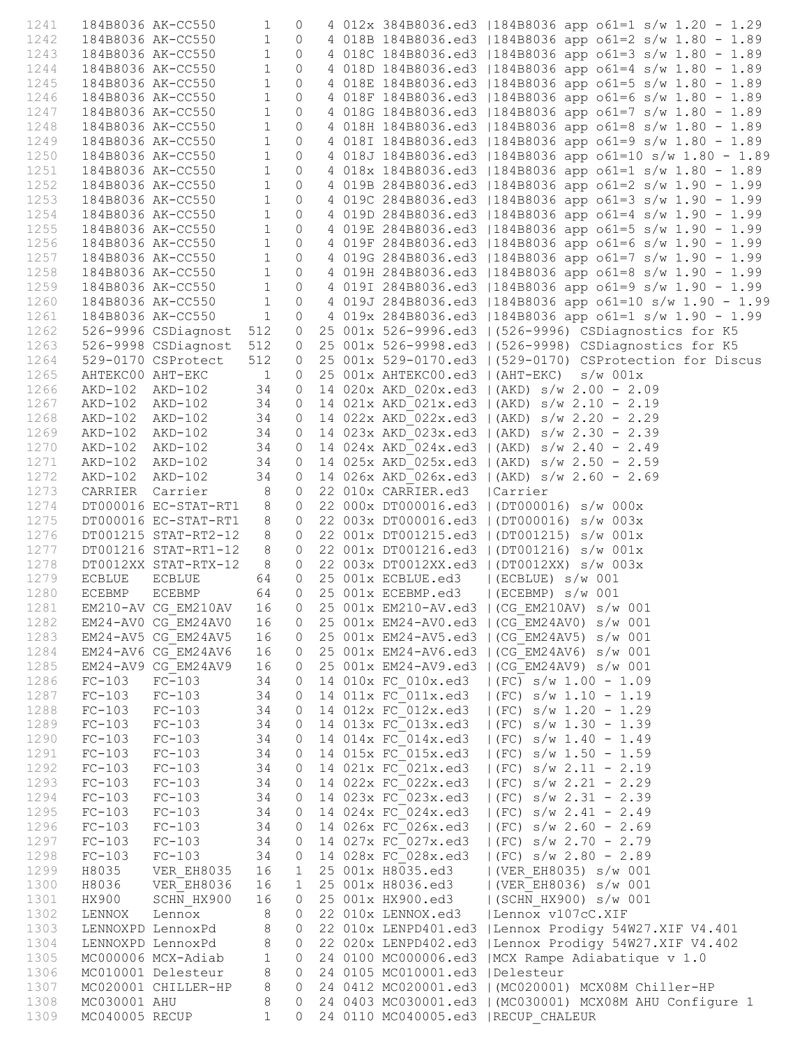| 1241 |                   | 184B8036 AK-CC550                                                       | $1 \quad \blacksquare$ | $\circ$                                                             |  |                                  | 4 012x 384B8036.ed3   184B8036 app o61=1 s/w 1.20 - 1.29                                                                                                                                                                             |
|------|-------------------|-------------------------------------------------------------------------|------------------------|---------------------------------------------------------------------|--|----------------------------------|--------------------------------------------------------------------------------------------------------------------------------------------------------------------------------------------------------------------------------------|
| 1242 |                   | 184B8036 AK-CC550 1 0                                                   |                        |                                                                     |  |                                  | 4 018B 184B8036.ed3   184B8036 app o61=2 s/w 1.80 - 1.89                                                                                                                                                                             |
| 1243 |                   | 184B8036 AK-CC550                                                       |                        | $1 \qquad 0$                                                        |  |                                  | 4 018C 184B8036.ed3   184B8036 app o61=3 s/w 1.80 - 1.89                                                                                                                                                                             |
| 1244 |                   | 184B8036 AK-CC550                                                       |                        | $1 \qquad 0$                                                        |  |                                  | 4 018D 184B8036.ed3   184B8036 app o61=4 s/w 1.80 - 1.89                                                                                                                                                                             |
| 1245 |                   | 184B8036 AK-CC550                                                       |                        | $1 \qquad 0$                                                        |  |                                  | 4 018E 184B8036.ed3   184B8036 app o61=5 s/w 1.80 - 1.89                                                                                                                                                                             |
| 1246 |                   | 184B8036 AK-CC550                                                       |                        | $\begin{matrix} 1 \end{matrix} \quad \begin{matrix} 0 \end{matrix}$ |  |                                  | 4 018F 184B8036.ed3   184B8036 app o61=6 s/w 1.80 - 1.89                                                                                                                                                                             |
| 1247 |                   | 184B8036 AK-CC550 1 0<br>184B8036 AK-CC550 1 0<br>184B8036 AK-CC550 1 0 |                        |                                                                     |  |                                  | 4 018G 184B8036.ed3   184B8036 app o61=7 s/w 1.80 - 1.89                                                                                                                                                                             |
| 1248 |                   |                                                                         |                        |                                                                     |  |                                  | 4 018H 184B8036.ed3   184B8036 app o61=8 s/w 1.80 - 1.89                                                                                                                                                                             |
| 1249 |                   |                                                                         |                        |                                                                     |  |                                  | 4 018I 184B8036.ed3   184B8036 app o61=9 s/w 1.80 - 1.89                                                                                                                                                                             |
| 1250 |                   | 184B8036 AK-CC550                                                       |                        | $1 \t 0$                                                            |  |                                  | 4 018J 184B8036.ed3   184B8036 app o61=10 s/w 1.80 - 1.89                                                                                                                                                                            |
| 1251 |                   | 184B8036 AK-CC550                                                       |                        |                                                                     |  |                                  | 4 018x 184B8036.ed3   184B8036 app o61=1 s/w 1.80 - 1.89                                                                                                                                                                             |
| 1252 |                   | 184B8036 AK-CC550                                                       |                        |                                                                     |  |                                  | 4 019B 284B8036.ed3   184B8036 app o61=2 s/w 1.90 - 1.99                                                                                                                                                                             |
| 1253 |                   | 184B8036 AK-CC550 1 0<br>184B8036 AK-CC550 1 0<br>184B8036 AK-CC550 1 0 |                        | $\begin{bmatrix} 1 & 0 \\ 1 & 0 \\ 1 & 0 \\ 1 & 0 \end{bmatrix}$    |  |                                  | 4 019C 284B8036.ed3   184B8036 app o61=3 s/w 1.90 - 1.99                                                                                                                                                                             |
| 1254 |                   |                                                                         |                        |                                                                     |  |                                  | 4 019D 284B8036.ed3   184B8036 app o61=4 s/w 1.90 - 1.99                                                                                                                                                                             |
| 1255 |                   |                                                                         |                        |                                                                     |  |                                  | 4 019E 284B8036.ed3   184B8036 app o61=5 s/w 1.90 - 1.99                                                                                                                                                                             |
| 1256 |                   | 184B8036 AK-CC550 1 0                                                   |                        |                                                                     |  |                                  | 4 019F 284B8036.ed3   184B8036 app o61=6 s/w 1.90 - 1.99                                                                                                                                                                             |
| 1257 |                   | 184B8036 AK-CC550                                                       |                        | $1 \t 0$                                                            |  |                                  | 4 019G 284B8036.ed3   184B8036 app o61=7 s/w 1.90 - 1.99                                                                                                                                                                             |
| 1258 |                   |                                                                         |                        |                                                                     |  |                                  | 184B8036 AK-CC550 1 0 4 019H 284B8036.ed3   184B8036 app 061=8 s/w 1.90 - 1.99                                                                                                                                                       |
| 1259 |                   |                                                                         |                        |                                                                     |  |                                  |                                                                                                                                                                                                                                      |
| 1260 |                   |                                                                         |                        |                                                                     |  |                                  | 184B8036 AK-CC550 1 0 4 019I 284B8036.ed3  184B8036 app o61=9 s/w 1.90 - 1.99<br>184B8036 AK-CC550 1 0 4 019J 284B8036.ed3  184B8036 app o61=10 s/w 1.90 - 1.99<br>184B8036 AK-CC550 1 0 4 019x 284B8036.ed3  184B8036 app o61=1 s/w |
| 1261 |                   |                                                                         |                        |                                                                     |  |                                  |                                                                                                                                                                                                                                      |
| 1262 |                   |                                                                         |                        |                                                                     |  |                                  | 526-9996 CSDiagnost 512 0 25 001x 526-9996.ed3   (526-9996) CSDiagnostics for K5                                                                                                                                                     |
| 1263 |                   | 526-9998 CSDiagnost 512                                                 |                        |                                                                     |  |                                  | 0 25 001x 526-9998.ed3   (526-9998) CSDiagnostics for K5                                                                                                                                                                             |
| 1264 |                   | 529-0170 CSProtect                                                      | 512                    |                                                                     |  |                                  | 0 25 001x 529-0170.ed3   (529-0170) CSProtection for Discus                                                                                                                                                                          |
| 1265 |                   |                                                                         |                        |                                                                     |  |                                  | 25 001x AHTEKC00.ed3   (AHT-EKC) s/w 001x                                                                                                                                                                                            |
| 1266 |                   | AHTEKC00 AHT-EKC 1<br>AKD-102 AKD-102 34                                |                        | $\circ$                                                             |  |                                  | 34 0 14 020x AKD 020x.ed3   (AKD) s/w 2.00 - 2.09                                                                                                                                                                                    |
|      |                   |                                                                         |                        |                                                                     |  |                                  | AKD-102 AKD-102       34   0  14 020x AKD_020x.ed3  (AKD) s/w 2.00 - 2.09<br>AKD-102 AKD-102       34   0  14 021x AKD 021x.ed3  (AKD) s/w 2.10 - 2.19                                                                               |
| 1267 |                   |                                                                         |                        |                                                                     |  |                                  | AKD-102 AKD-102 34 0 14 022x AKD 022x.ed3   (AKD) s/w 2.20 - 2.29                                                                                                                                                                    |
| 1268 |                   |                                                                         |                        |                                                                     |  |                                  |                                                                                                                                                                                                                                      |
| 1269 |                   |                                                                         |                        |                                                                     |  |                                  | AKD-102 AKD-102 34 0 14 023x AKD 023x.ed3   (AKD) s/w 2.30 - 2.39                                                                                                                                                                    |
| 1270 |                   | AKD-102 AKD-102 34                                                      |                        |                                                                     |  |                                  | 0 14 024x AKD 024x.ed3   (AKD) s/w 2.40 - 2.49                                                                                                                                                                                       |
| 1271 |                   | AKD-102 AKD-102 34                                                      |                        |                                                                     |  |                                  | 0 14 025x AKD 025x.ed3   (AKD) $s/w$ 2.50 - 2.59                                                                                                                                                                                     |
| 1272 |                   | AKD-102 AKD-102<br>CARRIER Carrier                                      | 34                     |                                                                     |  |                                  | 0 14 026x AKD 026x.ed3   (AKD) s/w 2.60 - 2.69                                                                                                                                                                                       |
| 1273 |                   |                                                                         | 8 <sup>1</sup>         |                                                                     |  | 0 22 010x CARRIER.ed3   Carrier  |                                                                                                                                                                                                                                      |
| 1274 |                   | DT000016 EC-STAT-RT1 8                                                  |                        | $\circ$                                                             |  |                                  | 22 000x DT000016.ed3   (DT000016) s/w 000x                                                                                                                                                                                           |
| 1275 |                   | DT000016 EC-STAT-RT1                                                    | 8                      | $\overline{0}$                                                      |  |                                  | 22 003x DT000016.ed3   (DT000016) s/w 003x                                                                                                                                                                                           |
| 1276 |                   | DT001215 STAT-RT2-12                                                    | 8                      | $\circ$                                                             |  |                                  | 22 001x DT001215.ed3   (DT001215) s/w 001x                                                                                                                                                                                           |
| 1277 |                   | DT001216 STAT-RT1-12                                                    | $8\qquad0$             |                                                                     |  |                                  | 22 001x DT001216.ed3   (DT001216) s/w 001x                                                                                                                                                                                           |
| 1278 |                   | DT0012XX STAT-RTX-12                                                    | $8 \t 0$               |                                                                     |  |                                  | 22 003x DT0012XX.ed3   (DT0012XX) s/w 003x                                                                                                                                                                                           |
| 1279 |                   | ECBLUE ECBLUE                                                           |                        |                                                                     |  |                                  | 64 0 25 001x ECBLUE.ed3   (ECBLUE) s/w 001                                                                                                                                                                                           |
| 1280 |                   | ECEBMP ECEBMP 64                                                        |                        | $\overline{0}$                                                      |  |                                  | 25 001x ECEBMP.ed3   (ECEBMP) s/w 001                                                                                                                                                                                                |
| 1281 |                   |                                                                         |                        |                                                                     |  |                                  | EM210-AV CG EM210AV 16 0 25 001x EM210-AV.ed3   (CG EM210AV) s/w 001                                                                                                                                                                 |
| 1282 |                   | EM24-AV0 CG EM24AV0                                                     | 16                     | $\circ$                                                             |  |                                  | 25 001x EM24-AV0.ed3   (CG EM24AV0) s/w 001                                                                                                                                                                                          |
| 1283 |                   | EM24-AV5 CG EM24AV5                                                     | 16                     | $\circ$                                                             |  |                                  | 25 001x EM24-AV5.ed3   (CG EM24AV5) s/w 001                                                                                                                                                                                          |
| 1284 |                   | EM24-AV6 CG EM24AV6                                                     | 16                     | $\circ$                                                             |  |                                  | 25 001x EM24-AV6.ed3   (CG EM24AV6) s/w 001                                                                                                                                                                                          |
| 1285 |                   | EM24-AV9 CG EM24AV9                                                     | 16                     | $\circ$                                                             |  |                                  | 25 001x EM24-AV9.ed3   (CG EM24AV9) s/w 001                                                                                                                                                                                          |
| 1286 | $FC-103$ $FC-103$ |                                                                         | 34                     | $\circ$                                                             |  |                                  | 14 010x FC 010x.ed3   (FC) s/w 1.00 - 1.09                                                                                                                                                                                           |
| 1287 | FC-103            | $FC-103$                                                                | 34                     | $\circ$                                                             |  | 14 011x FC 011x.ed3              | $ (FC)$ s/w 1.10 - 1.19                                                                                                                                                                                                              |
| 1288 | $FC-103$          | $FC-103$                                                                | 34                     | $\circ$                                                             |  | 14 012x FC 012x.ed3              | $ (FC)$ s/w 1.20 - 1.29                                                                                                                                                                                                              |
| 1289 | $FC-103$          | $FC-103$                                                                | 34                     | $\circ$                                                             |  | 14 013x FC 013x.ed3              | $ (FC)$ s/w 1.30 - 1.39                                                                                                                                                                                                              |
| 1290 | $FC-103$          | $FC-103$                                                                | 34                     | $\circ$                                                             |  | 14 014x FC 014x.ed3              | $ (FC)$ s/w 1.40 - 1.49                                                                                                                                                                                                              |
| 1291 | $FC-103$          | $FC-103$                                                                | 34                     |                                                                     |  | 0 14 015x FC 015x.ed3            | $ (FC)$ s/w 1.50 - 1.59                                                                                                                                                                                                              |
| 1292 | $FC-103$          | $FC-103$                                                                | 34                     |                                                                     |  | 0 14 021x FC 021x.ed3            | $ (FC)$ s/w 2.11 - 2.19                                                                                                                                                                                                              |
| 1293 | $FC-103$          | $FC-103$                                                                | 34                     |                                                                     |  | 0 14 022x FC 022x.ed3            | $ (FC)$ s/w 2.21 - 2.29                                                                                                                                                                                                              |
| 1294 | $FC-103$          | $FC-103$                                                                | 34                     |                                                                     |  | $0$ 14 023x FC 023x.ed3          | $ (FC) s/w 2.31 - 2.39$                                                                                                                                                                                                              |
| 1295 | $FC-103$          | $FC-103$                                                                | 34                     |                                                                     |  | 0 14 024x FC 024x.ed3            | $ (FC)$ s/w 2.41 - 2.49                                                                                                                                                                                                              |
| 1296 | $FC-103$          | $FC-103$                                                                | 34                     |                                                                     |  | 0 14 026x FC 026x.ed3            | $ (FC)$ s/w 2.60 - 2.69                                                                                                                                                                                                              |
| 1297 | $FC-103$          | FC-103<br>FC-103                                                        | 34                     |                                                                     |  | 0 14 027x FC 027x.ed3            | $ (FC)$ s/w 2.70 - 2.79                                                                                                                                                                                                              |
| 1298 | $FC-103$          |                                                                         | 34                     |                                                                     |  | 0 14 028x FC 028x.ed3            | $ (FC)$ s/w 2.80 - 2.89                                                                                                                                                                                                              |
| 1299 |                   | H8035 VER EH8035 16                                                     |                        | $\mathbf{1}$                                                        |  | 25 001x H8035.ed3                | (VER EH8035) s/w 001                                                                                                                                                                                                                 |
| 1300 |                   | H8036 VER EH8036                                                        | 16                     | $\mathbf{1}$                                                        |  | 25 001x H8036.ed3                | (VER EH8036) s/w 001                                                                                                                                                                                                                 |
| 1301 |                   | HX900 SCHN HX900                                                        | 16                     | $\circ$                                                             |  | 25 001x HX900.ed3                | (SCHN HX900) s/w 001                                                                                                                                                                                                                 |
| 1302 |                   | LENNOX Lennox                                                           | 8                      | $\circ$                                                             |  |                                  | 22 010x LENNOX.ed3   Lennox v107cC.XIF                                                                                                                                                                                               |
| 1303 |                   | LENNOXPD LennoxPd                                                       |                        | 8 0                                                                 |  |                                  | 22 010x LENPD401.ed3   Lennox Prodigy 54W27.XIF V4.401                                                                                                                                                                               |
| 1304 |                   |                                                                         |                        |                                                                     |  |                                  | 22 020x LENPD402.ed3   Lennox Prodigy 54W27.XIF V4.402                                                                                                                                                                               |
| 1305 |                   | LENNOXPD LennoxPd 8 0<br>MC000006 MCX-Adiab 1 0                         |                        |                                                                     |  |                                  | 24 0100 MC000006.ed3   MCX Rampe Adiabatique v 1.0                                                                                                                                                                                   |
| 1306 |                   | MC010001 Delesteur                                                      | $8\qquad0$             |                                                                     |  | 24 0105 MC010001.ed3   Delesteur |                                                                                                                                                                                                                                      |
| 1307 |                   | MC020001 CHILLER-HP 8 0                                                 |                        |                                                                     |  |                                  | 24 0412 MC020001.ed3   (MC020001) MCX08M Chiller-HP                                                                                                                                                                                  |
| 1308 | MC030001 AHU      |                                                                         | 8                      | $\circ$                                                             |  |                                  | 24 0403 MC030001.ed3   (MC030001) MCX08M AHU Configure 1                                                                                                                                                                             |
| 1309 | MC040005 RECUP    |                                                                         | $\mathbf{1}$           | $\Omega$                                                            |  |                                  | 24 0110 MC040005.ed3   RECUP CHALEUR                                                                                                                                                                                                 |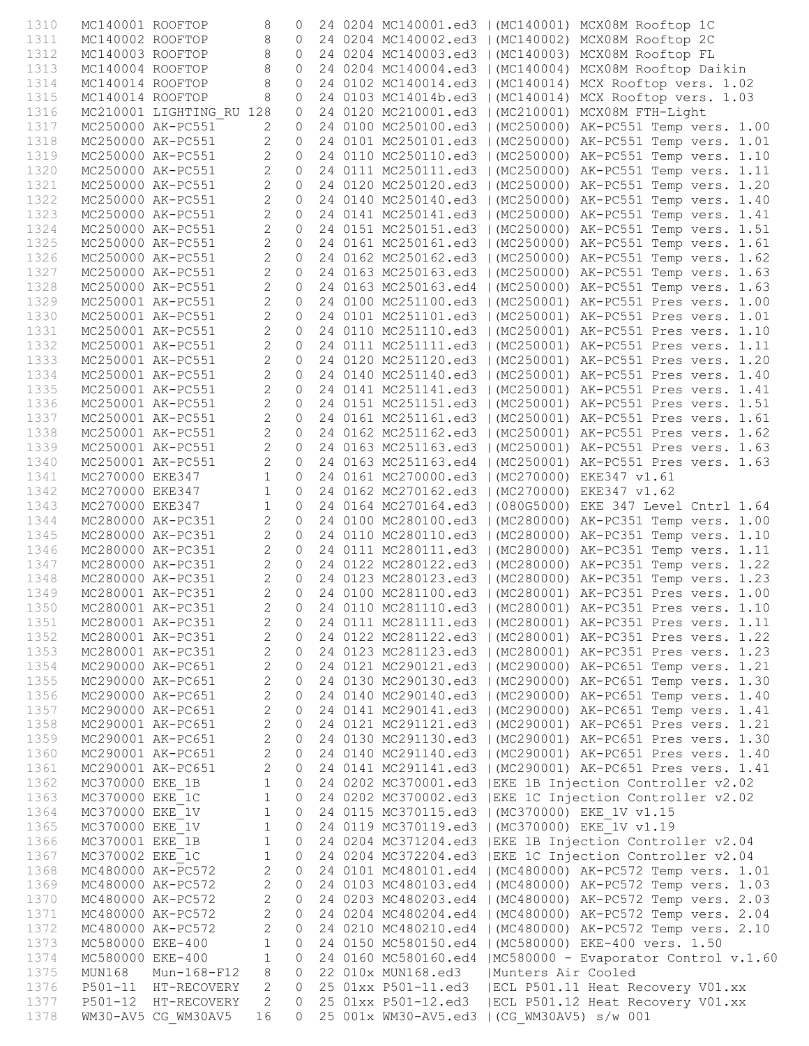| 1310         | MC140001 ROOFTOP |                                        | 8                                | $\circ$            |  |                                                |                    | 24 0204 MC140001.ed3   (MC140001) MCX08M Rooftop 1C                                                                      |
|--------------|------------------|----------------------------------------|----------------------------------|--------------------|--|------------------------------------------------|--------------------|--------------------------------------------------------------------------------------------------------------------------|
| 1311         |                  | MC140002 ROOFTOP                       | 8                                | $\circ$            |  |                                                |                    | 24 0204 MC140002.ed3   (MC140002) MCX08M Rooftop 2C                                                                      |
| 1312         |                  | MC140003 ROOFTOP                       | 8                                | $\Omega$           |  |                                                |                    | 24 0204 MC140003.ed3   (MC140003) MCX08M Rooftop FL                                                                      |
| 1313         |                  | MC140004 ROOFTOP                       | 8                                | $\circ$            |  |                                                |                    | 24 0204 MC140004.ed3   (MC140004) MCX08M Rooftop Daikin                                                                  |
| 1314         |                  | MC140014 ROOFTOP                       | 8                                | $\circ$            |  |                                                |                    | 24 0102 MC140014.ed3   (MC140014) MCX Rooftop vers. 1.02                                                                 |
| 1315         | MC140014 ROOFTOP |                                        | 8                                | $\circ$            |  |                                                |                    | 24 0103 MC14014b.ed3   (MC140014) MCX Rooftop vers. 1.03                                                                 |
| 1316         |                  | MC210001 LIGHTING RU 128               |                                  | $\circ$            |  |                                                |                    | 24 0120 MC210001.ed3   (MC210001) MCX08M FTH-Light                                                                       |
| 1317         |                  | MC250000 AK-PC551                      |                                  | $\circ$            |  |                                                |                    | 24 0100 MC250100.ed3   (MC250000) AK-PC551 Temp vers. 1.00                                                               |
| 1318         |                  | MC250000 AK-PC551                      | $\overline{2}$<br>$\overline{2}$ | $\circ$<br>$\circ$ |  |                                                |                    | 24 0101 MC250101.ed3   (MC250000) AK-PC551 Temp vers. 1.01                                                               |
| 1319<br>1320 |                  | MC250000 AK-PC551<br>MC250000 AK-PC551 | $\overline{2}$                   | $\circ$            |  |                                                |                    | 24 0110 MC250110.ed3   (MC250000) AK-PC551 Temp vers. 1.10<br>24 0111 MC250111.ed3   (MC250000) AK-PC551 Temp vers. 1.11 |
| 1321         |                  | MC250000 AK-PC551                      | $\overline{2}$                   | $\circ$            |  |                                                |                    | 24 0120 MC250120.ed3   (MC250000) AK-PC551 Temp vers. 1.20                                                               |
| 1322         |                  | MC250000 AK-PC551                      | $\overline{2}$                   | $\circ$            |  |                                                |                    | 24 0140 MC250140.ed3   (MC250000) AK-PC551 Temp vers. 1.40                                                               |
| 1323         |                  | MC250000 AK-PC551                      | $\overline{c}$                   | $\circ$            |  |                                                |                    | 24 0141 MC250141.ed3   (MC250000) AK-PC551 Temp vers. 1.41                                                               |
| 1324         |                  | MC250000 AK-PC551                      | $\overline{2}$                   | $\circ$            |  |                                                |                    | 24 0151 MC250151.ed3   (MC250000) AK-PC551 Temp vers. 1.51                                                               |
| 1325         |                  | MC250000 AK-PC551                      | $\overline{2}$                   | $\circ$            |  |                                                |                    | 24 0161 MC250161.ed3   (MC250000) AK-PC551 Temp vers. 1.61                                                               |
| 1326         |                  | MC250000 AK-PC551                      | $\overline{2}$                   | $\circ$            |  |                                                |                    | 24 0162 MC250162.ed3   (MC250000) AK-PC551 Temp vers. 1.62                                                               |
| 1327         |                  | MC250000 AK-PC551                      | $\overline{2}$                   | $\circ$            |  |                                                |                    | 24 0163 MC250163.ed3   (MC250000) AK-PC551 Temp vers. 1.63                                                               |
| 1328         |                  | MC250000 AK-PC551                      | $\overline{2}$                   | $\circ$            |  |                                                |                    | 24 0163 MC250163.ed4   (MC250000) AK-PC551 Temp vers. 1.63                                                               |
| 1329         |                  | MC250001 AK-PC551                      | $\overline{2}$                   | $\circ$            |  |                                                |                    | 24 0100 MC251100.ed3   (MC250001) AK-PC551 Pres vers. 1.00                                                               |
| 1330         |                  | MC250001 AK-PC551                      | $\overline{2}$<br>$\overline{2}$ | $\circ$<br>$\circ$ |  |                                                |                    | 24 0101 MC251101.ed3   (MC250001) AK-PC551 Pres vers. 1.01                                                               |
| 1331<br>1332 |                  | MC250001 AK-PC551<br>MC250001 AK-PC551 | $\overline{2}$                   | $\circ$            |  |                                                |                    | 24 0110 MC251110.ed3   (MC250001) AK-PC551 Pres vers. 1.10<br>24 0111 MC251111.ed3   (MC250001) AK-PC551 Pres vers. 1.11 |
| 1333         |                  | MC250001 AK-PC551                      | $\overline{2}$                   | $\circ$            |  |                                                |                    | 24 0120 MC251120.ed3   (MC250001) AK-PC551 Pres vers. 1.20                                                               |
| 1334         |                  | MC250001 AK-PC551                      | $\overline{2}$                   | $\circ$            |  |                                                |                    | 24 0140 MC251140.ed3   (MC250001) AK-PC551 Pres vers. 1.40                                                               |
| 1335         |                  | MC250001 AK-PC551                      | $\overline{2}$                   | $\circ$            |  |                                                |                    | 24 0141 MC251141.ed3   (MC250001) AK-PC551 Pres vers. 1.41                                                               |
| 1336         |                  | MC250001 AK-PC551                      | $\overline{2}$                   | $\circ$            |  |                                                |                    | 24 0151 MC251151.ed3   (MC250001) AK-PC551 Pres vers. 1.51                                                               |
| 1337         |                  | MC250001 AK-PC551                      | $\overline{c}$                   | $\circ$            |  |                                                |                    | 24 0161 MC251161.ed3   (MC250001) AK-PC551 Pres vers. 1.61                                                               |
| 1338         |                  | MC250001 AK-PC551                      | $\overline{2}$                   | $\circ$            |  |                                                |                    | 24 0162 MC251162.ed3   (MC250001) AK-PC551 Pres vers. 1.62                                                               |
| 1339         |                  | MC250001 AK-PC551                      | $\overline{2}$                   | $\circ$            |  |                                                |                    | 24 0163 MC251163.ed3   (MC250001) AK-PC551 Pres vers. 1.63                                                               |
| 1340         |                  | MC250001 AK-PC551                      | $\overline{2}$                   | $\circ$            |  |                                                |                    | 24 0163 MC251163.ed4   (MC250001) AK-PC551 Pres vers. 1.63                                                               |
| 1341         | MC270000 EKE347  |                                        | $\mathbf{1}$                     | $\circ$            |  | 24 0161 MC270000.ed3   (MC270000) EKE347 v1.61 |                    |                                                                                                                          |
| 1342         | MC270000 EKE347  |                                        | $\mathbf{1}$                     | $\circ$            |  | 24 0162 MC270162.ed3   (MC270000) EKE347 v1.62 |                    |                                                                                                                          |
| 1343         | MC270000 EKE347  |                                        | $\mathbf{1}$<br>$\overline{2}$   | $\circ$<br>$\circ$ |  |                                                |                    | 24 0164 MC270164.ed3   (080G5000) EKE 347 Level Cntrl 1.64                                                               |
| 1344<br>1345 |                  | MC280000 AK-PC351<br>MC280000 AK-PC351 | $\overline{2}$                   | $\circ$            |  |                                                |                    | 24 0100 MC280100.ed3   (MC280000) AK-PC351 Temp vers. 1.00<br>24 0110 MC280110.ed3   (MC280000) AK-PC351 Temp vers. 1.10 |
| 1346         |                  | MC280000 AK-PC351                      | $\overline{2}$                   | $\circ$            |  |                                                |                    | 24 0111 MC280111.ed3   (MC280000) AK-PC351 Temp vers. 1.11                                                               |
| 1347         |                  | MC280000 AK-PC351                      | $\overline{2}$                   |                    |  |                                                |                    | 0 24 0122 MC280122.ed3   (MC280000) AK-PC351 Temp vers. 1.22                                                             |
| 1348         |                  | MC280000 AK-PC351                      | $\overline{2}$                   |                    |  |                                                |                    | 0 24 0123 MC280123.ed3   (MC280000) AK-PC351 Temp vers. 1.23                                                             |
| 1349         |                  | MC280001 AK-PC351                      | $\overline{2}$                   | $\circ$            |  |                                                |                    | 24 0100 MC281100.ed3   (MC280001) AK-PC351 Pres vers. 1.00                                                               |
| 1350         |                  | MC280001 AK-PC351                      |                                  |                    |  |                                                |                    | 2 0 24 0110 MC281110.ed3   (MC280001) AK-PC351 Pres vers. 1.10                                                           |
| 1351         |                  | MC280001 AK-PC351                      | 2                                | 0                  |  |                                                |                    | 24 0111 MC281111.ed3   (MC280001) AK-PC351 Pres vers. 1.11                                                               |
| 1352         |                  | MC280001 AK-PC351                      | 2                                | $\circ$            |  |                                                |                    | 24 0122 MC281122.ed3   (MC280001) AK-PC351 Pres vers. 1.22                                                               |
| 1353         |                  | MC280001 AK-PC351                      | 2                                | $\circ$            |  |                                                |                    | 24 0123 MC281123.ed3   (MC280001) AK-PC351 Pres vers. 1.23                                                               |
| 1354         |                  | MC290000 AK-PC651                      | $\mathbf{2}$                     | 0                  |  |                                                |                    | 24 0121 MC290121.ed3   (MC290000) AK-PC651 Temp vers. 1.21                                                               |
| 1355         |                  | MC290000 AK-PC651                      | $\mathbf{2}$                     | 0                  |  |                                                |                    | 24 0130 MC290130.ed3   (MC290000) AK-PC651 Temp vers. 1.30                                                               |
| 1356<br>1357 |                  | MC290000 AK-PC651<br>MC290000 AK-PC651 | $\mathbf{2}$<br>$\overline{c}$   | 0<br>0             |  |                                                |                    | 24 0140 MC290140.ed3   (MC290000) AK-PC651 Temp vers. 1.40<br>24 0141 MC290141.ed3   (MC290000) AK-PC651 Temp vers. 1.41 |
| 1358         |                  | MC290001 AK-PC651                      | $\mathbf{2}$                     | 0                  |  |                                                |                    | 24 0121 MC291121.ed3   (MC290001) AK-PC651 Pres vers. 1.21                                                               |
| 1359         |                  | MC290001 AK-PC651                      | $\mathbf{2}$                     | 0                  |  |                                                |                    | 24 0130 MC291130.ed3   (MC290001) AK-PC651 Pres vers. 1.30                                                               |
| 1360         |                  | MC290001 AK-PC651                      | $\mathbf{2}$                     | 0                  |  |                                                |                    | 24 0140 MC291140.ed3   (MC290001) AK-PC651 Pres vers. 1.40                                                               |
| 1361         |                  | MC290001 AK-PC651                      | $\mathbf{2}$                     | 0                  |  |                                                |                    | 24 0141 MC291141.ed3   (MC290001) AK-PC651 Pres vers. 1.41                                                               |
| 1362         | MC370000 EKE 1B  |                                        | $\mathbf 1$                      | $\circ$            |  |                                                |                    | 24 0202 MC370001.ed3   EKE 1B Injection Controller v2.02                                                                 |
| 1363         | MC370000 EKE 1C  |                                        | $\mathbf{1}$                     | $\circ$            |  |                                                |                    | 24 0202 MC370002.ed3   EKE 1C Injection Controller v2.02                                                                 |
| 1364         | MC370000 EKE 1V  |                                        | $\mathbf 1$                      | $\circ$            |  | 24 0115 MC370115.ed3   (MC370000) EKE 1V v1.15 |                    |                                                                                                                          |
| 1365         | MC370000 EKE 1V  |                                        | $\mathbf 1$                      | $\circ$            |  | 24 0119 MC370119.ed3   (MC370000) EKE 1V v1.19 |                    |                                                                                                                          |
| 1366         | MC370001 EKE 1B  |                                        | $\mathbf{1}$                     | 0                  |  |                                                |                    | 24 0204 MC371204.ed3   EKE 1B Injection Controller v2.04                                                                 |
| 1367<br>1368 | MC370002 EKE 1C  | MC480000 AK-PC572                      | $1\,$<br>$\overline{c}$          | $\circ$<br>0       |  |                                                |                    | 24 0204 MC372204.ed3   EKE 1C Injection Controller v2.04<br>24 0101 MC480101.ed4   (MC480000) AK-PC572 Temp vers. 1.01   |
| 1369         |                  | MC480000 AK-PC572                      | $\mathbf{2}$                     | 0                  |  |                                                |                    | 24 0103 MC480103.ed4   (MC480000) AK-PC572 Temp vers. 1.03                                                               |
| 1370         |                  | MC480000 AK-PC572                      | $\mathbf{2}$                     | 0                  |  |                                                |                    | 24 0203 MC480203.ed4   (MC480000) AK-PC572 Temp vers. 2.03                                                               |
| 1371         |                  | MC480000 AK-PC572                      | $\mathbf{2}$                     | $\circ$            |  |                                                |                    | 24 0204 MC480204.ed4   (MC480000) AK-PC572 Temp vers. 2.04                                                               |
| 1372         |                  | MC480000 AK-PC572                      | $\mathbf{2}$                     | 0                  |  |                                                |                    | 24 0210 MC480210.ed4   (MC480000) AK-PC572 Temp vers. 2.10                                                               |
| 1373         | MC580000 EKE-400 |                                        | $\mathbf 1$                      | 0                  |  |                                                |                    | 24 0150 MC580150.ed4   (MC580000) EKE-400 vers. 1.50                                                                     |
| 1374         | MC580000 EKE-400 |                                        | $1\,$                            | 0                  |  |                                                |                    | 24 0160 MC580160.ed4   MC580000 - Evaporator Control v.1.60                                                              |
| 1375         | MUN168           | Mun-168-F12                            | 8                                | 0                  |  | 22 010x MUN168.ed3                             | Munters Air Cooled |                                                                                                                          |
| 1376         |                  | P501-11 HT-RECOVERY                    | 2                                | 0                  |  | 25 01xx P501-11.ed3                            |                    | ECL P501.11 Heat Recovery V01.xx                                                                                         |
| 1377         |                  | P501-12 HT-RECOVERY                    | 2                                | $\circ$            |  | 25 01xx P501-12.ed3                            |                    | ECL P501.12 Heat Recovery V01.xx                                                                                         |
| 1378         |                  | WM30-AV5 CG WM30AV5                    | 16                               | $\Omega$           |  | 25 001x WM30-AV5.ed3   (CG WM30AV5) s/w 001    |                    |                                                                                                                          |